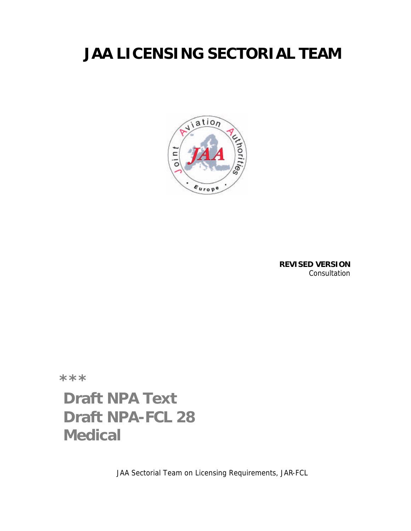# **JAA LICENSING SECTORIAL TEAM**



**REVISED VERSION** Consultation

**\*\*\***

**Draft NPA Text Draft NPA-FCL 28 Medical**

JAA Sectorial Team on Licensing Requirements, JAR-FCL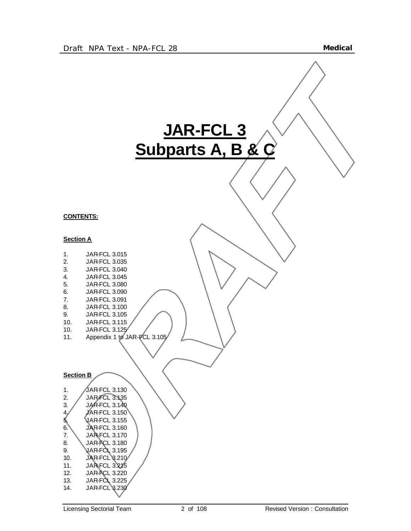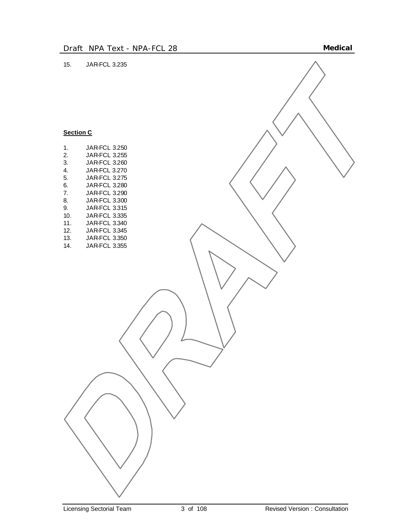| 15.                                                                                   | <b>JAR-FCL 3.235</b>                                                                                                                                                                                                                                                                               |
|---------------------------------------------------------------------------------------|----------------------------------------------------------------------------------------------------------------------------------------------------------------------------------------------------------------------------------------------------------------------------------------------------|
|                                                                                       |                                                                                                                                                                                                                                                                                                    |
|                                                                                       |                                                                                                                                                                                                                                                                                                    |
|                                                                                       |                                                                                                                                                                                                                                                                                                    |
| <b>Section C</b>                                                                      |                                                                                                                                                                                                                                                                                                    |
| 1.<br>2.<br>3.<br>4.<br>5.<br>6.<br>7.<br>8.<br>9.<br>10.<br>11.<br>12.<br>13.<br>14. | JAR-FCL 3.250<br><b>JAR-FCL 3.255</b><br><b>JAR-FCL 3.260</b><br><b>JAR-FCL 3.270</b><br><b>JAR-FCL 3.275</b><br><b>JAR-FCL 3.280</b><br><b>JAR-FCL 3.290</b><br>JAR-FCL 3.300<br><b>JAR-FCL 3.315</b><br>JAR-FCL 3.335<br>JAR-FCL 3.340<br><b>JAR-FCL 3.345</b><br>JAR-FCL 3.350<br>JAR-FCL 3.355 |
|                                                                                       |                                                                                                                                                                                                                                                                                                    |
|                                                                                       |                                                                                                                                                                                                                                                                                                    |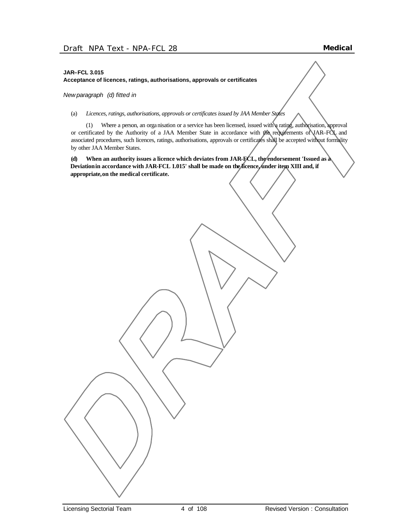#### **JAR–FCL 3.015**

**Acceptance of licences, ratings, authorisations, approvals or certificates**

*New paragraph (d) fitted in*

(a) *Licences, ratings, authorisations, approvals or certificates issued by JAA Member States*

(1) Where a person, an organisation or a service has been licensed, issued with a rating, authorisation, approval or certificated by the Authority of a JAA Member State in accordance with the requirements of JAR–FCL and associated procedures, such licences, ratings, authorisations, approvals or certificates shall be accepted without formality by other JAA Member States.

**(d) When an authority issues a licence which deviates from JAR-FCL, the endorsement 'Issued as a**  Deviation in accordance with JAR-FCL 1.015' shall be made on the licence, under item XIII and, if  **appropriate, on the medical certificate.**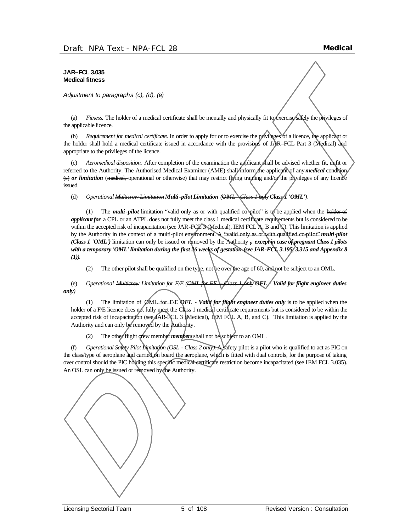#### **JAR–FCL 3.035 Medical fitness**

*Adjustment to paragraphs (c), (d), (e)*

(a) *Fitness.* The holder of a medical certificate shall be mentally and physically fit to exercise safely the privileges of the applicable licence.

(b) *Requirement for medical certificate.* In order to apply for or to exercise the privileges of a licence, the applicant or the holder shall hold a medical certificate issued in accordance with the provisions of JAR–FCL Part 3 (Medical) and appropriate to the privileges of the licence.

(c) *Aeromedical disposition.* After completion of the examination the applicant shall be advised whether fit, unfit or referred to the Authority. The Authorised Medical Examiner (AME) shall inform the applicant of any *medical* condition (s) *or limitation* (medical, operational or otherwise) that may restrict flying training and/or the privileges of any licence issued.

(d) *Operational Multicrew LimitationMulti-pilot Limitation (OML - Class 1 onlyClass 1 'OML').*

(1) The *multi-pilot* limitation "valid only as or with qualified co-pilot" is to be applied when the holder of *applicant for* a CPL or an ATPL does not fully meet the class 1 medical certificate requirements but is considered to be within the accepted risk of incapacitation (see JAR-FCL 3 (Medical), IEM FCL A, B and C). This limitation is applied by the Authority in the context of a multi-pilot environment. A "valid only as or with qualified co-pilot" *multi-pilot (Class 1 'OML')* limitation can only be issued or removed by the Authority *, except in case of pregnant Class 1 pilots with a temporary 'OML' limitation during the first 26 weeks of gestation (see JAR-FCL 3.195, 3.315 and Appendix 8 (1))*.

(2) The other pilot shall be qualified on the type, not be over the age of 60, and not be subject to an OML.

(e) *Operational Multicrew Limitation for F/E (OML for FE – Class 1 only OFL - Valid for flight engineer duties only)*

(1) The limitation of OML for F/E *OFL - Valid for flight engineer duties only* is to be applied when the holder of a F/E licence does not fully meet the Class 1 medical certificate requirements but is considered to be within the accepted risk of incapacitation (see JAR-FCL 3 (Medical), IEM FCL A, B, and C). This limitation is applied by the Authority and can only be removed by the Authority.

(2) The other flight crew member *members* shall not be subject to an OML.

(f) *Operational Safety Pilot Limitation (OSL - Class 2 only)*. A safety pilot is a pilot who is qualified to act as PIC on the class/type of aeroplane and carried on board the aeroplane, which is fitted with dual controls, for the purpose of taking over control should the PIC holding this specific medical certificate restriction become incapacitated (see IEM FCL 3.035). An OSL can only be issued or removed by the Authority.

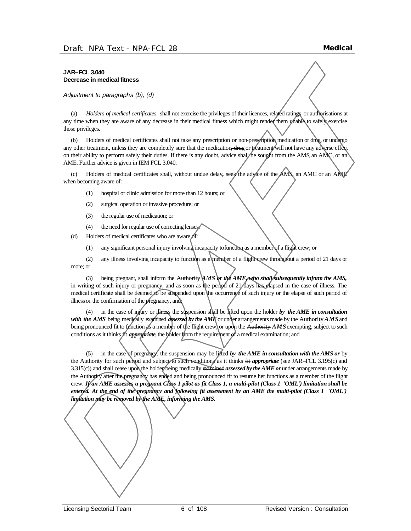# **JAR–FCL 3.040 Decrease in medical fitness**

*Adjustment to paragraphs (b), (d)*

(a) *Holders of medical certificates* shall not exercise the privileges of their licences, related ratings or authorisations at any time when they are aware of any decrease in their medical fitness which might render them unable to safely exercise those privileges.

(b) Holders of medical certificates shall not take any prescription or non-prescription medication or drug, or undergo any other treatment, unless they are completely sure that the medication, drug or treatment/will not have any adverse effect on their ability to perform safely their duties. If there is any doubt, advice shall be sought from the AMS, an AMC, or an AME. Further advice is given in IEM FCL 3.040.

(c) Holders of medical certificates shall, without undue delay, seek the advice of the AMS, an AMC or an AME when becoming aware of:

- (1) hospital or clinic admission for more than 12 hours; or
- (2) surgical operation or invasive procedure; or
- (3) the regular use of medication; or
- (4) the need for regular use of correcting lenses.
- (d) Holders of medical certificates who are aware  $\beta$ f:
	- (1) any significant personal injury involving incapacity to function as a member of a flight crew; or

(2) any illness involving incapacity to function as a member of a flight crew throughout a period of 21 days or more; or

(3) being pregnant, shall inform the Authority *AMS or the AME, who shall subsequently inform the AMS,* in writing of such injury or pregnancy, and as soon as the period of 21 days has elapsed in the case of illness. The medical certificate shall be deemed to be suspended upon the occurrence of such injury or the elapse of such period of illness or the confirmation of the pregnancy, and:

(4) in the case of injury or illness the suspension shall be lifted upon the holder *by the AME in consultation with the AMS* being medically examined *assessed by the AME* or under arrangements made by the Authority *AMS* and being pronounced fit to function as a member of the flight crew, or upon the Authority AMS exempting, subject to such conditions as it thinks fit *appropriate*, the holder from the requirement of a medical examination; and

in the case of pregnancy, the suspension may be lifted by the AME in consultation with the AMS or by the Authority for such period and subject to such conditions as it thinks  $# \text{ appropriate}$  (see JAR–FCL 3.195(c) and 3.315(c)) and shall cease upon the holder being medically examined *assessed by the AME or* under arrangements made by the Authority after the pregnancy has ended and being pronounced fit to resume her functions as a member of the flight crew. *If an AME assesses a pregnant Class 1 pilot as fit Class 1, a multi-pilot (Class 1 'OML') limitation shall be entered. At the end of the pregnancy and following fit assessment by an AME the multi-pilot (Class 1 'OML') limitation may be removed by the AME, informing the AMS.*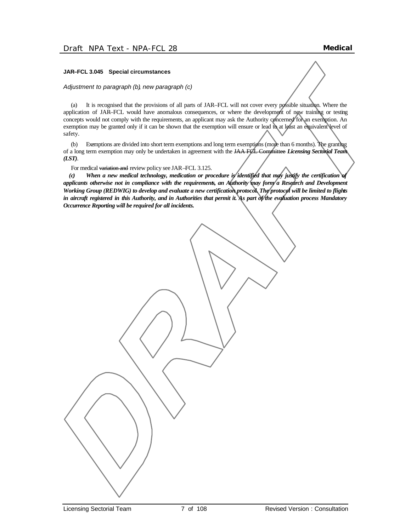#### **JAR–FCL 3.045 Special circumstances**

*Adjustment to paragraph (b), new paragraph (c)*

(a) It is recognised that the provisions of all parts of JAR–FCL will not cover every possible situation. Where the application of JAR–FCL would have anomalous consequences, or where the development of new training or testing concepts would not comply with the requirements, an applicant may ask the Authority concerned for an exemption. An exemption may be granted only if it can be shown that the exemption will ensure or lead to at least an equivalent level of safety.

(b) Exemptions are divided into short term exemptions and long term exemptions (more than 6 months). The granting of a long term exemption may only be undertaken in agreement with the JAA FCL Committee *Licensing Sectorial Team (LST)*.

For medical variation and review policy see JAR–FCL 3.125.

 $(c)$  When a new medical technology, medication or procedure is identified that may justify the certification *applicants otherwise not in compliance with the requirements, an Authority may form a Research and Development Working Group (REDWIG) to develop and evaluate a new certification protocol. The protocol will be limited to flights in aircraft registered in this Authority, and in Authorities that permit it. As part of the evaluation process Mandatory Occurrence Reporting will be required for all incidents.*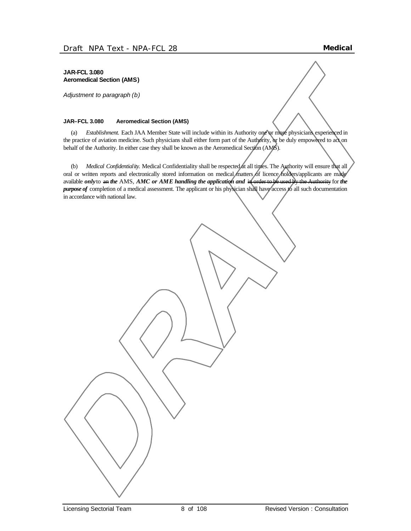# **JAR-FCL 3.080 Aeromedical Section (AMS)**

*Adjustment to paragraph (b)*

# **JAR–FCL 3.080 Aeromedical Section (AMS)**

(a) *Establishment.* Each JAA Member State will include within its Authority one or more physicians experienced in the practice of aviation medicine. Such physicians shall either form part of the Authority, or be duly empowered to act on behalf of the Authority. In either case they shall be known as the Aeromedical Section (AMS).

(b) *Medical Confidentiality.* Medical Confidentiality shall be respected at all times. The Authority will ensure that all oral or written reports and electronically stored information on medical matters of licence holders/applicants are made available *only* to an *the* AMS, *AMC or AME handling the application and* in order to be used by the Authority for *the purpose of* completion of a medical assessment. The applicant or his physician shall have access to all such documentation in accordance with national law.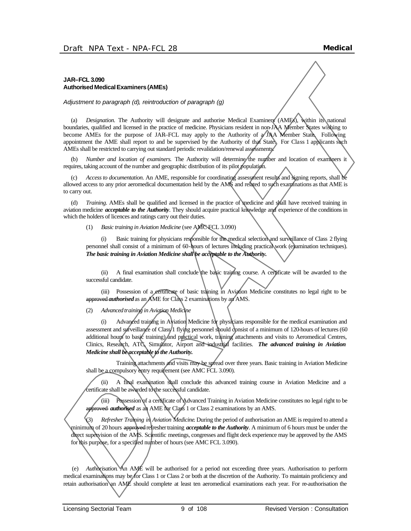# **JAR–FCL 3.090 Authorised Medical Examiners (AMEs)**

*Adjustment to paragraph (d), reintroduction of paragraph (g)*

(a) *Designation.* The Authority will designate and authorise Medical Examiners (AMEs), within its national boundaries, qualified and licensed in the practice of medicine. Physicians resident in non-JAA Member States wishing to become AMEs for the purpose of JAR–FCL may apply to the Authority of a JAA Member State. Following appointment the AME shall report to and be supervised by the Authority of that State. For Class 1 applicants such AMEs shall be restricted to carrying out standard periodic revalidation/renewal assessments.

(b) *Number and location of examiners*. The Authority will determine the number and location of examiners it requires, taking account of the number and geographic distribution of its pilot population.

(c) *Access to documentation.* An AME, responsible for coordinating assessment results and signing reports, shall be allowed access to any prior aeromedical documentation held by the AMS and related to such examinations as that AME is to carry out.

(d) *Training.* AMEs shall be qualified and licensed in the practice of medicine and shall have received training in aviation medicine *acceptable to the Authority*. They should acquire practical knowledge and experience of the conditions in which the holders of licences and ratings carry out their duties.

(1) *Basic training in Aviation Medicine* (see AMC FCL 3.090)

Basic training for physicians responsible for the medical selection and surveillance of Class 2 flying personnel shall consist of a minimum of 60-hours of lectures including practical work (examination techniques). *The basic training in Aviation Medicine shall be acceptable to the Authority.*

(ii) A final examination shall conclude the basic training course. A certificate will be awarded to the successful candidate.

(iii) Possession of a certificate of basic training in Aviation Medicine constitutes no legal right to be approved *authorised* as an AME for Class 2 examinations by an AMS.

(2) *Advanced training in Aviation Medicine*

(i) Advanced training in Aviation Medicine for physicians responsible for the medical examination and assessment and surveillance of Class<sup>/</sup>1 flying personnel should consist of a minimum of 120-hours of lectures (60 additional hours to basic training) and practical work, training attachments and visits to Aeromedical Centres, Clinics, Research, ATC, Simulator, Airport and industrial facilities. *The advanced training in Aviation Medicine shall be acceptable to the Authority.*

Training attachments and visits may be spread over three years. Basic training in Aviation Medicine shall be a compulsory entry requirement (see AMC FCL 3.090).

(ii) A final examination shall conclude this advanced training course in Aviation Medicine and a certificate shall be awarded to the successful candidate.

(iii) Possession of a certificate of Advanced Training in Aviation Medicine constitutes no legal right to be approved *authorised* as an AME for Class 1 or Class 2 examinations by an AMS.

(3) *Refresher Training in Aviation Medicine*. During the period of authorisation an AME is required to attend a minimum of 20 hours approved refresher training *acceptable to the Authority*. A minimum of 6 hours must be under the direct supervision of the AMS. Scientific meetings, congresses and flight deck experience may be approved by the AMS for this purpose, for a specified number of hours (see AMC FCL 3.090).

 (e) *Authorisation*. An AME will be authorised for a period not exceeding three years. Authorisation to perform medical examinations may be for Class 1 or Class 2 or both at the discretion of the Authority. To maintain proficiency and retain authorisation an AME should complete at least ten aeromedical examinations each year. For re-authorisation the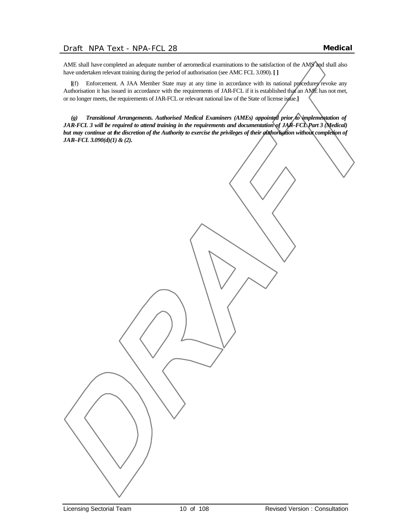AME shall have completed an adequate number of aeromedical examinations to the satisfaction of the AMS and shall also have undertaken relevant training during the period of authorisation (see AMC FCL 3.090). **[ ]**

**[**(f) Enforcement. A JAA Member State may at any time in accordance with its national procedures revoke any Authorisation it has issued in accordance with the requirements of JAR-FCL if it is established that an AME has not met, or no longer meets, the requirements of JAR-FCL or relevant national law of the State of license issue.**]**

*(g) Transitional Arrangements. Authorised Medical Examiners (AMEs) appointed prior to implementation of JAR-FCL 3 will be required to attend training in the requirements and documentation of JAR–FCL Part 3 (Medical) but may continue at the discretion of the Authority to exercise the privileges of their authorisation without completion of JAR–FCL 3.090(d)(1) & (2).*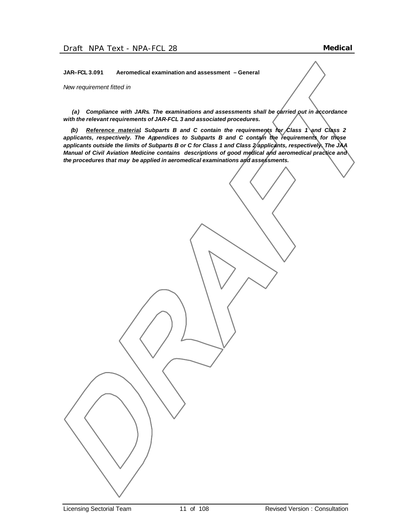**JAR–FCL 3.091 Aeromedical examination and assessment – General**

*New requirement fitted in*

 *(a) Compliance with JARs. The examinations and assessments shall be carried out in accordance with the relevant requirements of JAR-FCL 3 and associated procedures.*

*(b) Reference material. Subparts B and C contain the requirements for Class 1 and Class 2 applicants, respectively. The Appendices to Subparts B and C contain the requirements for those applicants outside the limits of Subparts B or C for Class 1 and Class 2 applicants, respectively. The JAA Manual of Civil Aviation Medicine contains descriptions of good medical and aeromedical practice and the procedures that may be applied in aeromedical examinations and assessments.*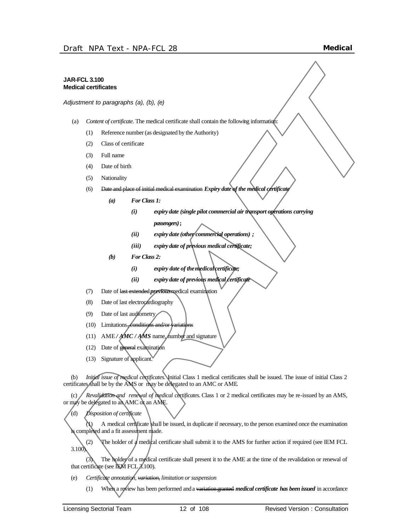#### **JAR-FCL 3.100 Medical certificates**

*Adjustment to paragraphs (a), (b), (e)*

- (a) *Content of certificate*. The medical certificate shall contain the following information:
	- (1) Reference number (as designated by the Authority)
	- (2) Class of certificate
	- (3) Full name
	- (4) Date of birth
	- (5) Nationality
	- (6) Date and place of initial medical examination *Expiry date of the medical certificate* 
		- *(a) For Class 1:*
			- *(i) expiry date (single pilot commercial air transport operations carrying* 
				- *passengers)***;**
			- *(ii) expiry date (other commercial operations) ;*
			- *(iii) expiry date of previous medical certificate;*
		- *(b) For Class 2:* 
			- *(i) expiry date of the medical certificate;*
			- *(ii) expiry date of previous medical certificate*
	- (7) Date of last extended *previous* medical examination
	- (8) Date of last electrocardiography
	- (9) Date of last audiometry
	- $(10)$  Limitations
	- $(11)$  AME / **AMC** / **AMS** name, humber and signature
	- (12) Date of general examination
	- (13) Signature of applicant.

(b) *Initial issue of medical certificates.* Initial Class 1 medical certificates shall be issued. The issue of initial Class 2 certificates shall be by the AMS or may be delegated to an AMC or AME.

(c) *Revalidation and renewal of medical certificates.* Class 1 or 2 medical certificates may be re-issued by an AMS, or may be delegated to an AMC or an AME.

(d) *Disposition of certificate*

A medical certificate shall be issued, in duplicate if necessary, to the person examined once the examination is completed and a fit assessment made.

(2) The holder of a medical certificate shall submit it to the AMS for further action if required (see IEM FCL 3.100).

(3) The holder of a medical certificate shall present it to the AME at the time of the revalidation or renewal of that certificate (see  $\text{IEM FCL} \& 100$ ).

(e) *Certificate annotation, variation, limitation or suspension*

(1) When a review has been performed and a variation granted *medical certificate has been issued* in accordance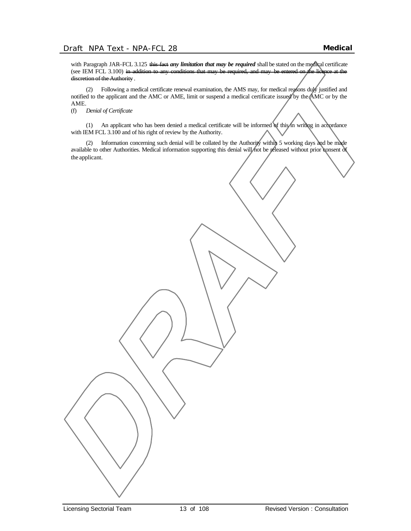with Paragraph JAR–FCL 3.125 this fact *any limitation that may be required* shall be stated on the medical certificate (see IEM FCL 3.100) in addition to any conditions that may be required, and may be entered on the licence at the discretion of the Authority.

(2) Following a medical certificate renewal examination, the AMS may, for medical reasons duly justified and notified to the applicant and the AMC or AME, limit or suspend a medical certificate issued by the AMC or by the AME.

(f) *Denial of Certificate*

(1) An applicant who has been denied a medical certificate will be informed of this in writing in accordance with IEM FCL 3.100 and of his right of review by the Authority.

(2) Information concerning such denial will be collated by the Authority within 5 working days and be made available to other Authorities. Medical information supporting this denial will not be released without prior consent of the applicant.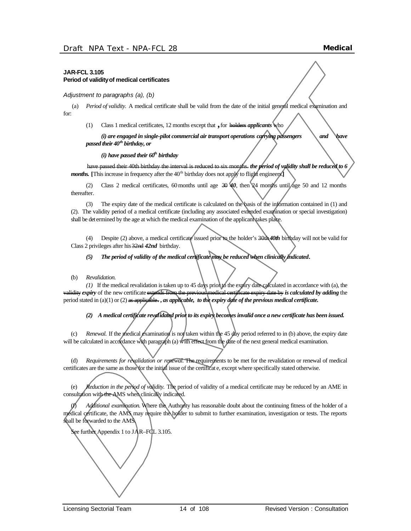# **JAR-FCL 3.105 Period of validity of medical certificates**

#### *Adjustment to paragraphs (a), (b)*

(a) *Period of validity.* A medical certificate shall be valid from the date of the initial general medical examination and for:

(1) Class 1 medical certificates, 12 months except that *,*for holders *applicants* who

*(i) are engaged in single-pilot commercial air transport operations carrying passengers* and have *passed their 40th birthday, or*

#### *(i) have passed their 60th birthday*

have passed their 40th birthday the interval is reduced to six months. *the period of validity shall be reduced to 6 months.* [This increase in frequency after the 40<sup>th</sup> birthday does not apply to flight engineers.]

(2) Class 2 medical certificates, 60months until age 30 *40*, then 24 months until age 50 and 12 months thereafter.

(3) The expiry date of the medical certificate is calculated on the basis of the information contained in (1) and (2). The validity period of a medical certificate (including any associated extended examination or special investigation) shall be determined by the age at which the medical examination of the applicant takes place.

(4) Despite (2) above, a medical certificate issued prior to the holder's 30th*40th* birthday will not be valid for Class 2 privileges after his 32nd *42nd* birthday.

*(5) The period of validity of the medical certificate may be reduced when clinically indicated.*

(b) *Revalidation.*

*(1)* If the medical revalidation is taken up to 45 days prior to the expiry date calculated in accordance with (a), the validity *expiry* of the new certificate extends from the previous medical certificate expiry date by *is calculated by adding* the period stated in (a)(1) or (2) as applicable. *, as applicable, to the expiry date of the previous medical certificate.*

*(2) A medical certificate revalidated prior to its expiry becomes invalid once a new certificate has been issued.*

(c) *Renewal.* If the medical examination is not taken within the 45 day period referred to in (b) above, the expiry date will be calculated in accordance with paragraph (a) with effect from the date of the next general medical examination.

(d) *Requirements for revalidation or renewal.* The requirements to be met for the revalidation or renewal of medical certificates are the same as those for the initial issue of the certificat e, except where specifically stated otherwise.

(e) *Reduction in the period of validity.* The period of validity of a medical certificate may be reduced by an AME in consultation with the AMS when clinically indicated.

Additional examination. Where the Authority has reasonable doubt about the continuing fitness of the holder of a medical certificate, the AMS may require the holder to submit to further examination, investigation or tests. The reports shall be forwarded to the AMS.

See further Appendix 1 to JAR–FCL 3.105.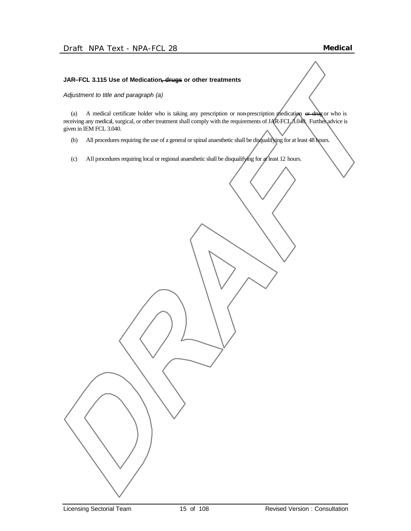# **JAR–FCL 3.115 Use of Medication, drugs or other treatments**

#### *Adjustment to title and paragraph (a)*

(a) A medical certificate holder who is taking any prescription or non-prescription medication or drug or who is receiving any medical, surgical, or other treatment shall comply with the requirements of JAR-FCL 3.040. Further advice is given in IEM FCL 3.040.

- (b) All procedures requiring the use of a general or spinal anaesthetic shall be disqualifying for at least 48 hours.
- (c) All procedures requiring local or regional anaesthetic shall be disqualifying for at least 12 hours.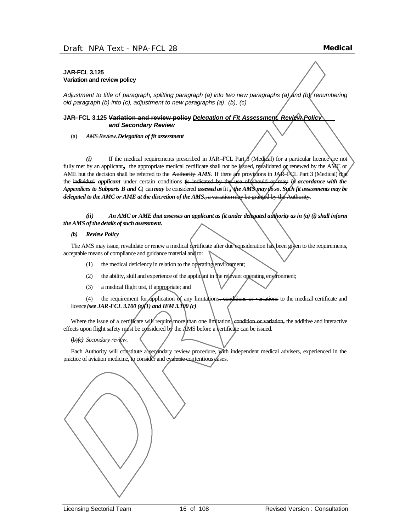#### **JAR-FCL 3.125 Variation and review policy**

Adjustment to title of paragraph, splitting paragraph (a) into two new paragraphs (a) and (b), renumbering *old paragraph (b) into (c), adjustment to new paragraphs (a), (b), (c)*

# **JAR–FCL 3.125 Variation and review policy** *Delegation of Fit Assessment, Review Policy and Secondary Review*

(a) *AMS Review.Delegation of fit assessment*

*(i)* If the medical requirements prescribed in JAR–FCL Part 3 (Medical) for a particular licence are not fully met by an applicant, the appropriate medical certificate shall not be issued, revalidated or renewed by the AMC or AME but the decision shall be referred to the Authority *AMS*. If there are provisions in JAR–FCL Part 3 (Medical) that the individual *applicant* under certain conditions (as indicated by the use of should or may *in accordance with the Appendices to Subparts B and C*) can*may* be considered *assessed as* fit *, the AMS may do so. Such fit assessments may be delegated to the AMC or AME at the discretion of the AMS.*, a variation may be granted by the Authority.

*(ii) An AMC or AME that assesses an applicant as fit under delegated authority as in (a) (i) shall inform the AMS of the details of such assessment.*

# *(b) Review Policy*

The AMS may issue, revalidate or renew a medical dertificate after due consideration has been given to the requirements, acceptable means of compliance and guidance material and to:

- (1) the medical deficiency in relation to the operating environment;
- (2) the ability, skill and experience of the applicant in the relevant operating environment;
- (3) a medical flight test, if appropriate; and

(4) the requirement for application of any limitations, conditions or variations to the medical certificate and licence *(see JAR-FCL 3.100 (e)(1) and IEM 3.100 (c)*.

Where the issue of a certificate will require more than one limitation, condition or variation, the additive and interactive effects upon flight safety must be considered by the AMS before a certificate can be issued.

(b)*(c) Secondary review*.

Each Authority will constitute a secondary review procedure, with independent medical advisers, experienced in the practice of aviation medicine, to consider and evaluate contentious cases.

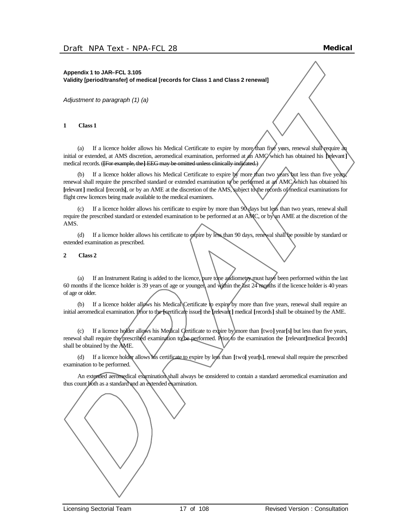# **Appendix 1 to JAR–FCL 3.105 Validity [period/transfer] of medical [records for Class 1 and Class 2 renewal]**

*Adjustment to paragraph (1) (a)*

# **1 Class 1**

(a) If a licence holder allows his Medical Certificate to expire by more than five years, renewal shall require an initial or extended, at AMS discretion, aeromedical examination, performed at an AMC which has obtained his **[**relevant**]** medical records. (**[For example, the**] EEG may be omitted unless clinically indicated.)

(b) If a licence holder allows his Medical Certificate to expire by more than two years but less than five years renewal shall require the prescribed standard or extended examination to be performed at an AMC which has obtained his **[**relevant**]** medical **[**records**]**, or by an AME at the discretion of the AMS, subject to the records of medical examinations for flight crew licences being made available to the medical examiners.

If a licence holder allows his certificate to expire by more than 90 days but less than two years, renewal shall require the prescribed standard or extended examination to be performed at an AMC, or by an AME at the discretion of the AMS.

(d) If a licence holder allows his certificate to expire by less than 90 days, renewal shall be possible by standard or extended examination as prescribed.

**2 Class 2**

(a) If an Instrument Rating is added to the licence, pure tone audiometry must have been performed within the last 60 months if the licence holder is 39 years of age or younger, and within the last 24 months if the licence holder is 40 years of age or older.

(b) If a licence holder allows his Medical Certificate to expire by more than five years, renewal shall require an initial aeromedical examination. Prior to the **[**certificate issue**]** the **[**relevant**]** medical **[**records**]** shall be obtained by the AME.

(c) If a licence holder allows his Medical Certificate to expire by more than **[**two**]** year**[**s**]** but less than five years, renewal shall require the prescribed examination to be performed. Prior to the examination the **[**relevant**]**medical **[**records**]** shall be obtained by the AME.

(d) If a licence holder allows his certificate to expire by less than **[**two**]** year**[**s**]**, renewal shall require the prescribed examination to be performed.

An extended aeromedical examination shall always be considered to contain a standard aeromedical examination and thus count both as a standard and an extended examination.

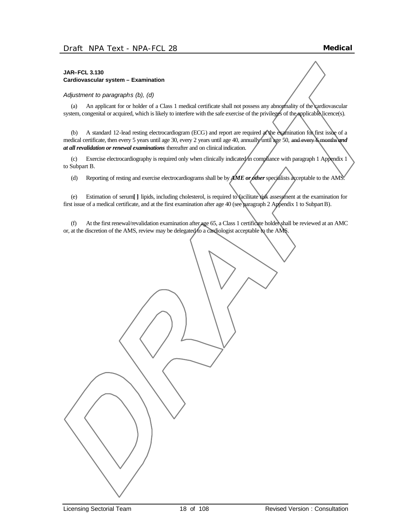#### **JAR–FCL 3.130 Cardiovascular system – Examination**

#### *Adjustment to paragraphs (b), (d)*

(a) An applicant for or holder of a Class 1 medical certificate shall not possess any abnormality of the cardiovascular system, congenital or acquired, which is likely to interfere with the safe exercise of the privileges of the applicable licence(s).

(b) A standard 12-lead resting electrocardiogram (ECG) and report are required at the examination for first issue of a medical certificate, then every 5 years until age 30, every 2 years until age 40, annually until age 50, and every 6 months *and at all revalidation or renewal examinations* thereafter and on clinical indication.

(c) Exercise electrocardiography is required only when clinically indicated in compliance with paragraph 1 Appendix 1 to Subpart B.

(d) Reporting of resting and exercise electrocardiograms shall be by *AME or other* specialists acceptable to the AMS.

(e) Estimation of serum**[ ]** lipids, including cholesterol, is required to facilitate risk assessment at the examination for first issue of a medical certificate, and at the first examination after age 40 (see paragraph 2 Appendix 1 to Subpart B).

(f) At the first renewal/revalidation examination after age 65, a Class 1 certificate holder shall be reviewed at an AMC or, at the discretion of the AMS, review may be delegated to a cardiologist acceptable to the AMS.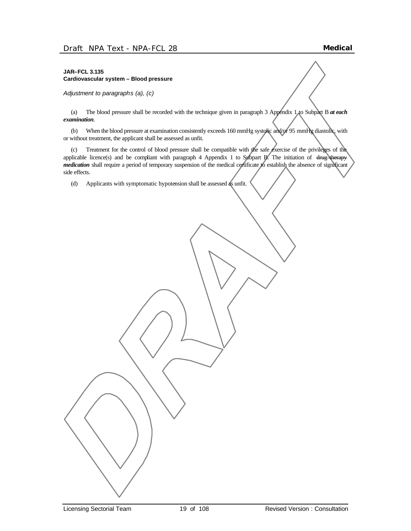#### **JAR–FCL 3.135 Cardiovascular system – Blood pressure**

*Adjustment to paragraphs (a), (c)*

(a) The blood pressure shall be recorded with the technique given in paragraph 3 Appendix 1 to Subpart B *at each examination*.

(b) When the blood pressure at examination consistently exceeds 160 mmHg systolic and/or 95 mmHg diastolic, with or without treatment, the applicant shall be assessed as unfit.

(c) Treatment for the control of blood pressure shall be compatible with the safe exercise of the privileges of the applicable licence(s) and be compliant with paragraph 4 Appendix 1 to Subpart B. The initiation of  $\frac{d}{dx}$  therapy *medication* shall require a period of temporary suspension of the medical certificate to establish the absence of significant side effects.

(d) Applicants with symptomatic hypotension shall be assessed as unfit.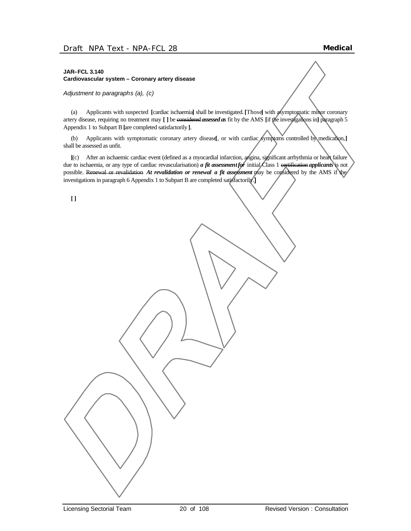#### **JAR–FCL 3.140 Cardiovascular system – Coronary artery disease**

*Adjustment to paragraphs (a), (c)*

(a) Applicants with suspected **[**cardiac ischaemia**]** shall be investigated. **[**Those**]** with asymptomatic minor coronary artery disease, requiring no treatment may **[ ]** be considered*assessed as* fit by the AMS **[**if the investigations in**]** paragraph 5 Appendix 1 to Subpart B **[**are completed satisfactorily **]**.

(b) Applicants with symptomatic coronary artery disease [, or with cardiac symptoms controlled by medication,] shall be assessed as unfit.

**[**(c) After an ischaemic cardiac event (defined as a myocardial infarction, angina, significant arrhythmia or heart failure due to ischaemia, or any type of cardiac revascularisation) *a fit assessment for* initial Class 1 certification *applicants* is not possible. Renewal or revalidation At revalidation or renewal a fit assessment play be considered by the AMS if the investigations in paragraph 6 Appendix 1 to Subpart B are completed satisfactorily.**]**

**[ ]**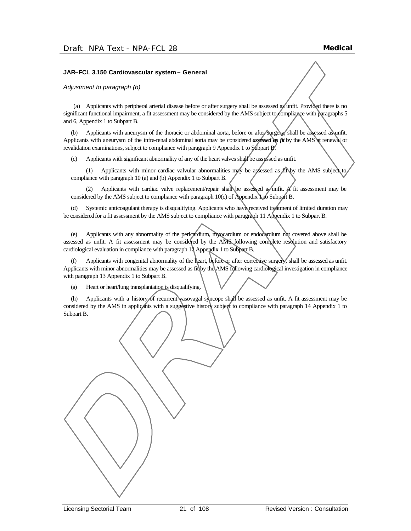#### **JAR–FCL 3.150 Cardiovascular system – General**

*Adjustment to paragraph (b)*

 (a) Applicants with peripheral arterial disease before or after surgery shall be assessed as unfit. Provided there is no significant functional impairment, a fit assessment may be considered by the AMS subject to compliance with paragraphs 5 and 6, Appendix 1 to Subpart B.

(b) Applicants with aneurysm of the thoracic or abdominal aorta, before or after surgery, shall be assessed as unfit. Applicants with aneurysm of the infra-renal abdominal aorta may be considered *assessed as fit* by the AMS at renewal or revalidation examinations, subject to compliance with paragraph 9 Appendix 1 to Subpart B.

(c) Applicants with significant abnormality of any of the heart valves shall be assessed as unfit.

(1) Applicants with minor cardiac valvular abnormalities may be assessed as fit by the AMS subject to compliance with paragraph 10 (a) and (b) Appendix 1 to Subpart B.

(2) Applicants with cardiac valve replacement/repair shall be assessed as unfit. A fit assessment may be considered by the AMS subject to compliance with paragraph  $10(c)$  of Appendix 1 to Subpart B.

(d) Systemic anticoagulant therapy is disqualifying. Applicants who have received treatment of limited duration may be considered for a fit assessment by the AMS subject to compliance with paragraph 11 Appendix 1 to Subpart B.

(e) Applicants with any abnormality of the pericardium, myocardium or endocardium not covered above shall be assessed as unfit. A fit assessment may be considered by the AMS following complete resolution and satisfactory cardiological evaluation in compliance with paragraph 12 Appendix 1 to Subpart B.

(f) Applicants with congenital abnormality of the heart, before or after corrective surgery, shall be assessed as unfit. Applicants with minor abnormalities may be assessed as fit by the AMS following cardiological investigation in compliance with paragraph 13 Appendix 1 to Subpart B.

(g) Heart or heart/lung transplantation is disqualifying.

(h) Applicants with a history of recurrent vasovagal syncope shall be assessed as unfit. A fit assessment may be considered by the AMS in applicants with a suggestive history subject to compliance with paragraph 14 Appendix 1 to Subpart B.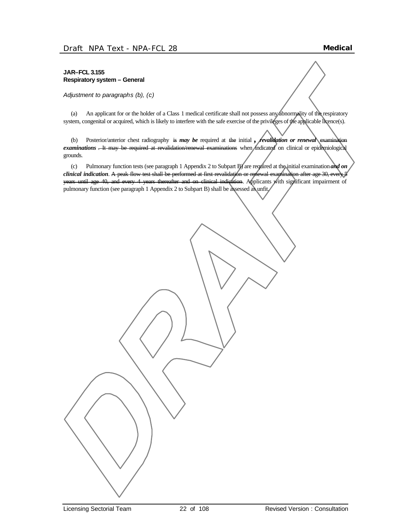## **JAR–FCL 3.155 Respiratory system – General**

*Adjustment to paragraphs (b), (c)*

(a) An applicant for or the holder of a Class 1 medical certificate shall not possess any abnormality of the respiratory system, congenital or acquired, which is likely to interfere with the safe exercise of the privileges of the applicable licence(s).

(b) Posterior/anterior chest radiography is *may be* required at the initial, *revalidation or renewal* exam *examinations* . It may be required at revalidation/renewal examinations when Indicated on clinical or epidemiological grounds.

(c) Pulmonary function tests (see paragraph 1 Appendix 2 to Subpart B) are required at the initial examination *and on clinical indication*. A peak flow test shall be performed at first revalidation or renewal examination after age 30 years until age 40, and every 4 years thereafter and on clinical indication. Applicants with significant impairment of pulmonary function (see paragraph 1 Appendix 2 to Subpart B) shall be assessed as unfit.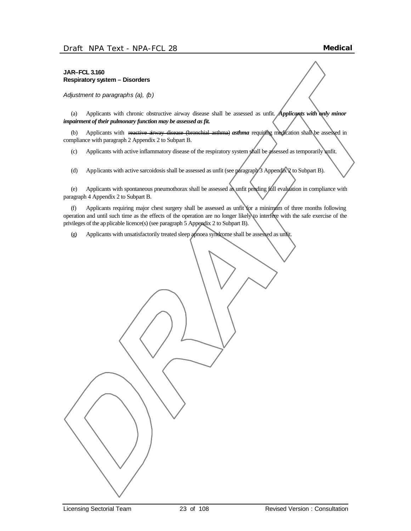# **JAR–FCL 3.160 Respiratory system – Disorders**

*Adjustment to paragraphs (a), (b)*

(a) Applicants with chronic obstructive airway disease shall be assessed as unfit. *Applicants with only minor impairment of their pulmonary function may be assessed as fit.*

(b) Applicants with reactive airway disease (bronchial asthma) *asthma* requiring medication shall be assessed in compliance with paragraph 2 Appendix 2 to Subpart B.

- (c) Applicants with active inflammatory disease of the respiratory system shall be assessed as temporarily unfit.
- (d) Applicants with active sarcoidosis shall be assessed as unfit (see paragraph 3 Appendix 2 to Subpart B).

(e) Applicants with spontaneous pneumothorax shall be assessed as unfit pending full evaluation in compliance with paragraph 4 Appendix 2 to Subpart B.

(f) Applicants requiring major chest surgery shall be assessed as unfit for a minimum of three months following operation and until such time as the effects of the operation are no longer likely to interfere with the safe exercise of the privileges of the applicable licence(s) (see paragraph 5 Appendix 2 to Subpart B).

(g) Applicants with unsatisfactorily treated sleep apnoea syndrome shall be assessed as unfit.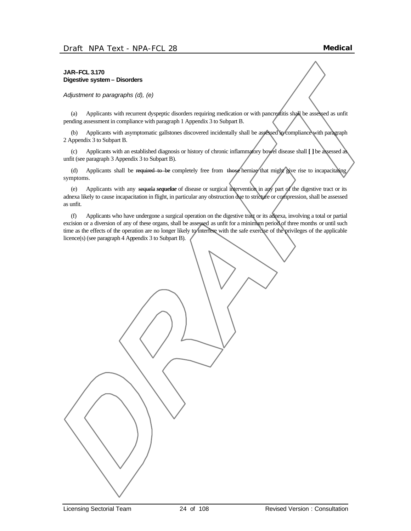# **JAR–FCL 3.170 Digestive system – Disorders**

*Adjustment to paragraphs (d), (e)*

(a) Applicants with recurrent dyspeptic disorders requiring medication or with pancreatitis shall be assessed as unfit pending assessment in compliance with paragraph 1 Appendix 3 to Subpart B.

(b) Applicants with asymptomatic gallstones discovered incidentally shall be assessed in compliance with paragraph 2 Appendix 3 to Subpart B.

(c) Applicants with an established diagnosis or history of chronic inflammatory bowel disease shall **[ ]** be assessed as unfit (see paragraph 3 Appendix 3 to Subpart B).

(d) Applicants shall be required to be completely free from those hernias that might give rise to incapacitating symptoms.

(e) Applicants with any sequela *sequelae* of disease or surgical intervention in any part of the digestive tract or its adnexa likely to cause incapacitation in flight, in particular any obstruction due to stricture or compression, shall be assessed as unfit.

(f) Applicants who have undergone a surgical operation on the digestive tract or its adnexa, involving a total or partial excision or a diversion of any of these organs, shall be assessed as unfit for a minimum period of three months or until such time as the effects of the operation are no longer likely to interfere with the safe exercise of the privileges of the applicable licence(s) (see paragraph 4 Appendix 3 to Subpart B).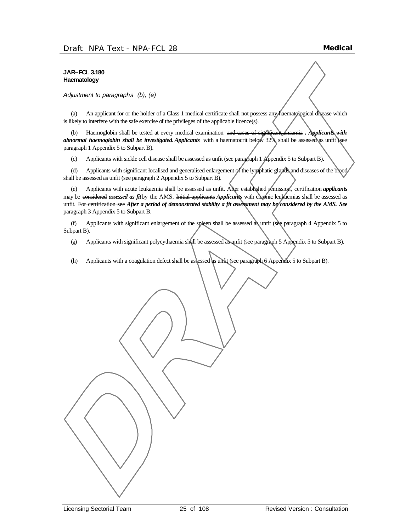#### **JAR–FCL 3.180 Haematology**

*Adjustment to paragraphs (b), (e)*

(a) An applicant for or the holder of a Class 1 medical certificate shall not possess any haematological disease which is likely to interfere with the safe exercise of the privileges of the applicable licence(s).

(b) Haemoglobin shall be tested at every medical examination and cases of significant anaemia *. Applicants with abnormal haemoglobin shall be investigated. Applicants* with a haematocrit below 32% shall be assessed as unfit (see paragraph 1 Appendix 5 to Subpart B).

(c) Applicants with sickle cell disease shall be assessed as unfit (see paragraph 1 Appendix 5 to Subpart B).

(d) Applicants with significant localised and generalised enlargement of the lymphatic glands and diseases of the blood shall be assessed as unfit (see paragraph 2 Appendix 5 to Subpart B).

(e) Applicants with acute leukaemia shall be assessed as unfit. After established remission, certification *applicants* may be considered *assessed as fit* by the AMS. Initial applicants *Applicants* with chronic leukaemias shall be assessed as unfit. For certification see *After a period of demonstrated stability a fit assessment may be considered by the AMS. See*  paragraph 3 Appendix 5 to Subpart B.

(f) Applicants with significant enlargement of the spleen shall be assessed as unfit (see paragraph 4 Appendix 5 to Subpart B).

- (g) Applicants with significant polycythaemia shall be assessed as unfit (see paragraph 5 Appendix 5 to Subpart B).
- (h) Applicants with a coagulation defect shall be assessed as unfit (see paragraph 6 Appendix 5 to Subpart B).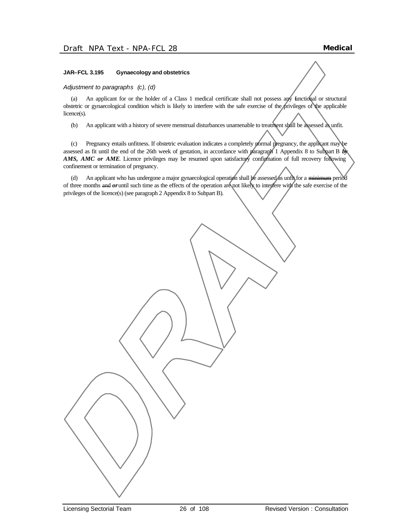#### **JAR–FCL 3.195 Gynaecology and obstetrics**

#### *Adjustment to paragraphs (c), (d)*

(a) An applicant for or the holder of a Class 1 medical certificate shall not possess any functional or structural obstetric or gynaecological condition which is likely to interfere with the safe exercise of the privileges of the applicable licence(s).

(b) An applicant with a history of severe menstrual disturbances unamenable to treatment shall be assessed as unfit.

(c) Pregnancy entails unfitness. If obstetric evaluation indicates a completely normal pregnancy, the applicant may be assessed as fit until the end of the 26th week of gestation, in accordance with paragraph 1 Appendix 8 to Subpart B *by AMS, AMC or AME*. Licence privileges may be resumed upon satisfactory confirmation of full recovery following confinement or termination of pregnancy.

(d) An applicant who has undergone a major gynaecological operation shall be assessed as unfit for a minimum period of three months and *or* until such time as the effects of the operation are not likely to interfere with the safe exercise of the privileges of the licence(s) (see paragraph 2 Appendix 8 to Subpart B).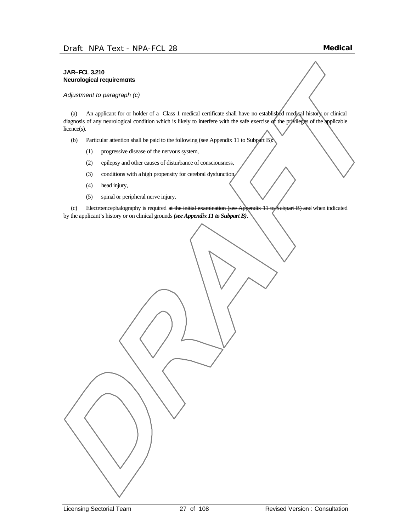# **JAR–FCL 3.210 Neurological requirements**

*Adjustment to paragraph (c)*

(a) An applicant for or holder of a Class 1 medical certificate shall have no established medical history or clinical diagnosis of any neurological condition which is likely to interfere with the safe exercise of the privileges of the applicable licence(s).

(b) Particular attention shall be paid to the following (see Appendix 11 to Subpart B):

- (1) progressive disease of the nervous system,
- (2) epilepsy and other causes of disturbance of consciousness,
- (3) conditions with a high propensity for cerebral dysfunction,
- (4) head injury,
- (5) spinal or peripheral nerve injury.

(c) Electroencephalography is required at the initial examination (see Appendix 11 to Subpart B) and when indicated by the applicant's history or on clinical grounds *(see Appendix 11 to Subpart B)*.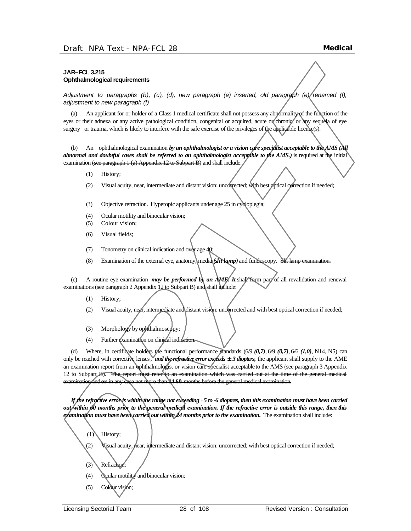#### **JAR–FCL 3.215 Ophthalmological requirements**

*Adjustment to paragraphs (b), (c), (d), new paragraph (e) inserted, old paragraph (e) renamed (f), adjustment to new paragraph (f)*

(a) An applicant for or holder of a Class 1 medical certificate shall not possess any abnormality of the function of the eyes or their adnexa or any active pathological condition, congenital or acquired, acute or chronic, or any sequela of eye surgery or trauma, which is likely to interfere with the safe exercise of the privileges of the applicable licence(s).

(b) An ophthalmological examination *by an ophthalmologist or a vision care specialist acceptable to the AMS (All abnormal and doubtful cases shall be referred to an ophthalmologist acceptable to the AMS.)* is required at the initial examination (see paragraph 1 (a) Appendix 12 to Subpart B) and shall include:

- (1) History;
- (2) Visual acuity, near, intermediate and distant vision: uncorrected; with best optical correction if needed;
- (3) Objective refraction. Hyperopic applicants under age 25 in cycloplegia;
- (4) Ocular motility and binocular vision;
- (5) Colour vision;
- (6) Visual fields;
- (7) Tonometry on clinical indication and over age 40;
- (8) Examination of the external eye, anatomy, media  $(slit \n<sub>amp</sub>)$  and fundoscopy.

(c) A routine eye examination *may be performed by an AME. It* shall form part of all revalidation and renewal examinations (see paragraph 2 Appendix 12 to Subpart B) and shall include:

- (1) History;
- (2) Visual acuity, near, intermediate and distant vision: uncorrected and with best optical correction if needed;
- (3) Morphology by ophthalmoscopy;
- (4) Further examination on clinical indication.

(d) Where, in certificate holders the functional performance standards (6/9 *(0,7)*, 6/9 *(0,7)*, 6/6 *(1,0)*, N14, N5) can only be reached with corrective lenses, *and the refractive error exceeds*  $\pm$  3 *diopters*, the applicant shall supply to the AME an examination report from an ophthalmologist or vision care specialist acceptable to the AMS (see paragraph 3 Appendix 12 to Subpart B). The report must refer to an examination which was carried out at the time of the general medical examination and **or** in any case not more than 24 **60** months before the general medical examination.

*If the refractive error is within the range not exceeding +5 to -6 dioptres, then this examination must have been carried out within 60 months prior to the general medical examination. If the refractive error is outside this range, then this examination must have been carried out within 24 months prior to the examination.* The examination shall include:

 $(1)$  History;

(3) Refraction;

(5) Colour vision;

(2) Visual acuity, near, intermediate and distant vision: uncorrected; with best optical correction if needed;

(4) Ocular motility and binocular vision;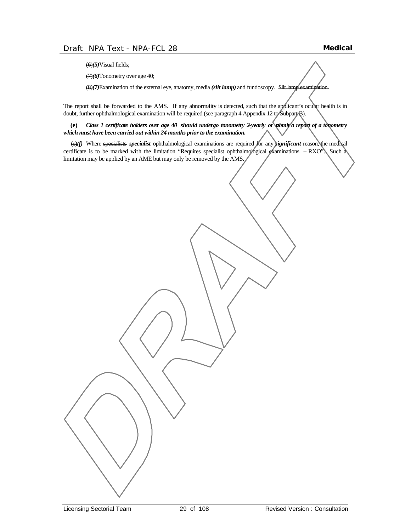(6)*(5)*Visual fields;

(7)*(6)*Tonometry over age 40;

(8)<sup>(7)</sup>Examination of the external eye, anatomy, media *(slit lamp)* and fundoscopy. Slit lan

The report shall be forwarded to the AMS. If any abnormality is detected, such that the applicant's ocular health is in doubt, further ophthalmological examination will be required (see paragraph 4 Appendix 12 to Subpart B).

 **(e)** *Class 1 certificate holders over age 40 should undergo tonometry 2-yearly or submit a report of a tonometry which must have been carried out within 24 months prior to the examination.*

(e)*(f)* Where specialists *specialist* ophthalmological examinations are required for any *significant* reason, the medical certificate is to be marked with the limitation "Requires specialist ophthalmological examinations – RXO". Such a limitation may be applied by an AME but may only be removed by the AMS.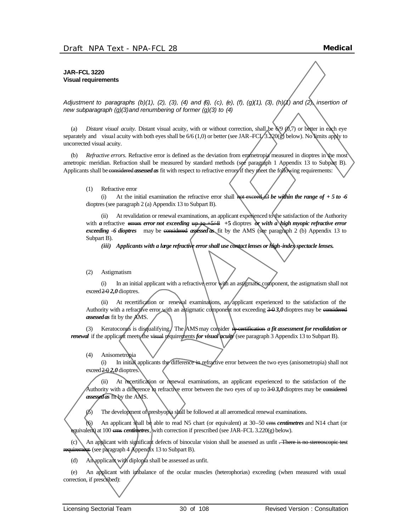#### **JAR–FCL 3.220 Visual requirements**

*Adjustment to paragraphs (b)(1), (2), (3), (4) and (6), (c), (e), (f), (g)(1), (3), (h)(1) and (2), insertion of new subparagraph (g)(3)and renumbering of former (g)(3) to (4)*

Distant visual acuity. Distant visual acuity, with or without correction, shall be  $6/9$  (0,7) or better in each eye separately and visual acuity with both eyes shall be  $6/6$  (1,0) or better (see JAR–FCL/3.220(g) below). No limits apply to uncorrected visual acuity.

(b) *Refractive errors.* Refractive error is defined as the deviation from emmetropia measured in dioptres in the most ametropic meridian. Refraction shall be measured by standard methods (see paragraph 1 Appendix 13 to Subpart B). Applicants shall be considered *assessed as* fit with respect to refractive errors if they meet the following requirements:

(1) Refractive error

(i) At the initial examination the refractive error shall not exceed  $\triangle$  *be within the range of + 5 to -6* dioptres (see paragraph 2 (a) Appendix 13 to Subpart B).

(ii) At revalidation or renewal examinations, an applicant experienced to the satisfaction of the Authority with *a* refractive errors *error not* exceeding  $\frac{1}{2} + \frac{1}{2} + \frac{1}{2}$  +5 dioptres  $\frac{1}{2}$  with a *luigh myopic refractive error exceeding -6 dioptres*may be considered *assessed as* fit by the AMS (see paragraph 2 (b) Appendix 13 to Subpart B).

*(iii) Applicants with a large refractive error shall use contact lenses or high-index spectacle lenses.* 

# (2) Astigmatism

(i) In an initial applicant with a refractive error with an astigmatic component, the astigmatism shall not exceed 2·0 *2,0* dioptres.

At recertification or renewal examinations, an applicant experienced to the satisfaction of the Authority with a refractive error with an astigmatic component not exceeding  $3-0.3$ , 0 dioptres may be considered *assessed as* fit by the AMS.

Keratoconus is disqualifying. The AMS may consider revertification *a fit assessment for revalidation or renewal* if the applicant meets the visual requirements *for visual acuity* (see paragraph 3 Appendix 13 to Subpart B).

(4) Anisometropia

(i) In initial applicants the difference in refractive error between the two eyes (anisometropia) shall not exceed 2-0 2,0 dioptres

At recertification or renewal examinations, an applicant experienced to the satisfaction of the Authority with a difference in refractive error between the two eyes of up to 3·0 *3,0* dioptres may be considered *assessed as* fit by the AMS.

(5) The development of presbyopia shall be followed at all aeromedical renewal examinations.

(6) An applicant shall be able to read N5 chart (or equivalent) at 30–50 cms *centimetres* and N14 chart (or equivalent) at 100 cms *centimetres*, with correction if prescribed (see JAR–FCL 3.220(g) below).

(c) An applicant with significant defects of binocular vision shall be assessed as unfit. There is no stereoscopic test requirement (see paragraph 4 Appendix 13 to Subpart B).

(d) An applicant with diplopia shall be assessed as unfit.

(e) An applicant with imbalance of the ocular muscles (heterophorias) exceeding (when measured with usual correction, if prescribed):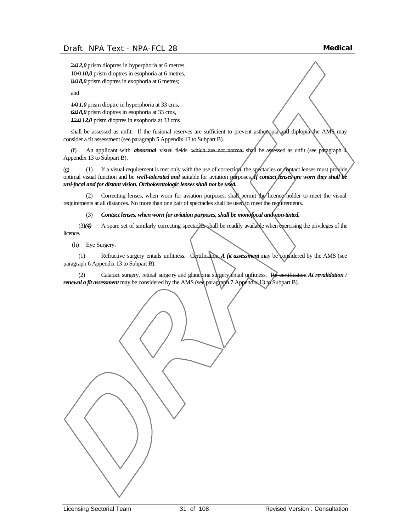202,0 prism dioptres in hyperphoria at 6 metres, 10·0 *10,0* prism dioptres in esophoria at 6 metres, 8·0 *8,0* prism dioptres in exophoria at 6 metres;

and

1·0 *1,0* prism dioptre in hyperphoria at 33 cms, 6·0 *8,0* prism dioptres in esophoria at 33 cms, 12·0 *12,0* prism dioptres in exophoria at 33 cms

shall be assessed as unfit. If the fusional reserves are sufficient to prevent asthenopia and diplopia the AMS may consider a fit assessment (see paragraph 5 Appendix 13 to Subpart B).

(f) An applicant with *abnormal* visual fields which are not normal shall be assessed as unfit (see paragraph 4 Appendix 13 to Subpart B).

(g) (1) If a visual requirement is met only with the use of correction, the spectacles or contact lenses must provide optimal visual function and be *well-tolerated and* suitable for aviation purposes. *If contact lenses are worn they shall be uni-focal and for distant vision. Orthokeratologic lenses shall not be used.*

(2) Correcting lenses, when worn for aviation purposes, shall permit the licence holder to meet the visual requirements at all distances. No more than one pair of spectacles shall be used to meet the requirements.

(3) *Contact lenses, when worn for aviation purposes, shall be monofocal and non-tinted.*

(3)*(4)* A spare set of similarly correcting spectacles shall be readily available when exercising the privileges of the licence.

(h) Eye Surgery.

(1) Refractive surgery entails unfitness. Certification *A fit assessment* may be considered by the AMS (see paragraph 6 Appendix 13 to Subpart B).

(2) Cataract surgery, retinal surge ry and glaucoma surgery entail unfitness. Re-certification *At revalidation / renewal a fit assessment* may be considered by the AMS (see paragraph 7 Appendix 13 to Subpart B).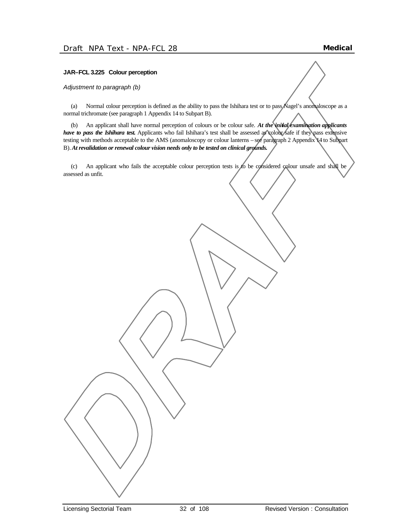#### **JAR–FCL 3.225 Colour perception**

*Adjustment to paragraph (b)*

(a) Normal colour perception is defined as the ability to pass the Ishihara test or to pass Nagel's anomaloscope as a normal trichromate (see paragraph 1 Appendix 14 to Subpart B).

(b) An applicant shall have normal perception of colours or be colour safe. *At the initial examination applicants have to pass the Ishihara test.* Applicants who fail Ishihara's test shall be assessed as colour safe if they pass extensive testing with methods acceptable to the AMS (anomaloscopy or colour lanterns – see paragraph 2 Appendix 14 to Subpart B). At revalidation or renewal colour vision needs only to be tested on clinical grounds.

(c) An applicant who fails the acceptable colour perception tests is  $\ell$  be considered colour unsafe and shall be assessed as unfit.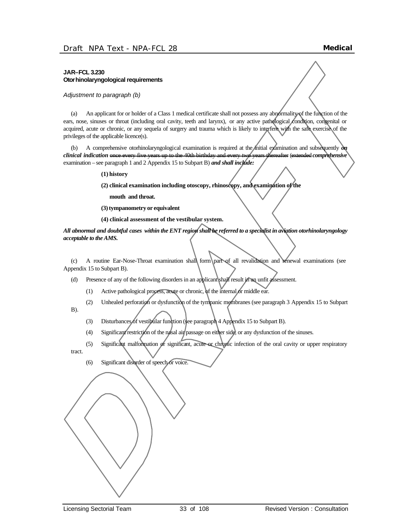# **JAR–FCL 3.230 Otorhinolaryngological requirements**

*Adjustment to paragraph (b)*

(a) An applicant for or holder of a Class 1 medical certificate shall not possess any abnormality of the function of the ears, nose, sinuses or throat (including oral cavity, teeth and larynx), or any active pathological condition, congenital or acquired, acute or chronic, or any sequela of surgery and trauma which is likely to interfere with the safe exercise of the privileges of the applicable licence(s).

(b) A comprehensive otorhinolaryngological examination is required at the initial examination and subsequently *on clinical indication* once every five years up to the 40th birthday and every two years thereafter (extended*comprehensive* examination – see paragraph 1 and 2 Appendix 15 to Subpart B) *and shall include:*

# **(1) history**

**(2) clinical examination including otoscopy, rhinoscopy, and examination of the**

# **mouth and throat.**

**(3) tympanometry or equivalent**

**(4) clinical assessment of the vestibular system.**

*All abnormal and doubtful cases within the ENT region shall be referred to a specialist in aviation otorhinolaryngology acceptable to the AMS.*

(c) A routine Ear-Nose-Throat examination shall form part of all revalidation and renewal examinations (see Appendix 15 to Subpart B).

(d) Presence of any of the following disorders in an applicant shall result in an unfit assessment.

- (1) Active pathological process, acute or chronic, of the internal or middle ear.
- (2) Unhealed perforation or dysfunction of the tympanic membranes (see paragraph 3 Appendix 15 to Subpart

B).

- (3) Disturbances of vestibular function (see paragraph 4 Appendix 15 to Subpart B).
- (4) Significant restriction of the nasal air passage on either side, or any dysfunction of the sinuses.
- (5) Significant malformation or significant, acute or chronic infection of the oral cavity or upper respiratory

tract.

| (6) | Significant disorder of speech or voice. |  |  |
|-----|------------------------------------------|--|--|
|     |                                          |  |  |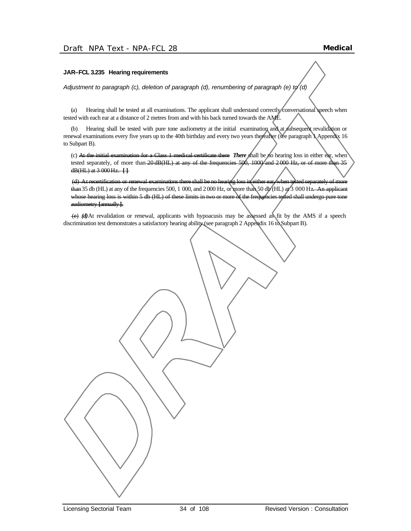# **JAR–FCL 3.235 Hearing requirements**

*Adjustment to paragraph (c), deletion of paragraph (d), renumbering of paragraph (e) to (d)*

(a) Hearing shall be tested at all examinations. The applicant shall understand correctly conversational speech when tested with each ear at a distance of 2 metres from and with his back turned towards the AME.

(b) Hearing shall be tested with pure tone audiometry at the initial examination and at subsequent revalidation or renewal examinations every five years up to the 40th birthday and every two years the feather (see paragraph 1 Appendix 16 to Subpart B).

(c) At the initial examination for a Class 1 medical certificate there *There* shall be no hearing loss in either ear, when tested separately, of more than 20 dB(HL) at any of the frequencies 500, 1000 and 2000 Hz. dB(HL) at 3 000Hz. **[ ]**

(d) At recertification or renewal examinations there shall be no hearing loss in either ear, when tested separately of more than 35 db (HL) at any of the frequencies 500, 1 000, and 2 000 Hz, or more than 50 db (HL) at 3 000 Hz. An applicant whose hearing loss is within 5 db (HL) of these limits in two or more of the frequencies tested shall undergo pure tone audiometry **[**annually**]**.

 (e) *(d)*At revalidation or renewal, applicants with hypoacusis may be assessed as fit by the AMS if a speech discrimination test demonstrates a satisfactory hearing ability (see paragraph 2 Appendix 16 to Subpart B).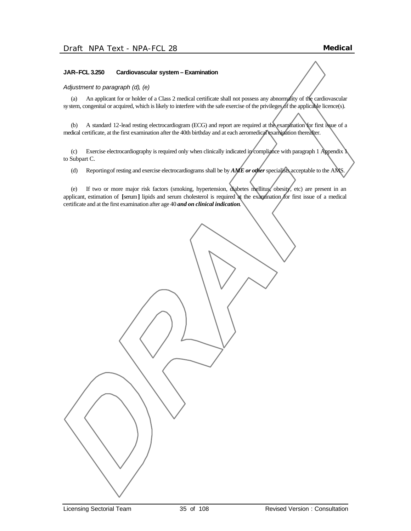#### **JAR–FCL 3.250 Cardiovascular system – Examination**

#### *Adjustment to paragraph (d), (e)*

(a) An applicant for or holder of a Class 2 medical certificate shall not possess any abnormality of the cardiovascular system, congenital or acquired, which is likely to interfere with the safe exercise of the privileges of the applicable licence(s).

(b) A standard 12-lead resting electrocardiogram (ECG) and report are required at the examination for first issue of a medical certificate, at the first examination after the 40th birthday and at each aeromedical examination thereafter.

(c) Exercise electrocardiography is required only when clinically indicated in compliance with paragraph 1 Appendix 1 to Subpart C.

(d) Reporting of resting and exercise electrocardiograms shall be by *AME or other* specialists acceptable to the AMS.

(e) If two or more major risk factors (smoking, hypertension, diabetes mellitus, obesity, etc) are present in an applicant, estimation of **[**serum**]** lipids and serum cholesterol is required at the examination for first issue of a medical certificate and at the first examination after age 40 *and on clinical indication*.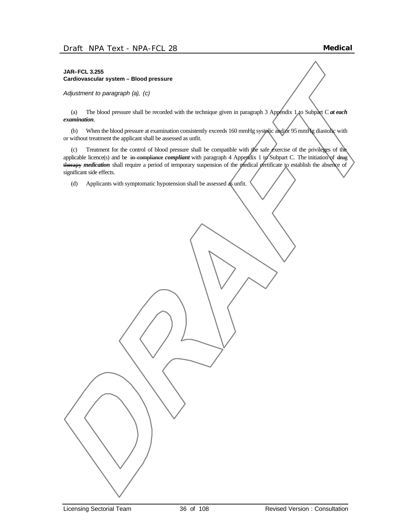#### **JAR–FCL 3.255 Cardiovascular system – Blood pressure**

*Adjustment to paragraph (a), (c)*

(a) The blood pressure shall be recorded with the technique given in paragraph 3 Appendix 1 to Subpart C *at each examination*.

(b) When the blood pressure at examination consistently exceeds 160 mmHg systolic and/or 95mmHg diastolic with or without treatment the applicant shall be assessed as unfit.

(c) Treatment for the control of blood pressure shall be compatible with the safe exercise of the privileges of the applicable licence(s) and be in compliance *compliant* with paragraph 4 Appendix 1 to Subpart C. The initiation of drug therapy *medication* shall require a period of temporary suspension of the medical certificate to establish the absence of significant side effects.

(d) Applicants with symptomatic hypotension shall be assessed as unfit.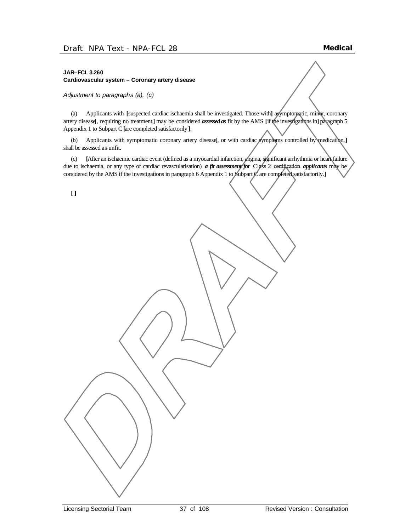## **JAR–FCL 3.260 Cardiovascular system – Coronary artery disease**

*Adjustment to paragraphs (a), (c)*

(a) Applicants with **[**suspected cardiac ischaemia shall be investigated. Those with**]** asymptomatic, minor, coronary artery disease**[**, requiring no treatment,**]** may be considered *assessed as* fit by the AMS **[**if the investigations in**]** paragraph 5 Appendix 1 to Subpart C **[**are completed satisfactorily **]**.

(b) Applicants with symptomatic coronary artery disease<sup>[, or with cardiac symptoms controlled by medication,]</sup> shall be assessed as unfit.

(c) **[**After an ischaemic cardiac event (defined as a myocardial infarction, angina, significant arrhythmia or heart failure due to ischaemia, or any type of cardiac revascularisation) *a fit assessment for* Class 2 certification *applicants* may be considered by the AMS if the investigations in paragraph 6 Appendix 1 to Subpart C are completed satisfactorily.]

**[ ]**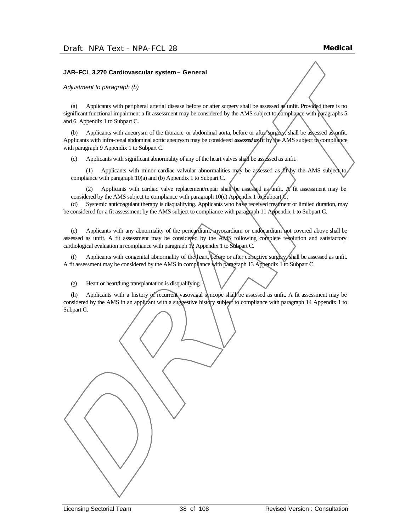## **JAR–FCL 3.270 Cardiovascular system – General**

*Adjustment to paragraph (b)* 

(a) Applicants with peripheral arterial disease before or after surgery shall be assessed as unfit. Provided there is no significant functional impairment a fit assessment may be considered by the AMS subject to compliance with paragraphs 5 and 6, Appendix 1 to Subpart C.

(b) Applicants with aneurysm of the thoracic or abdominal aorta, before or after surgery, shall be assessed as unfit. Applicants with infra-renal abdominal aortic aneurysm may be considered *assessed as* fit by the AMS subject to compliance with paragraph 9 Appendix 1 to Subpart C.

(c) Applicants with significant abnormality of any of the heart valves shall be assessed as unfit.

(1) Applicants with minor cardiac valvular abnormalities may be assessed as fit by the AMS subject to compliance with paragraph 10(a) and (b) Appendix 1 to Subpart C.

(2) Applicants with cardiac valve replacement/repair shall be assessed as unfit. A fit assessment may be considered by the AMS subject to compliance with paragraph 10(c) Appendix 1 to Subpart C.

(d) Systemic anticoagulant therapy is disqualifying. Applicants who have received treatment of limited duration, may be considered for a fit assessment by the AMS subject to compliance with paragraph 11 Appendix 1 to Subpart C.

(e) Applicants with any abnormality of the pericardium, myocardium or endocardium not covered above shall be assessed as unfit. A fit assessment may be considered by the AMS following complete resolution and satisfactory cardiological evaluation in compliance with paragraph 12 Appendix 1 to Subpart C.

(f) Applicants with congenital abnormality of the heart, before or after corrective surgery, shall be assessed as unfit. A fit assessment may be considered by the AMS in compliance with paragraph 13 Appendix 1 to Subpart C.

(g) Heart or heart/lung transplantation is disqualifying.

(h) Applicants with a history of recurrent vasovagal syncope shall be assessed as unfit. A fit assessment may be considered by the AMS in an applicant with a suggestive history subject to compliance with paragraph 14 Appendix 1 to Subpart C.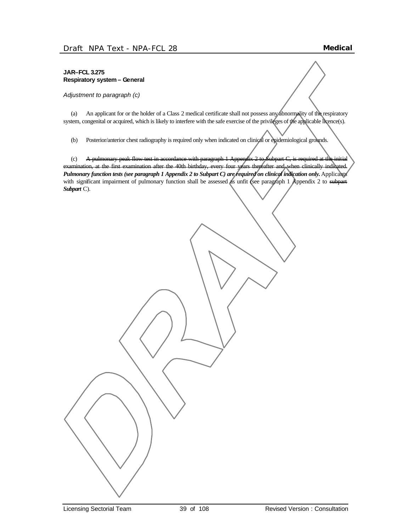## **JAR–FCL 3.275 Respiratory system – General**

*Adjustment to paragraph (c)*

(a) An applicant for or the holder of a Class 2 medical certificate shall not possess any abnormality of the respiratory system, congenital or acquired, which is likely to interfere with the safe exercise of the privileges of the applicable licence(s).

(b) Posterior/anterior chest radiography is required only when indicated on clinical or epidemiological grounds.

(c) A pulmonary peak flow test in accordance with paragraph 1 Appendix 2 to Subpart C, is required at the initial examination, at the first examination after the 40th birthday, every four years the peafter and when clinically indicated *Pulmonary function tests (see paragraph 1 Appendix 2 to Subpart C) are required on clinical indication only.* Applicants with significant impairment of pulmonary function shall be assessed as unfit (see paragraph 1 Appendix 2 to subpart *Subpart* C).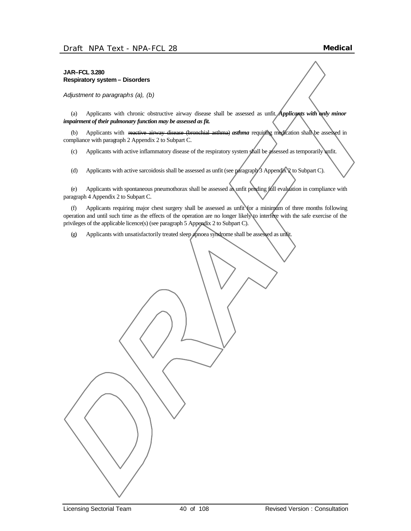## **JAR–FCL 3.280 Respiratory system – Disorders**

*Adjustment to paragraphs (a), (b)*

(a) Applicants with chronic obstructive airway disease shall be assessed as unfit. *Applicants with only minor impairment of their pulmonary function may be assessed as fit.*

(b) Applicants with reactive airway disease (bronchial asthma) *asthma* requiring medication shall be assessed in compliance with paragraph 2 Appendix 2 to Subpart C.

- (c) Applicants with active inflammatory disease of the respiratory system shall be assessed as temporarily unfit.
- (d) Applicants with active sarcoidosis shall be assessed as unfit (see paragraph  $\beta$  Appendix  $\mathcal{Q}$  to Subpart C).

(e) Applicants with spontaneous pneumothorax shall be assessed as unfit pending full evaluation in compliance with paragraph 4 Appendix 2 to Subpart C.

(f) Applicants requiring major chest surgery shall be assessed as unfit for a minimum of three months following operation and until such time as the effects of the operation are no longer likely to interfere with the safe exercise of the privileges of the applicable licence(s) (see paragraph 5 Appendix 2 to Subpart C).

(g) Applicants with unsatisfactorily treated sleep apnoea syndrome shall be assessed as unfit.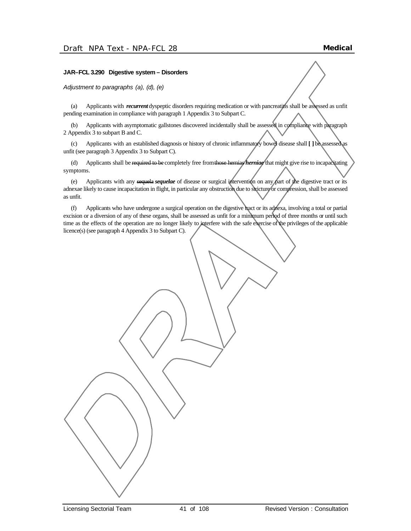## **JAR–FCL 3.290 Digestive system – Disorders**

*Adjustment to paragraphs (a), (d), (e)*

(a) Applicants with *recurrent*dyspeptic disorders requiring medication or with pancreatitis shall be assessed as unfit pending examination in compliance with paragraph 1 Appendix 3 to Subpart C.

(b) Applicants with asymptomatic gallstones discovered incidentally shall be assessed in compliance with paragraph 2 Appendix 3 to subpart B and C.

(c) Applicants with an established diagnosis or history of chronic inflammatory bowel disease shall **[ ]** be assessed as unfit (see paragraph 3 Appendix 3 to Subpart C).

(d) Applicants shall be required to be completely free from those hernias *herniae* that might give rise to incapacitating symptoms.

(e) Applicants with any sequela *sequelae* of disease or surgical intervention on any part of the digestive tract or its adnexae likely to cause incapacitation in flight, in particular any obstruction due to stricture or compression, shall be assessed as unfit.

(f) Applicants who have undergone a surgical operation on the digestive tract or its adnexa, involving a total or partial excision or a diversion of any of these organs, shall be assessed as unfit for a minimum period of three months or until such time as the effects of the operation are no longer likely to interfere with the safe exercise of the privileges of the applicable licence(s) (see paragraph 4 Appendix 3 to Subpart C).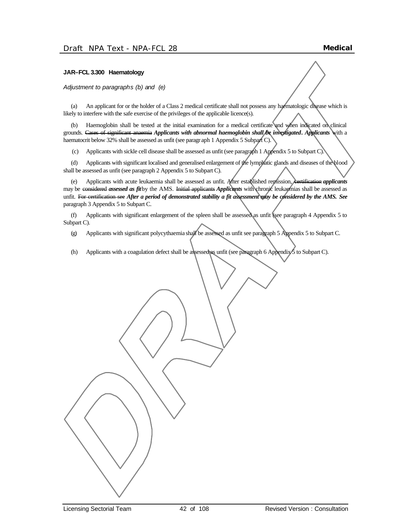*Adjustment to paragraphs (b) and (e)*

(a) An applicant for or the holder of a Class 2 medical certificate shall not possess any haematologic disease which is likely to interfere with the safe exercise of the privileges of the applicable licence(s).

(b) Haemoglobin shall be tested at the initial examination for a medical certificate and when indicated on clinical grounds. Cases of significant anaemia *Applicants with abnormal haemoglobin shall be investigated. Applicants* with a haematocrit below 32% shall be assessed as unfit (see paragr aph 1 Appendix 5 Subpart C).

(c) Applicants with sickle cell disease shall be assessed as unfit (see paragraph 1 Appendix 5 to Subpart C).

(d) Applicants with significant localised and generalised enlargement of the lymphatic glands and diseases of the blood shall be assessed as unfit (see paragraph 2 Appendix 5 to Subpart C).

(e) Applicants with acute leukaemia shall be assessed as unfit. After established remission, certification *applicants* may be considered *assessed as fit* by the AMS. Initial applicants *Applicants* with chronic leukaemias shall be assessed as unfit. For certification see *After a period of demonstrated stability a fit assessment may be considered by the AMS. See*  paragraph 3 Appendix 5 to Subpart C.

(f) Applicants with significant enlargement of the spleen shall be assessed as unfit (see paragraph 4 Appendix 5 to Subpart C).

- (g) Applicants with significant polycythaemia shall be assessed as unfit see paragraph 5 Appendix 5 to Subpart C.
- (h) Applicants with a coagulation defect shall be assessed as unfit (see paragraph 6 Appendix 5 to Subpart C).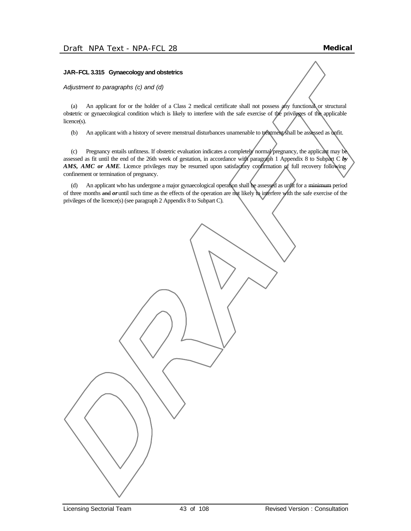## **JAR–FCL 3.315 Gynaecology and obstetrics**

*Adjustment to paragraphs (c) and (d)*

(a) An applicant for or the holder of a Class 2 medical certificate shall not possess any functional or structural obstetric or gynaecological condition which is likely to interfere with the safe exercise of the privileges of the applicable licence(s).

(b) An applicant with a history of severe menstrual disturbances unamenable to treatment shall be assessed as unfit.

(c) Pregnancy entails unfitness. If obstetric evaluation indicates a completely normal pregnancy, the applicant may be assessed as fit until the end of the 26th week of gestation, in accordance with paragraph 1 Appendix 8 to Subpart C *by*  AMS, AMC or AME. Licence privileges may be resumed upon satisfactory confirmation of full recovery following confinement or termination of pregnancy.

(d) An applicant who has undergone a major gynaecological operation shall be assessed as unfit for a minimum period of three months and *or* until such time as the effects of the operation are not likely to interfere with the safe exercise of the privileges of the licence(s) (see paragraph 2 Appendix 8 to Subpart C).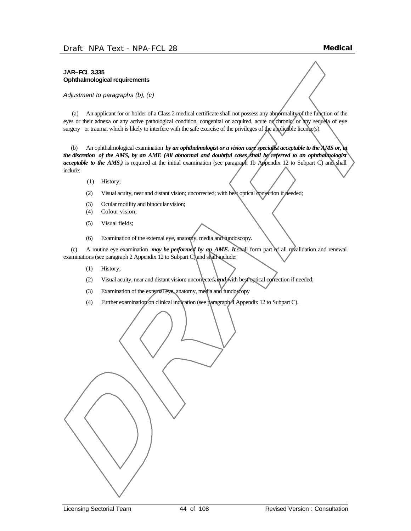## **JAR–FCL 3.335 Ophthalmological requirements**

*Adjustment to paragraphs (b), (c)*

 (a) An applicant for or holder of a Class 2 medical certificate shall not possess any abnormality of the function of the eyes or their adnexa or any active pathological condition, congenital or acquired, acute or chronic, or any sequela of eye surgery or trauma, which is likely to interfere with the safe exercise of the privileges of the applicable licence(s).

(b) An ophthalmological examination *by an ophthalmologist or a vision care specialist acceptable to the AMS or, at the discretion of the AMS, by an AME (All abnormal and doubtful cases shall be referred to an ophthalmologist acceptable to the AMS.*) is required at the initial examination (see paragraph 1b Appendix 12 to Subpart C) and shall include:

- (1) History;
- (2) Visual acuity, near and distant vision; uncorrected; with best optical correction if needed;
- (3) Ocular motility and binocular vision;
- (4) Colour vision;
- (5) Visual fields;
- (6) Examination of the external eye, anatomy, media and fundoscopy.

(c) A routine eye examination *may be performed by an AME. It* shall form part of all revalidation and renewal examinations (see paragraph 2 Appendix 12 to Subpart C) and shall include:

- (1) History;
- (2) Visual acuity, near and distant vision: uncorrected; *and* with best optical correction if needed;
- (3) Examination of the external eye, anatomy, media and fundoscopy
- (4) Further examination on clinical indication (see paragraph  $4$  Appendix 12 to Subpart C).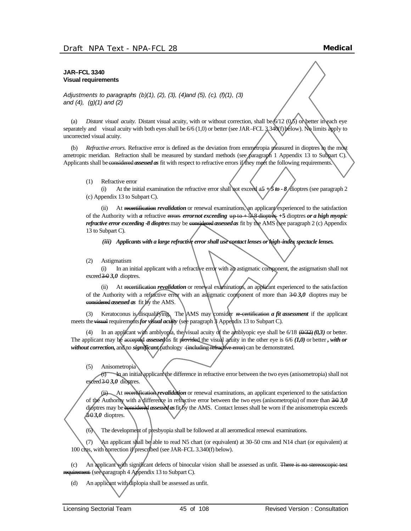#### **JAR–FCL 3.340 Visual requirements**

*Adjustments to paragraphs (b)(1), (2), (3), (4)and (5), (c), (f)(1), (3) and (4), (g)(1) and (2)*

(a) *Distant visual acuity.* Distant visual acuity, with or without correction, shall be 6/12 (0,5) or better in each eye separately and visual acuity with both eyes shall be  $6/6$  (1,0) or better (see JAR–FCL 3.340(f) below). No limits apply to uncorrected visual acuity.

(b) *Refractive errors.* Refractive error is defined as the deviation from emmetropia measured in dioptres in the most ametropic meridian. Refraction shall be measured by standard methods (see paragraph 1 Appendix 13 to Subpart C). Applicants shall be considered *assessed as* fit with respect to refractive errors if they meet the following requirements.

(1) Refractive error

(i) At the initial examination the refractive error shall not exceed  $\neq \frac{1}{2}$   $\neq$  5 to - *8* dioptres (see paragraph 2 (c) Appendix 13 to Subpart C).

(ii) At recertification *revalidation* or renewal examinations, an applicant/experienced to the satisfaction of the Authority with *a* refractive errors *error not exceeding* up to + 5/-8 dioptres **+5** dioptres *or a high myopic refractive error exceeding -8 dioptres* may be considered*assessed as* fit by the AMS (see paragraph 2 (c) Appendix 13 to Subpart C).

*(iii) Applicants with a large refractive error shall use contact lenses or high-index spectacle lenses.* 

(2) Astigmatism

(i) In an initial applicant with a refractive error with an astigmatic component, the astigmatism shall not exceed 3·0 *3,0* dioptres.

(ii) At recertification *revalidation* or renewal examinations, an applicant experienced to the satisfaction of the Authority with a refractive error with an astigmatic component of more than 303,0 dioptres may be considered*assessed as* fit by the AMS.

(3) Keratoconus is disqualifying. The AMS may consider re-certification *a fit assessment* if the applicant meets the visual requirements *for visual acuity* (see paragraph 3 Appendix 13 to Subpart C).

In an applicant with amblyopia, the visual acuity of the amblyopic eye shall be 6/18 (0/32) (0,3) or better. The applicant may be accepted *assessed* as fit provided the visual acuity in the other eye is 6/6 (1,0) or better, with or without correction, and no *significant* pathology - (including refractive error) can be demonstrated.

(5) Anisometropia

(i) In an initial applicant the difference in refractive error between the two eyes (anisometropia) shall not exceed 3·0 *3,0* dioptres.

(ii) At recertification *revalidation* or renewal examinations, an applicant experienced to the satisfaction of the Authority with a difference in refractive error between the two eyes (anisometropia) of more than 3·0 *3,0* dioptres may be considered *assessed* as fit by the AMS. Contact lenses shall be worn if the anisometropia exceeds **4.43.0** dioptres.

(6) The development of presbyopia shall be followed at all aeromedical renewal examinations.

An applicant shall be able to read N5 chart (or equivalent) at 30–50 cms and N14 chart (or equivalent) at 100 cms, with correction if prescribed (see JAR–FCL 3.340(f) below).

(c) An applicant with significant defects of binocular vision shall be assessed as unfit. There is no stereoscopic requirement (see paragraph 4 Appendix 13 to Subpart C).

(d) An applicant with diplopia shall be assessed as unfit.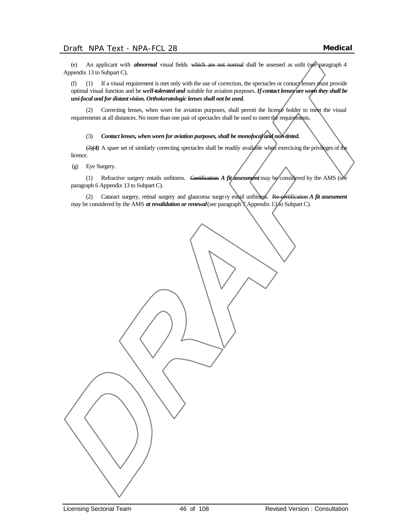(e) An applicant with *abnormal* visual fields which are not normal shall be assessed as unfit (see paragraph 4 Appendix 13 to Subpart C).

(f)  $(1)$  If a visual requirement is met only with the use of correction, the spectacles or contact lenses must provide optimal visual function and be *well-tolerated and* suitable for aviation purposes. *If contact lenses are worn they shall be uni-focal and for distant vision. Orthokeratologic lenses shall not be used.*

(2) Correcting lenses, when worn for aviation purposes, shall permit the licence holder to meet the visual requirements at all distances. No more than one pair of spectacles shall be used to meet the requirements.

## (3) *Contact lenses, when worn for aviation purposes, shall be monofocal and non-tinted.*

(3)*(4)* A spare set of similarly correcting spectacles shall be readily available when exercising the privileges of the licence.

(g) Eye Surgery.

(1) Refractive surgery entails unfitness. Certification *A fit assessment* may be considered by the AMS (see paragraph 6 Appendix 13 to Subpart C).

(2) Cataract surgery, retinal surgery and glaucoma surge ry entail unfitness. Re-certification *A fit assessment*  may be considered by the AMS *at revalidation or renewal* (see paragraph  $\nabla$  Appendix 13/6 Subpart C).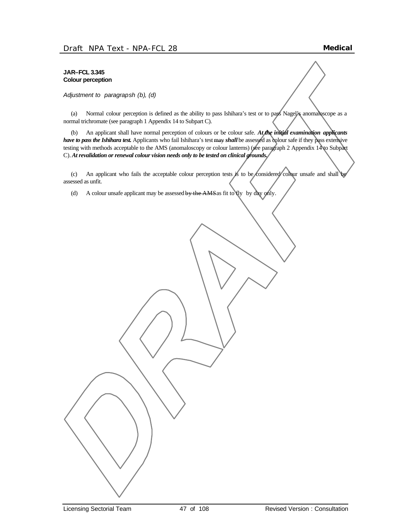## **JAR–FCL 3.345 Colour perception**

*Adjustment to paragrapsh (b), (d)*

(a) Normal colour perception is defined as the ability to pass Ishihara's test or to pass Nagel's anomaloscope as a normal trichromate (see paragraph 1 Appendix 14 to Subpart C).

(b) An applicant shall have normal perception of colours or be colour safe. *At the initial examination applicants have to pass the Ishihara test.* Applicants who fail Ishihara's test may *shall* be assessed as colour safe if they pass extensive testing with methods acceptable to the AMS (anomaloscopy or colour lanterns) (see paragraph 2 Appendix 14 to Subpart C).*At revalidation or renewal colour vision needs only to be tested on clinical grounds.* 

(c) An applicant who fails the acceptable colour perception tests is to be considered colour unsafe and shall be assessed as unfit.

(d) A colour unsafe applicant may be assessed by the AMS as fit to  $f(y)$  by day only.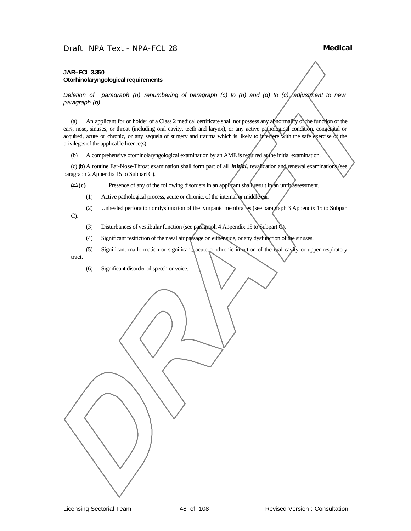## **JAR–FCL 3.350 Otorhinolaryngological requirements**

*Deletion of paragraph (b), renumbering of paragraph (c) to (b) and (d) to (c), adjustment to new paragraph (b)*

(a) An applicant for or holder of a Class 2 medical certificate shall not possess any abnormality of the function of the ears, nose, sinuses, or throat (including oral cavity, teeth and larynx), or any active pathological condition, congenital or acquired, acute or chronic, or any sequela of surgery and trauma which is likely to interfere with the safe exercise of the privileges of the applicable licence(s).

(b) A comprehensive otorhinolaryngological examination by an AME is required at the initial examination.

(c) **(b)** A routine Ear-Nose-Throat examination shall form part of all *initial,* revalidation and renewal examinations (see paragraph 2 Appendix 15 to Subpart C).

- $\left(\frac{d}{dx}\right)(c)$  Presence of any of the following disorders in an applicant shall result in an unfit assessment.
	- (1) Active pathological process, acute or chronic, of the internal or middle ear.
	- (2) Unhealed perforation or dysfunction of the tympanic membranes (see paragraph 3 Appendix 15 to Subpart

C).

- (3) Disturbances of vestibular function (see paragraph 4 Appendix 15 to Subpart C).
- (4) Significant restriction of the nasal air passage on either side, or any dysfunction of the sinuses.
- (5) Significant malformation or significant, acute or chronic infection of the oral cavity or upper respiratory

tract.

(6) Significant disorder of speech or voice.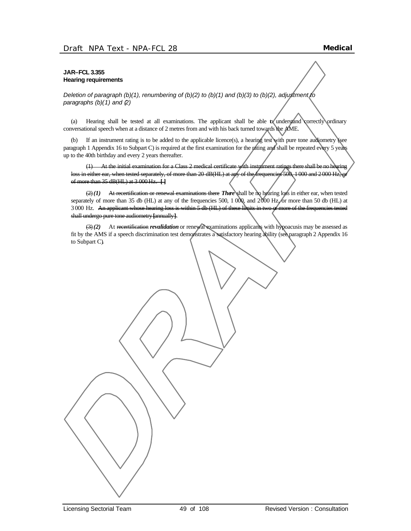## **JAR–FCL 3.355 Hearing requirements**

*Deletion of paragraph (b)(1), renumbering of (b)(2) to (b)(1) and (b)(3) to (b)(2), adjustment to paragraphs (b)(1) and (2)*

(a) Hearing shall be tested at all examinations. The applicant shall be able to understand correctly ordinary conversational speech when at a distance of 2 metres from and with his back turned towards the AME.

(b) If an instrument rating is to be added to the applicable licence(s), a hearing test with pure tone audiometry (see paragraph 1 Appendix 16 to Subpart C) is required at the first examination for the rating and shall be repeated every 5 years up to the 40th birthday and every 2 years thereafter.

 $(1)$  At the initial examination for a Class 2 medical certificate with instrument ratings there shall be no hearing loss in either ear, when tested separately, of more than 20 dB(HL) at any of the frequencies 500, 1 000 and 2 000 Hz of more than 35 dB(HL) at 3 000Hz. **[ ]**

(2)*(1)* At recertification or renewal examinations there *There* shall be no hearing loss in either ear, when tested separately of more than 35 db (HL) at any of the frequencies 500, 1 000, and  $2000$  Hz, or more than 50 db (HL) at 3 000 Hz. An applicant whose hearing loss is within 5 db (HL) of these limits in two of more of the frequencies tested shall undergo pure tone audiometry **[**annually**]**.

(3)*(2)* At recertification *revalidation* or renewal examinations applicants with hypoacusis may be assessed as fit by the AMS if a speech discrimination test demonstrates a satisfactory hearing ability (see paragraph 2 Appendix 16 to Subpart C)**.**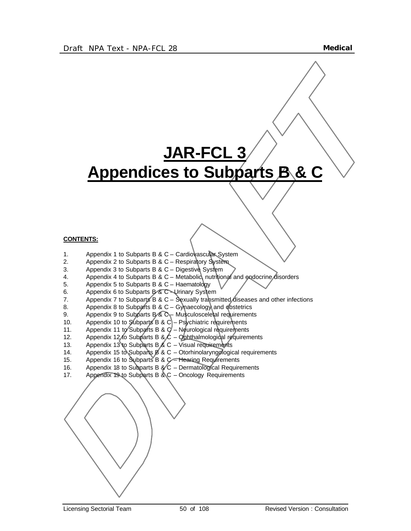# **JAR-FCL 3**

## **Appendices to Subparts B & C**

## **CONTENTS:**

- 1. Appendix 1 to Subparts B & C Cardiovascular System
- 2. Appendix 2 to Subparts B & C Respiratory System
- 3. Appendix 3 to Subparts B & C Digestive System
- 4. Appendix 4 to Subparts B & C Metabolic, nutritional and endocrine disorders
- 5. Appendix 5 to Subparts B & C Haematology
- 6. Appendix 6 to Subparts B&C Urinary System
- 7. Appendix 7 to Subparts B & C Sexually transmitted diseases and other infections
- 8. Appendix 8 to Subparts B & C Gynaecology and obstetrics
- 9. Appendix 9 to Subparts B & C Musculosceletal requirements
- 10. Appendix 10 to Subparts B & C Psychiatric requirements
- 11. Appendix 11 to Subparts B & C Neurological requirements
- 12. Appendix 12. to Subparts B &  $\mathcal{L}$  Ophthalmological requirements
- 13. Appendix 13 to Subparts B & C Visual requirements
- 14. Appendix 15 to Subparts B & C Otorhinolaryngological requirements
- 15. Appendix 16 to Subparts B & C Hearing Requirements
- 16. Appendix 18 to Subparts B & C Dermatological Requirements
- 17. Appendix 19 to Subparts B & C Oncology Requirements

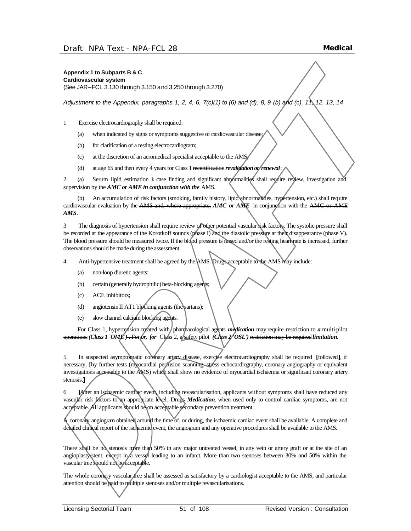## **Appendix 1 to Subparts B & C**

**Cardiovascular system** (See JAR–FCL 3.130 through 3.150 and 3.250 through 3.270)

*Adjustment to the Appendix, paragraphs 1, 2, 4, 6, 7(c)(1) to (6) and (d), 8, 9 (b) and (c), 11, 12, 13, 14*

- 1 Exercise electrocardiography shall be required:
	- (a) when indicated by signs or symptoms suggestive of cardiovascular disease;
	- (b) for clarification of a resting electrocardiogram;
	- (c) at the discretion of an aeromedical specialist acceptable to the AMS;
	- (d) at age 65 and then every 4 years for Class 1 recertification *revalidation or renewal*;

2 (a) Serum lipid estimation is case finding and significant abnormalities shall require review, investigation and supervision by the *AMC or AME in conjunction with the* AMS.

An accumulation of risk factors (smoking, family history, lipid abnormalities, hypertension, etc.) shall require cardiovascular evaluation by the AMS and, where appropriate, AMC or AME in conjunction with the AMC or AME *AMS*.

3 The diagnosis of hypertension shall require review of other potential vascular risk factors. The systolic pressure shall be recorded at the appearance of the Korotkoff sounds (phase I) and the diastolic pressure at their disappearance (phase V). The blood pressure should be measured twice. If the blood pressure is raised and/or the resting heart rate is increased, further observations should be made during the assessment.

- 4 Anti-hypertensive treatment shall be agreed by the AMS. Drugs acceptable to the AMS may include:
	- (a) non-loop diuretic agents;
	- (b) certain (generally hydrophilic) beta-blocking agents;
	- (c) ACE Inhibitors;
	- (d) angiotensin II AT1 blocking agents (the sartans);
	- (e) slow channel calcium blocking agents.

For Class 1, hypertension treated with pharmacological agents *medication* may require restriction to *a* multi-pilot operations *(Class 1 'OML'*). For *or, for* Class 2, a safety pilot *(Class 2* OSL') restriction may be required *limitation*.

5 In suspected asymptomatic coronary artery disease, exercise electrocardiography shall be required **[**followed**]**, if necessary, **[**by further tests (myocardial perfusion scanning, stress echocardiography, coronary angiography or equivalent investigations acceptable to the AMS) which shall show no evidence of myocardial ischaemia or significant coronary artery stenosis.**]**

6 **[**After an ischaemic cardiac event, including revascularisation, applicants without symptoms shall have reduced any vascular risk factors to an appropriate level. Drugs *Medication*, when used only to control cardiac symptoms, are not acceptable. All applicants should be on acceptable secondary prevention treatment.

A coronary angiogram obtained around the time of, or during, the ischaemic cardiac event shall be available. A complete and detailed clinical report of the ischaemic event, the angiogram and any operative procedures shall be available to the AMS.

There shall be no stenosis more than 50% in any major untreated vessel, in any vein or artery graft or at the site of an angioplasty/stent, except in a vessel leading to an infarct. More than two stenoses between 30% and 50% within the vascular tree should not be acceptable.

The whole coronary vascular tree shall be assessed as satisfactory by a cardiologist acceptable to the AMS, and particular attention should be paid to multiple stenoses and/or multiple revascularisations.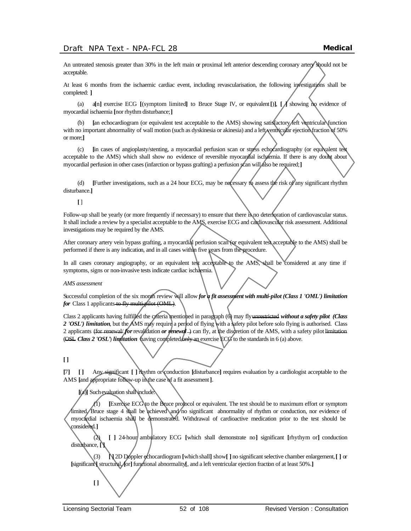An untreated stenosis greater than 30% in the left main or proximal left anterior descending coronary artery should not be acceptable.

At least 6 months from the ischaemic cardiac event, including revascularisation, the following investigations shall be completed: **]**

(a) a**[**n**]** exercise ECG **[**(symptom limited**]** to Bruce Stage IV, or equivalent**[**)**]**, **[ ]** showing no evidence of myocardial ischaemia **[**nor rhythm disturbance;**]**

[an echocardiogram (or equivalent test acceptable to the AMS) showing satisfactory left ventricular function with no important abnormality of wall motion (such as dyskinesia or akinesia) and a left ventricular ejection fraction of 50% or more;**]**

(c) **[**in cases of angioplasty/stenting, a myocardial perfusion scan or stress echocardiography (or equivalent test acceptable to the AMS) which shall show no evidence of reversible myocardial ischaemia. If there is any doubt about myocardial perfusion in other cases (infarction or bypass grafting) a perfusion scan will also be required;**]**

(d) **[**Further investigations, such as a 24 hour ECG, may be necessary to assess the risk of any significant rhythm disturbance.**]**

**[** ]

Follow-up shall be yearly (or more frequently if necessary) to ensure that there is no deterioration of cardiovascular status. It shall include a review by a specialist acceptable to the AMS, exercise ECG and cardiovascular risk assessment. Additional investigations may be required by the AMS.

After coronary artery vein bypass grafting, a myocardial perfusion scan (or equivalent test acceptable to the AMS) shall be performed if there is any indication, and in all cases within five years from the procedure.

In all cases coronary angiography, or an equivalent test acceptable to the AMS, shall be considered at any time if symptoms, signs or non-invasive tests indicate cardiac ischaemia.

*AMS assessment*

Successful completion of the six month review will allow *for a fit assessment with multi-pilot (Class 1 'OML') limitation for* Class 1 applicants to fly multi-pilot (OML).

Class 2 applicants having fulfilled the criteria mentioned in paragraph (6) may fly unrestricted *without a safety pilot (Class 2 'OSL') limitation*, but the AMS may require a period of flying with a safety pilot before solo flying is authorised. Class 2 applicants (for renewal/ for revalidation or renewal  $\rightarrow$  can fly, at the discretion of the AMS, with a safety pilot limitation (OSL *Class 2 'OSL'*) *limitation*  $\phi$  *having completed only an exercise ECG* to the standards in 6 (a) above.

**[ ]**

**[**7**] [ ]** Any significant **[ ]** rhythm or conduction **[**disturbance**]** requires evaluation by a cardiologist acceptable to the AMS [and appropriate follow-up in the case of a fit assessment].

**[**(a)**]** Such evaluation shall include:

(1) **[**Exercise ECG to the Bruce protocol or equivalent. The test should be to maximum effort or symptom limited. Bruce stage 4 shall be achieved and no significant abnormality of rhythm or conduction, nor evidence of myocardial ischaemia shall be demonstrated. Withdrawal of cardioactive medication prior to the test should be considered.**]**

(2) **[ ]** 24-hour ambulatory ECG **[**which shall demonstrate no**]** significant **[**rhythym or**]** conduction disturbance,  $[$ 

(3) **[ ]** 2D Doppler echocardiogram **[**which shall**]** show**[ ]** no significant selective chamber enlargement, **[ ]** or **[**significant**]** structural, **[**or**]** functional abnormality**[**, and a left ventricular ejection fraction of at least 50%.**]**

**[ ]**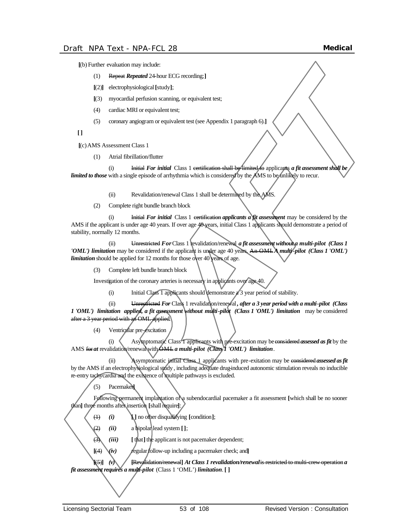**[**(b) Further evaluation may include:

- (1) Repeat *Repeated* 24-hour ECG recording;**]**
- **[**(2)**]** electrophysiological **[**study**]**;
- **[**(3) myocardial perfusion scanning, or equivalent test;
- (4) cardiac MRI or equivalent test;
- (5) coronary angiogram or equivalent test (see Appendix 1 paragraph 6).**]**

**[ ]**

**[**(c) AMS Assessment Class 1

(1) Atrial fibrillation/flutter

(i) Initial *For initial* Class 1 certification shall be limited to applicants *a fit assessment shall be limited to those* with a single episode of arrhythmia which is considered by the **AMS** to be unlikely to recur.

(ii) Revalidation/renewal Class 1 shall be determined by the AMS.

(2) Complete right bundle branch block

Initial *For initial* Class 1 certification *applicants a* fit assessment may be considered by the AMS if the applicant is under age 40 years. If over age 40 years, initial Class 1 applicants should demonstrate a period of stability, normally 12 months.

(ii) Unrestricted *For* Class 1 revalidation/renewal *a fit assessment without a multi-pilot* (Class 1 *'OML') limitation* may be considered if the applicant is under age 40 years. An OML*A multi-pilot (Class 1 'OML') limitation* should be applied for 12 months for those over 40 years of age.

(3) Complete left bundle branch block

Investigation of the coronary arteries is necessary in applicants over age 40.

(i) Initial Class 1 applicants should demonstrate a 3 year period of stability.

(ii) Unrestricted *For* Class 1 revalidation/renewal*, after a 3 year period with a multi-pilot (Class 1 'OML') limitation applied, a fit assessment without multi-pilot (Class 1 'OML') limitation* may be considered after a 3 year period with an OML applied

(4) Ventricular pre-excitation

(i) Asymptomatic Class 1 applicants with pre-excitation may be considered *assessed as fit* by the AMS for at revalidation/renewal with OML a multi-pilot (Class<sup>Y</sup> 'OML') limitation.

(ii) Asymptomatic initial Class 1 applicants with pre-exitation may be considered *assessed as fit*  by the AMS if an electrophysiological study , including adequate drug-induced autonomic stimulation reveals no inducible re-entry tachycardia and the existence of multiple pathways is excluded.

(5) Pacemaker**]**

Following permanent implantation of a subendocardial pacemaker a fit assessment **[**which shall be no sooner than**]** three months after insertion **[**shall require**]**:

 $(1)$   $(i)$  **[** ] no other disqualifying [condition];

(*ii*) a bipolar lead system [];

(3) *(iii)* **[** that**]** the applicant is not pacemaker dependent;

 $\left[\frac{1}{4}\right]$   $\forall iv$  regular follow-up including a pacemaker check; and

**[**(5)**]** *(v)* **[**Revalidation/renewal**]** *At Class 1 revalidation/renewal* is restricted to multi-crew operation *a fit assessment requires a multi-pilot* (Class 1 'OML') *limitation*. **[ ]**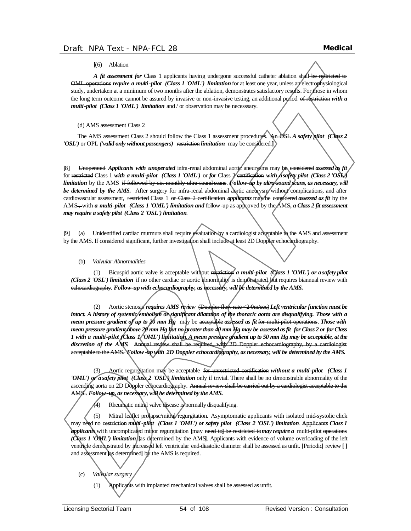## **[**(6) Ablation

*A fit assessment for* Class 1 applicants having undergone successful catheter ablation shall-be OML operations *require a multi-pilot (Class 1 'OML') limitation* for at least one year, unless an electrophysiological study, undertaken at a minimum of two months after the ablation, demonstrates satisfactory results. For those in whom the long term outcome cannot be assured by invasive or non-invasive testing, an additional period of restriction *with a multi-pilot (Class 1 'OML') limitation* and / or observation may be necesssary.

#### (d) AMS assessment Class 2

The AMS assessment Class 2 should follow the Class 1 assessment procedures. An OSL *A safety pilot (Class 2 'OSL')* or OPL *('valid only without passengers)* restriction *limitation* may be considered.**]**

**[**8**]** Unoperated *Applicants with unoperated* infra-renal abdominal aortic aneurysms may be considered *assessed as fit*  for restricted Class 1 *with a multi-pilot (Class 1 'OML')* or *for* Class 2 certification *with asafety pilot (Class 2 'OSL') limitation* by the AMS if followed by six monthly ultra-sound scans. *Follow-up by ultra-sound fcans, as necessary, will be determined by the AMS.* After surgery for infra-renal abdominal aortic aneurysm without complications, and after cardiovascular assessment, restricted Class 1 or Class 2 certification *applicants* may be considered *assessed as fit* by the AMS , with *a multi-pilot (Class 1 'OML') limitation and* follow-up as approved by the AMS*, a Class 2 fit assessment may require a safety pilot (Class 2 'OSL') limitation*.

**[**9**]** (a) Unidentified cardiac murmurs shall require evaluation by a cardiologist acceptable to the AMS and assessment by the AMS. If considered significant, further investigation shall include at least 2D Doppler echocardiography.

#### (b) *Valvular Abnormalities*

(1) Bicuspid aortic valve is acceptable without restriction *a multi-pilot (Class 1 'OML') or a safety pilot (Class 2 'OSL') limitation* if no other cardiac or aortic abnormality is demonstrated, but requires biannual review with echocardiography. *Follow-up with echocardiography, as necessary, will be determined by the AMS.*

(2) Aortic stenosis *requires AMS review* (Doppler flow rate <2·0m/sec)*Left ventricular function must be intact. A history of systemic embolism or significant dilatation of the thoracic aorta are disqualifying. Those with a mean pressure gradient of up to 20 mm Hg* may be acceptable *assessed as fit* for multi-pilot operations. *Those with mean pressure gradient above 20 mm Hg but no greater than 40 mm Hg may be assessed as fit for Class 2 or for Class 1 with a multi-pilot (Class 1 'OML') limitation. A mean pressure gradient up to 50 mm Hg may be acceptable, at the*  discretion of the AMS Annual review shall be required, with 2D Doppler echocardiography, by a cardiologist acceptable to the AMS. *Follow-up with 2D Doppler echocardiography, as necessary, will be determined by the AMS.*

(3) Aortic regurgitation may be acceptable for unrestricted certification *without a multi-pilot (Class 1 'OML') or a safety pilot (Class 2 'OSL') limitation* only if trivial. There shall be no demonstrable abnormality of the ascending aorta on 2D Doppler echocardiography. Annual review shall be carried out by a cardiologist acceptable to the AMS . *Follow-up, as necessary, will be determined by the AMS.*

(4) Rheumatic mitral valve disease is normally disqualifying.

Mitral leaflet prolapse/mitral/regurgitation. Asymptomatic applicants with isolated mid-systolic click may need no restriction *multi-pilot (Class 1 'OML') or safety pilot (Class 2 'OSL') limitation*. Applicants *Class 1 applicants* with uncomplicated minor regurgitation **[**may need to**]** be restricted to*may require a* multi-pilot operations *(Class 1 'OML') limitation* **[**as determined by the AMS**]**. Applicants with evidence of volume overloading of the left ventricle demonstrated by increased left ventricular end-diastolic diameter shall be assessed as unfit. **[**Periodic**]** review **[ ]**  and assessment **[**as determined**]** by the AMS is required.

(c) *Valvular surgery*

(1) Applicants with implanted mechanical valves shall be assessed as unfit.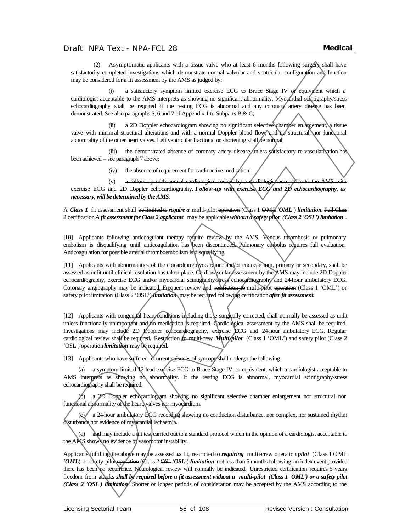(2) Asymptomatic applicants with a tissue valve who at least 6 months following surgery shall have satisfactorily completed investigations which demonstrate normal valvular and ventricular configuration and function may be considered for a fit assessment by the AMS as judged by:

(i) a satisfactory symptom limited exercise ECG to Bruce Stage IV or equivalent which a cardiologist acceptable to the AMS interprets as showing no significant abnormality. Myocardial scintigraphy/stress echocardiography shall be required if the resting ECG is abnormal and any coronary artery disease has been demonstrated. See also paragraphs 5, 6 and 7 of Appendix 1 to Subparts B & C;

a 2D Doppler echocardiogram showing no significant selective chamber enlargement, a tissue valve with minimal structural alterations and with a normal Doppler blood flow, and no structural, nor functional abnormality of the other heart valves. Left ventricular fractional or shortening shall be normal;

(iii) the demonstrated absence of coronary artery disease unless satisfactory re-vascularisation has been achieved – see paragraph 7 above;

(iv) the absence of requirement for cardioactive medication;

 $(v)$  a follow up with annual cardiological review by a cardiologist acceptable to the AMS with exercise ECG and 2D Doppler echocardiography. *Follow-up with exercise ECG and 2D echocardiography, as necessary, will be determined by the AMS.*

A *Class 1* fit assessment shall be limited to *require a* multi-pilot operation (Class 1 OML*'OML'*) *limitation*. Full Class 2 certification*A fit assessment for Class 2 applicants* may be applicable*without a safety pilot (Class 2 'OSL') limitation* .

**[**10**]** Applicants following anticoagulant therapy require review by the AMS. Venous thrombosis or pulmonary embolism is disqualifying until anticoagulation has been discontinued. Pulmonary embolus requires full evaluation. Anticoagulation for possible arterial thromboembolism is disqualifying.

**[**11**]** Applicants with abnormalities of the epicardium/myocardium and/or endocardium, primary or secondary, shall be assessed as unfit until clinical resolution has taken place. Cardiovascular assessment by the AMS may include 2D Doppler echocardiography, exercise ECG and/or myocardial scintigraphy/stress echocardiography and 24-hour ambulatory ECG. Coronary angiography may be indicated. Frequent review and restriction to multi-pilot operation (Class 1 'OML') or safety pilot limitation (Class 2 'OSL') *limitation* may be required following certification *after fit assessment*.

**[**12**]** Applicants with congenital heart conditions including those surgically corrected, shall normally be assessed as unfit unless functionally unimportant and no medication is required. Cardiological assessment by the AMS shall be required. Investigations may include 2D Doppler echocardiography, exercise ECG and 24-hour ambulatory ECG. Regular cardiological review shall be required. Restriction to multi-crew *Multi-pilot* (Class 1 'OML') and safety pilot (Class 2 'OSL') operation *limitation* may be required.

**[**13**]** Applicants who have suffered recurrent episodes of syncope shall undergo the following:

(a) a symptom limited 12 lead exercise ECG to Bruce Stage IV, or equivalent, which a cardiologist acceptable to AMS interprets as showing no abnormality. If the resting ECG is abnormal, myocardial scintigraphy/stress echocardiography shall be required.

a 2D Doppler echocardiogram showing no significant selective chamber enlargement nor structural nor functional abnormality of the heart, valves hor myocardium.

a 24-hour ambulatory ECG recording showing no conduction disturbance, nor complex, nor sustained rhythm disturbance nor evidence of myocardial ischaemia.

(d) and may include a tilt test carried out to a standard protocol which in the opinion of a cardiologist acceptable to the AMS shows no evidence of vasomotor instability.

Applicants fulfilling the above may be assessed *as* fit, restricted to *requiring* multi-crew operation *pilot* (Class 1 OML) *'OML*) or safety pilot operation (Class 2 OSL*'OSL'*) *limitation* not less than 6 months following an index event provided there has been no recurrence. Neurological review will normally be indicated. Unrestricted certification requires 5 years freedom from attacks *shall be required before a fit assessment without a multi-pilot (Class 1 'OML') or a safety pilot (Class 2 'OSL') limitation*. Shorter or longer periods of consideration may be accepted by the AMS according to the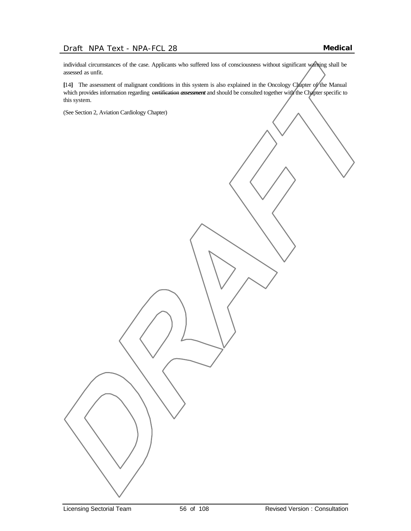individual circumstances of the case. Applicants who suffered loss of consciousness without significant warning shall be assessed as unfit.

**[**14**]** The assessment of malignant conditions in this system is also explained in the Oncology Chapter of the Manual which provides information regarding certification *assessment* and should be consulted together with the Chapter specific to this system.

(See Section 2, Aviation Cardiology Chapter)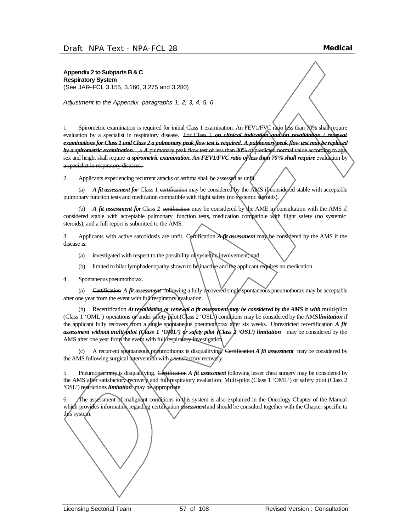## **Appendix 2 to Subparts B & C Respiratory System** (See JAR–FCL 3.155, 3.160, 3.275 and 3.280)

*Adjustment to the Appendix, paragraphs 1, 2, 3, 4, 5, 6*

1 Spirometric examination is required for initial Class 1 examination. An FEV1/FVC ratio less than 70% shall require evaluation by a specialist in respiratory disease. For Class 2 on clinical indication and on revalidation *examinations for Class 1 and Class 2 a pulmonary peak flow test is required. A pulmonary peak flow test may be replaced by a spirometric examination.* , a *A* pulmonary peak flow test of less than 80% of predicted normal value sex and height shall require *a spirometric examination. An FEV1/FVC ratio of less than 70 % shall require* evaluation by a specialist in respiratory diseases.

Applicants experiencing recurrent attacks of asthma shall be assessed as unfit.

(a) *A fit assessment for* Class 1 certification may be considered by the AMS if considered stable with acceptable pulmonary function tests and medication compatible with flight safety (no systemic steroids).

(b) *A fit assessment for* Class 2 certification may be considered by the AME in consultation with the AMS if considered stable with acceptable pulmonary function tests, medication compatible with flight safety (no systemic steroids), and a full report is submitted to the AMS.

3 Applicants with active sarcoidosis are unfit. Certification *A fit assessment* may be considered by the AMS if the disease is:

- (a) investigated with respect to the possibility of systemic involvement; and
- (b) limited to hilar lymphadenopathy shown to be inactive and the applicant requires no medication.

4 Spontaneous pneumothorax.

(a) Certification *A fit assessment* following a fully recovered single spontaneous pneumothorax may be acceptable after one year from the event with full respiratory evaluation.

(b) Recertification *At revalidation or renewal a fit assessment may be considered by the AMS* in *with* multi-pilot (Class 1 'OML') operations or under safety pilot (Class 2 'OSL') conditions may be considered by the AMS*limitation* if the applicant fully recovers from a single spontaneous pneumothorax after six weeks. Unrestricted recertification *A fit assessment without multi-pilot (Class 1 'OML') or safety pilot (Class 2 'OSL') limitation* may be considered by the AMS after one year from the event with full respiratory investigation.

(c) A recurrent spontaneous pneumothorax is disqualifying. Certification *A fit assessment* may be considered by the AMS following surgical intervention with a satisfactory recovery.

5 Pneumonectomy is disqualifying. Certification *A fit assessment* following lesser chest surgery may be considered by the AMS after satisfactory recovery and full respiratory evaluation. Multi-pilot (Class 1 'OML') or safety pilot (Class 2 'OSL') restrictions *limitation* may be appropriate.

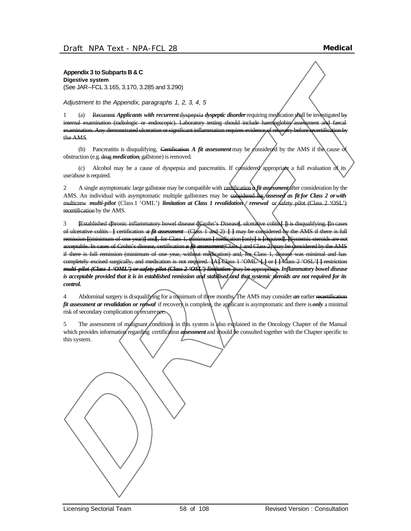**Appendix 3 to Subparts B & C Digestive system** (See JAR–FCL 3.165, 3.170, 3.285 and 3.290)

*Adjustment to the Appendix, paragraphs 1, 2, 3, 4, 5*

1 (a) Recurrent *Applicants with recurrent* dyspepsia *dyspeptic disorder*requiring medication shall be investigated by internal examination (radiologic or endoscopic). Laboratory testing should include haemoglobin examination. Any demonstrated ulceration or significant inflammation requires evidence of recovery before the AMS.

(b) Pancreatitis is disqualifying. Certification *A fit assessment* may be considered by the AMS if the cause of obstruction (e.g. drug *medication*, gallstone) is removed.

(c) Alcohol may be a cause of dyspepsia and pancreatitis. If considered appropriate a full evaluation of its use/abuse is required.

2 A single asymptomatic large gallstone may be compatible with certification *a fit assessment* after consideration by the AMS. An individual with asymptomatic multiple gallstones may be considered for *assessed* as fit for Class 2 or with multicrew *multi-pilot* (Class 1 'OML') *limitation at Class 1 revalidation / renewal* or safety pilot (Class 2 'OSL') recertification by the AMS.

3 **[**Established c**]**hronic inflammatory bowel disease (**[**Crohn's Disease**]**, ulcerative colitis**[ ]**) is disqualifying. **[**In cases of ulcerative colitis **]** certification *a fit assessment* (Class 1 and 2) **[ ]** may be considered by the AMS if there is full remission **[**(minimum of one year)**]** and**[**, for Class 1, minimum**]** medication **[**only**]** is **[**required**]**. **[**Systemic steroids are not acceptable. In cases of Crohn's disease, certification *a fit assessment* (Class 1 and Class 2) may be considered by the AMS if there is full remission (minimum of one completely excised surgically, and medication is not required. **[**A**]** Class 1 'OML' **[ ]** or **[ ]** Class 2 'OSL'**[ ]** restriction *multi-pilot (Class 1 'OML') or safety pilot (Class 2 'OSL') limitation* may be appropriate. *Inflammatory bowel disease is acceptable provided that it is in established remission and stabilised and that systemic steroids are not required for its control.*

4 Abdominal surgery is disqualifying for a minimum of three months. The AMS may consider *an* earlier recertification *fit assessment ar revalidation or renwal* if recovery is complete, the applicant is asymptomatic and there is *only* a minimal risk of secondary complication or recurrence.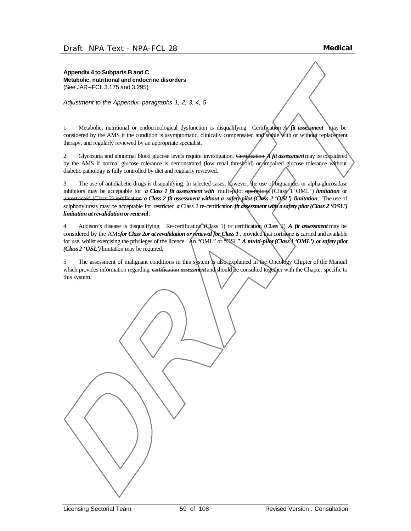**Appendix 4 to Subparts B and C Metabolic, nutritional and endocrine disorders** (See JAR–FCL 3.175 and 3.295)

*Adjustment to the Appendix, paragraphs 1, 2, 3, 4, 5*

1 Metabolic, nutritional or endocrinological dysfunction is disqualifying. Certification *A fit assessment* may be considered by the AMS if the condition is asymptomatic, clinically compensated and stable with or without replacement therapy, and regularly reviewed by an appropriate specialist.

2 Glycosuria and abnormal blood glucose levels require investigation. Certification *A fit assessment*may be considered by the AMS if normal glucose tolerance is demonstrated (low renal threshold) or Impaired glucose tolerance without diabetic pathology is fully controlled by diet and regularly reviewed.

3 The use of antidiabetic drugs is disqualifying. In selected cases, however, the use of biguanides or alpha-glucosidase inhibitors may be acceptable for *a Class 1 fit assessment with* multi-pilot operations (Class 1 'OML') *limitation* or unrestricted (Class 2) certification *a Class 2 fit assessment without a safety pilot (Class 2 'OSL') limitation*. The use of sulphonylureas may be acceptable for restricted *a* Class 2 re-certification *fit assessment with a safety pilot (Class 2 'OSL') limitation at revalidation or renewal*.

4 Addison's disease is disqualifying. Re-certification (Class 1) or certification (Class 2) *A fit assessment* may be considered by the AMS*for Class 2or at revalidation or renewal for Class 1* , provided that cortisone is carried and available for use, whilst exercising the privileges of the licence. An "OML" or "OSL" *A multi-pilot (Class 1 'OML') or safety pilot (Class 2 'OSL')*limitation may be required.

Licensing Sectorial Team 59 of 108 Revised Version : Consultation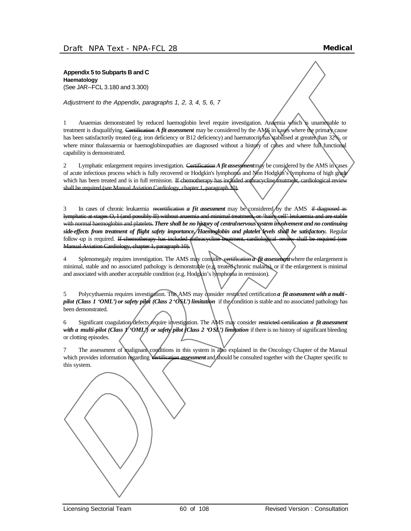**Appendix 5 to Subparts B and C Haematology** (See JAR–FCL 3.180 and 3.300)

*Adjustment to the Appendix, paragraphs 1, 2, 3, 4, 5, 6, 7*

1 Anaemias demonstrated by reduced haemoglobin level require investigation. Anaemia which is unamenable to treatment is disqualifying. Certification *A fit assessment* may be considered by the AMS in cases where the primary cause has been satisfactorily treated (e.g. iron deficiency or B12 deficiency) and haematocrit has stabilised at greater than 32%, or where minor thalassaemia or haemoglobinopathies are diagnosed without a history of crises and where full functional capability is demonstrated.

2 Lymphatic enlargement requires investigation. Certification*A fit assessment* may be considered by the AMS in cases of acute infectious process which is fully recovered or Hodgkin's lymphoma and Non Hodgkin's lymphoma of high grade which has been treated and is in full remission. If chemotherapy has included anthracycline freatment, cardiological review shall be required (see Manual Aviation Cardiology, chapter 1, paragraph  $\mathbb{Q}$ ).

3 In cases of chronic leukaemia recertification *a fit assessment* may be considered by the AMS if diagnosed as lymphatic at stages O, I (and possibly II) without anaemia and minimal treatment, or 'hairy cell' leukaemia and are stable with normal haemoglobin and platelets.*There shall be no history of central nervous system involvement and no continuing*  side-effects from treatment of flight safety importance. Haemoglobin and platelet levels shall be satisfactory. Regular follow-up is required. If chemotherapy has included anthracycline treatment, cardiological review shall be required (see Manual Aviation Cardiology, chapter 1, paragraph 10).

4 Splenomegaly requires investigation. The AMS may consider certification *a fit assessment* where the enlargement is minimal, stable and no associated pathology is demonstrable (e.g. treated chronic malaria), or if the enlargement is minimal and associated with another acceptable condition (e.g. Hodgkin's lymphoma in remission).

5 Polycythaemia requires investigation. The AMS may consider restricted certification *a fit assessment with a multipilot (Class 1 'OML') or safety pilot (Class 2 'OSL') limitation* if the condition is stable and no associated pathology has been demonstrated.

6 Significant coagulation defects require investigation. The AMS may consider restricted certification *a fit assessment with a multi-pilot (Class*  $\hat{I}'$  *OML)* or safety pilot (Class 2 'OSL') limitation if there is no history of significant bleeding or clotting episodes.

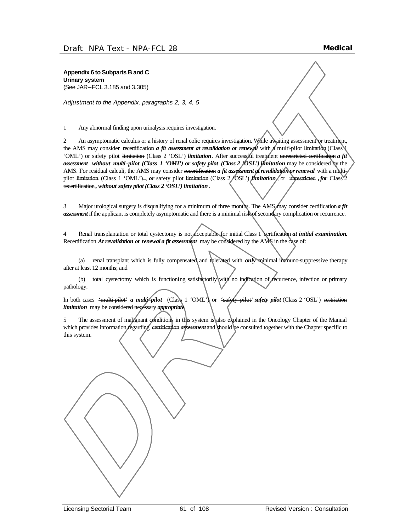**Appendix 6 to Subparts B and C Urinary system** (See JAR–FCL 3.185 and 3.305)

*Adjustment to the Appendix, paragraphs 2, 3, 4, 5*

1 Any abnormal finding upon urinalysis requires investigation.

2 An asymptomatic calculus or a history of renal colic requires investigation. While awaiting assessment or treatment, the AMS may consider recertification *a fit assessment at revalidation or renewall* with a multi-pilot limitation (Class 'OML') or safety pilot limitation (Class 2 'OSL') *limitation*. After successful treatment unrestricted certification *a fit assessment without multi-pilot (Class 1 'OML') or safety pilot (Class 2 'OSL') limitation* may be considered by the AMS. For residual calculi, the AMS may consider recertification *a fit assessment at revalidation or renewal* with a multipilot limitation (Class 1 'OML') , *or* safety pilot limitation (Class 2 'OSL') *limitation* , or unrestricted *, for* Class 2 recertification *, without safety pilot (Class 2 'OSL') limitation* .

3 Major urological surgery is disqualifying for a minimum of three months. The AMS may consider certification *a fit assessment* if the applicant is completely asymptomatic and there is a minimal risk of secondary complication or recurrence.

4 Renal transplantation or total cystectomy is not acceptable for initial Class 1 certification *at initial examination*. Recertification *At revalidation or renewal a fit assessment* may be considered by the AMS in the case of:

(a) renal transplant which is fully compensated and tolerated with *only* minimal immuno-suppressive therapy after at least 12 months; and

(b) total cystectomy which is functioning satisfactorily with no indication of recurrence, infection or primary pathology.

In both cases 'multi-pilot' *a multi-pilot* (Class 1 'OML') or 'safety pilot' *safety pilot* (Class 2 'OSL') restriction *limitation* may be considered necessary *appropriate*.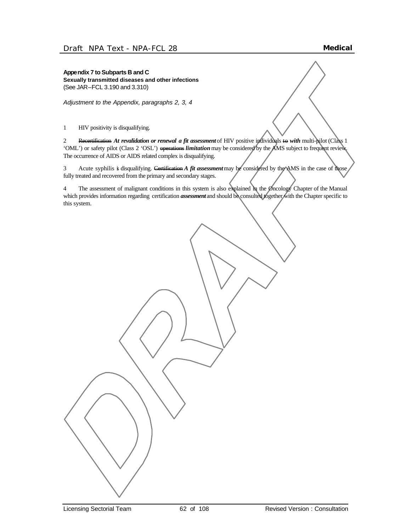**Appendix 7 to Subparts B and C Sexually transmitted diseases and other infections** (See JAR–FCL 3.190 and 3.310)

*Adjustment to the Appendix, paragraphs 2, 3, 4*

1 HIV positivity is disqualifying.

2 Recertification *At revalidation or renewal a fit assessment* of HIV positive individuals to *with* multi-pilot (Class 1 'OML') or safety pilot (Class 2 'OSL') operations *limitation* may be considered by the AMS subject to frequent review. The occurrence of AIDS or AIDS related complex is disqualifying.

3 Acute syphilis is disqualifying. Certification *A fit assessment* may be considered by the AMS in the case of those fully treated and recovered from the primary and secondary stages.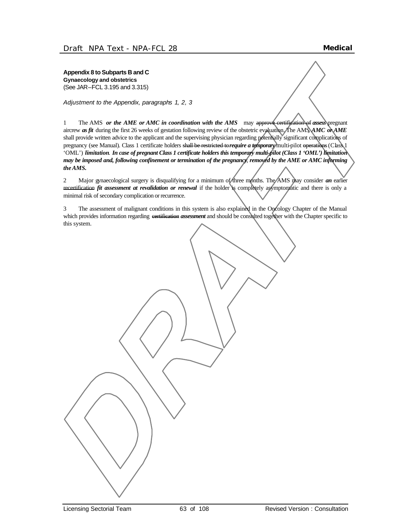## **Appendix 8 to Subparts B and C Gynaecology and obstetrics** (See JAR–FCL 3.195 and 3.315)

*Adjustment to the Appendix, paragraphs 1, 2, 3*

1 The AMS *or the AME or AMC in coordination with the AMS* may approve certification of *assess* pregnant aircrew *as fit* during the first 26 weeks of gestation following review of the obstetric evaluation. The AMS*, AMC or AME* shall provide written advice to the applicant and the supervising physician regarding potentially significant complications of pregnancy (see Manual). Class 1 certificate holders shall be restricted to *require a temporary* multi-pilot operations (Class 1 'OML') *limitation*. *In case of pregnant Class 1 certificate holders this temporary multi-pilot (Class 1 'OML') limitation may be imposed and, following confinement or termination of the pregnancy*, *removed by the AME or AMC informing the AMS.*

2 Major gynaecological surgery is disqualifying for a minimum of three months. The AMS may consider *an* earlier recertification *fit assessment at revalidation or renewal* if the holder is completely asymptomatic and there is only a minimal risk of secondary complication or recurrence.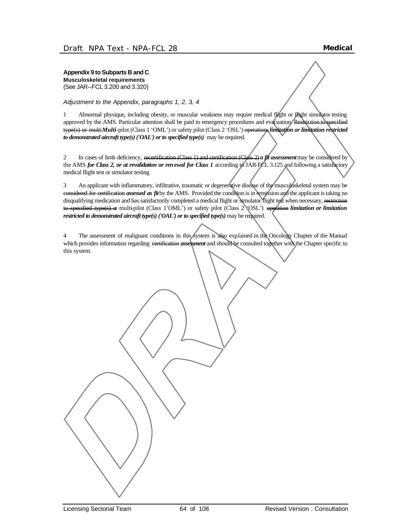## **Appendix 9 to Subparts B and C Musculoskeletal requirements** (See JAR–FCL 3.200 and 3.320)

## *Adjustment to the Appendix, paragraphs 1, 2, 3, 4*

1 Abnormal physique, including obesity, or muscular weakness may require medical flight or flight simulator testing approved by the AMS. Particular attention shall be paid to emergency procedures and evacuation. Restriction to specified type(s) or multi*Multi*-pilot (Class 1 'OML') or safety pilot (Class 2 'OSL') operations*limitation or limitation restricted to demonstrated aircraft type(s) ('OAL') or to specified type(s)* may be required.

2 In cases of limb deficiency, recertification (Class 1) and certification (Class 2) *a fit assessment*may be considered by the AMS *for Class 2, or at revalidation or renewal for Class 1* according to JAR-FCL 3.125 and following a satisfactory medical flight test or simulator testing.

3 An applicant with inflammatory, infiltrative, traumatic or degenerative disease of the musculoskeletal system may be considered for certification *assessed as fit* by the AMS. Provided the condition is in remission and the applicant is taking no disqualifying medication and has satisfactorily completed a medical flight or simulator flight test when necessary, restriction to specified type(s) or multi-pilot (Class 1'OML') or safety pilot (Class 2 'OSL') operation *limitation or limitation*  restricted to demonstrated aircraft type(s) ('OAL') or to specified type(s) may be required.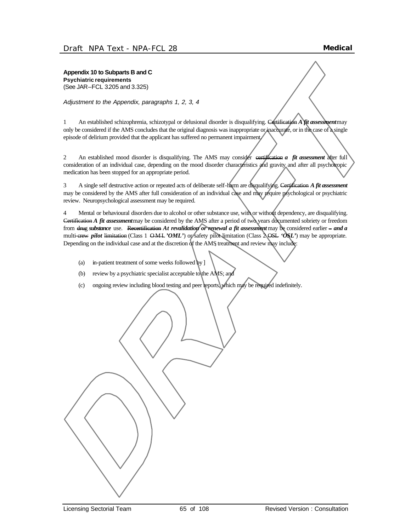## **Appendix 10 to Subparts B and C Psychiatric requirements** (See JAR–FCL 3.205 and 3.325)

*Adjustment to the Appendix, paragraphs 1, 2, 3, 4*

1 An established schizophrenia, schizotypal or delusional disorder is disqualifying. Certification *A fit assessment*may only be considered if the AMS concludes that the original diagnosis was inappropriate or inaccurate, or in the case of a single episode of delirium provided that the applicant has suffered no permanent impairment.

2 An established mood disorder is disqualifying. The AMS may consider certification *a fit assessment* after full consideration of an individual case, depending on the mood disorder characteristics and gravity and after all psychotropic medication has been stopped for an appropriate period.

3 A single self destructive action or repeated acts of deliberate self-harm are disqualifying. Certification *A fit assessment* may be considered by the AMS after full consideration of an individual case and may require psychological or psychiatric review. Neuropsychological assessment may be required.

4 Mental or behavioural disorders due to alcohol or other substance use, with or without dependency, are disqualifying. Certification *A fit assessment* may be considered by the AMS after a period of two years documented sobriety or freedom from drug *substance* use. Recertification *At revalidation or renewal a fit assessment* may be considered earlier – *and a* multi-crew *pilot* limitation (Class 1 OML*'OML'*) or safety pilot limitation (Class 2 OSL *'OSL'*) may be appropriate. Depending on the individual case and at the discretion of the AMS treatment and review may include:

- (a) in-patient treatment of some weeks followed  $\mathbf{b}$   $\mathbf{v}$  ]
- (b) review by a psychiatric specialist acceptable to the AMS; and
- (c) ongoing review including blood testing and peer reports, which may be required indefinitely.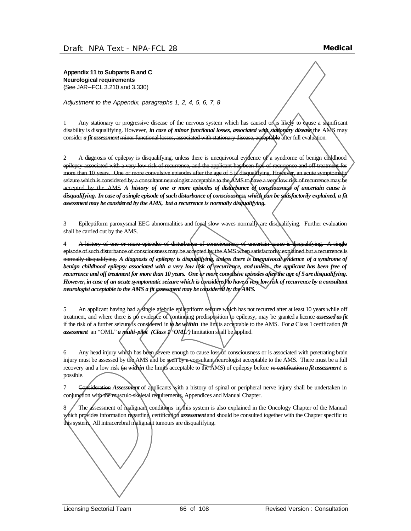**Appendix 11 to Subparts B and C Neurological requirements** (See JAR–FCL 3.210 and 3.330)

*Adjustment to the Appendix, paragraphs 1, 2, 4, 5, 6, 7, 8*

1 Any stationary or progressive disease of the nervous system which has caused or is likely to cause a significant disability is disqualifying. However, *in case of minor functional losses, associated with stationary disease* the AMS may consider *a fit assessment* minor functional losses, associated with stationary disease, acceptable after full evaluation.

2 A diagnosis of epilepsy is disqualifying, unless there is unequivocal evidence of a syndrome of benign childhood epilepsy associated with a very low risk of recurrence, and the applicant has been free of recurrence and off treatment for more than 10 years. One or more convulsive episodes after the age of 5 is disqualifying. However, an acute symptom seizure which is considered by a consultant neurologist acceptable to the AMS to have a very low risk of recurrence may be accepted by the AMS. *A history of one or more episodes of disturbance of consciousness of uncertain cause is disqualifying. In case of a single episode of such disturbance of consciousness, which can be satisfactorily explained, a fit assessment may be considered by the AMS, but a recurrence is normally disqualifying.*

3 Epileptiform paroxysmal EEG abnormalities and focal slow waves normally are disqualifying. Further evaluation shall be carried out by the AMS.

4 A history of one or more episodes of disturbance of consciousness of uncertain cause is disqualifying. A single episode of such disturbance of consciousness may be accepted by the AMS when satisfactorily explained but a recurrence is normally disqualifying. *A diagnosis of epilepsy is disqualifying, unless there is unequivocal evidence of a syndrome of benign childhood epilepsy associated with a very low risk of recurrence, and unless the applicant has been free of recurrence and off treatment for more than 10 years. One or more convulsive episodes after the age of 5 are disqualifying. However, in case of an acute symptomatic seizure which is considered to have a very low fisk of recurrence by a consultant neurologist acceptable to the AMS a fit assessment may be considered by the AMS.*

5 An applicant having had a single afebrile epileptiform seizure which has not recurred after at least 10 years while off treatment, and where there is no evidence of continuing predisposition to epilepsy, may be granted a licence *assessed as fit* if the risk of a further seizure is considered in  $\omega$  be within the limits acceptable to the AMS. For  $a$  Class 1 certification  $fit$ *assessment* an "OML" *a multi-pilot (Class 1*<sup>'</sup>OML') limitation shall be applied.

6 Any head injury which has been severe enough to cause loss of consciousness or is associated with penetrating brain injury must be assessed by the AMS and be seen by a consultant neurologist acceptable to the AMS. There must be a full recovery and a low risk (in *within* the limits acceptable to the AMS) of epilepsy before re-certification *a fit assessment* is possible.

ideration *Assessment* of applicants with a history of spinal or peripheral nerve injury shall be undertaken in conjunction with the musculo-skeletal requirements, Appendices and Manual Chapter.

The *d*issessment of malignant conditions in this system is also explained in the Oncology Chapter of the Manual which provides information regarding certification *assessment* and should be consulted together with the Chapter specific to this system. All intracerebral malignant tumours are disqualifying.

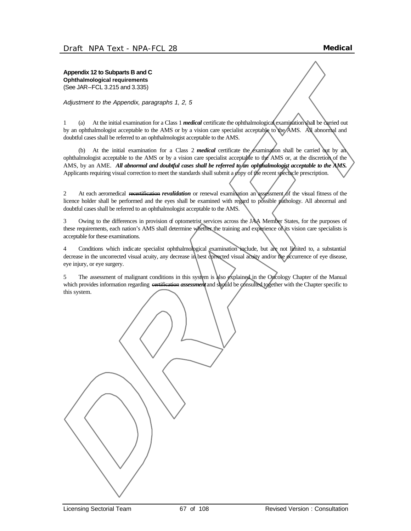## **Appendix 12 to Subparts B and C Ophthalmological requirements** (See JAR–FCL 3.215 and 3.335)

*Adjustment to the Appendix, paragraphs 1, 2, 5*

1 (a) At the initial examination for a Class 1 *medical* certificate the ophthalmological examination shall be carried out by an ophthalmologist acceptable to the AMS or by a vision care specialist acceptable to the AMS. All abnormal and doubtful cases shall be referred to an ophthalmologist acceptable to the AMS.

(b) At the initial examination for a Class 2 *medical* certificate the examination shall be carried out by an ophthalmologist acceptable to the AMS or by a vision care specialist acceptable to the AMS or, at the discretion of the AMS, by an AME. All abnormal and doubtful cases shall be referred to an ophthalmologist acceptable to the AMS. Applicants requiring visual correction to meet the standards shall submit a  $\ell$ opy of the recent spectacle prescription.

2 At each aeromedical recertification *revalidation* or renewal examination an assessment of the visual fitness of the licence holder shall be performed and the eyes shall be examined with regard to possible pathology. All abnormal and doubtful cases shall be referred to an ophthalmologist acceptable to the AMS.

3 Owing to the differences in provision of optometrist services across the JAA Member States, for the purposes of these requirements, each nation's AMS shall determine whether the training and experience of its vision care specialists is acceptable for these examinations.

4 Conditions which indicate specialist ophthalmological examination include, but are not limited to, a substantial decrease in the uncorrected visual acuity, any decrease in best corrected visual acuity and/or the occurrence of eye disease, eye injury, or eye surgery.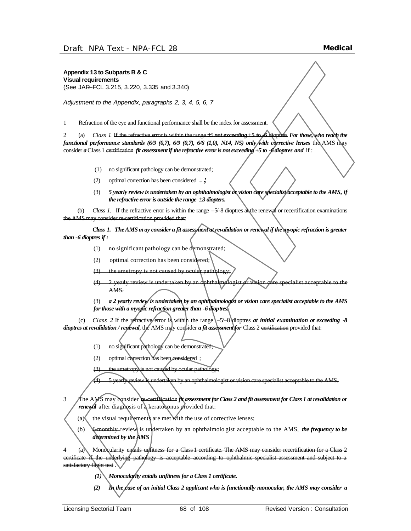#### **Appendix 13 to Subparts B & C Visual requirements**

(See JAR–FCL 3.215, 3.220, 3.335 and 3.340)

*Adjustment to the Appendix, paragraphs 2, 3, 4, 5, 6, 7*

1 Refraction of the eye and functional performance shall be the index for assessment.

2 (a) *Class 1*. If the refractive error is within the range ±5 *not exceeding***+5 to -6** dioptres *For those, who reach the functional performance standards (6/9 (0,7), 6/9 (0,7), 6/6 (1,0), N14, N5) only with corrective lenses* the AMS may consider *a* Class 1 certification *fit assessment if the refractive error is not exceeding +5 to -6 dioptres and* if :

- (1) no significant pathology can be demonstrated;
- (2) optimal correction has been considered . *;*
- (3) *5 yearly review is undertaken by an ophthalmologist or vision care specialist acceptable to the AMS, if the refractive error is outside the range ±3 diopters.*

(b) *Class 1.* If the refractive error is within the range –5/-8 dioptres anthe renewal or recertification examinations the AMS may consider re-certification provided that:

*Class 1.**The AMS may consider a fit assessment at revalidation or renewal if the myopic refraction is greater than -6 dioptres if :*

- (1) no significant pathology can be demonstrated;
- (2) optimal correction has been considered;
- the ametropy is not caused by ocular pathology
- 2 yearly review is undertaken by an ophthalmologist or vision oare specialist acceptable to the AMS.
- (3) *a 2 yearly review is undertaken by an ophthalmologist or vision care specialist acceptable to the AMS for those with a myopic refraction greater than -6 dioptres.*

(c) *Class 2*. If the refractive error is within the range  $\frac{-5}{8}$  dioptres *at initial examination or exceeding -8* dioptres at revalidation / renewal, the AMS may consider a fit assessment for Class 2 certification provided that:

- (1) no significant pathology can be demonstrated;
- (2) optimal correction has been considered ;
- (3) the ametropy is not caused by ocular pathology;

5 yearly review is undertaken by an ophthalmologist or vision care specialist acceptable to the AMS.

- 3 The AMS may consider re-certification *fit assessment for Class 2 and fit assessment for Class 1 at revalidation or renewal* after diagnosis of a keratoconus provided that:
	- (a) $\langle$  the visual requirements are met with the use of corrective lenses;
	- (b) 6-monthly review is undertaken by an ophthalmolo gist acceptable to the AMS, *the frequency to be determined by the AMS*.

4 (a) Monocularity entails unfitness for a Class 1 certificate. The AMS may consider recertification for a Class 2 acceptable according to ophthalmic specialist assessment and subject satisfactory flight test

- *(1) Monocularity entails unfitness for a Class 1 certificate.*
- *(2) In the case of an initial Class 2 applicant who is functionally monocular, the AMS may consider a*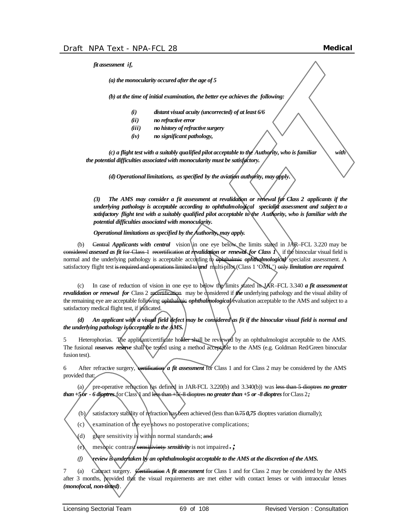*fit assessment if,*

*(a) the monocularity occured after the age of 5*

*(b) at the time of initial examination, the better eye achieves the following:*

- *(i) distant visual acuity (uncorrected) of at least 6/6*
- *(ii) no refractive error*
- *(iii) no history of refractive surgery*
- *(iv) no significant pathology,*

*(c) a flight test with a suitably qualified pilot acceptable to the Authority, who is familiar with vith the potential difficulties associated with monocularity must be satisfactory.*

*(d) Operational limitations, as specified by the aviation authority, may apply.*

*(3) The AMS may consider a fit assessment at revalidation or renewal for Class 2 applicants if the underlying pathology is acceptable according to ophthalmological specialist assessment and subject to a satisfactory flight test with a suitably qualified pilot acceptable to the Authority, who is familiar with the potential difficulties associated with monocularity.*

*Operational limitations as specified by the Authority, may apply.*

(b) Central *Applicants with central* vision in one eye below the limits stated in JAR–FCL 3.220 may be considered *assessed as fit* for Class 1 recertification *at revalidation or renewal for Class*  $\Lambda$  if the binocular visual field is normal and the underlying pathology is acceptable according to ophthalmic *ophthalmological* specialist assessment. A satisfactory flight test is required and operations limited to *and* multi-pilot (Class 1 'OML') only *limitation are required*.

(c) In case of reduction of vision in one eye to below the limits stated in JAR–FCL 3.340 *a fit assessmentat revalidation or renewal for Class 2 recertification* may be considered if *the underlying pathology and the visual ability of* the remaining eye are acceptable following ophthalmic *ophthalmological* evaluation acceptable to the AMS and subject to a satisfactory medical flight test, if indicated.

*(d) An applicant with a visual field defect may be considered as fit if the binocular visual field is normal and the underlying pathology is acceptable to the AMS.* 

5 Heterophorias. The applicant/certificate holder shall be reviewed by an ophthalmologist acceptable to the AMS. The fusional reserves *reserve* shall be tested using a method acceptable to the AMS (e.g. Goldman Red/Green binocular fusion test).

After refractive surgery, **certification** *a fit assessment* for Class 1 and for Class 2 may be considered by the AMS provided that:

(a) pre-operative refraction (as defined in JAR-FCL 3.220(b) and 3.340(b)) was less than 5 dioptres *no greater than +5 or - 6 dioptres* for Class 1 and less than  $+\frac{5}{2}$ -8 dioptres *no greater than +5 or -8 dioptres* for Class 2;

- (b) satisfactory stability of refraction has been achieved (less than  $0.75$  0,75 dioptres variation diurnally);
- $(c)$  examination of the eye shows no postoperative complications;
- (d) glare sensitivity is within normal standards; and
- (e) mesopic contrast sensitiviety *sensitivity* is not impaired .*;*
- *(f) review is undertaken by an ophthalmologist acceptable to the AMS at the discretion of the AMS.*

7 (a) Cataract surgery. Certification *A fit assessment* for Class 1 and for Class 2 may be considered by the AMS after 3 months, provided that the visual requirements are met either with contact lenses or with intraocular lenses *(monofocal, non-tinted)*.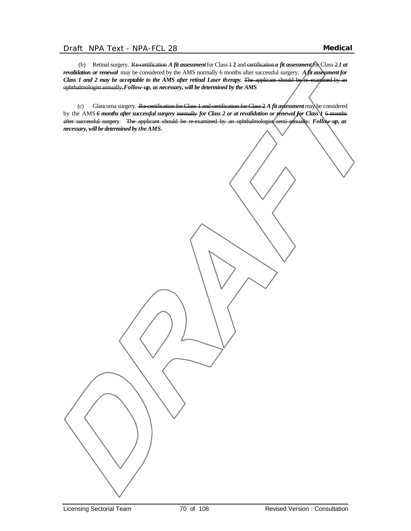(b) Retinal surgery. Re-certification *A fit assessment* for Class 1 **2** and certification *a fit assessment* for Class 2 *1 at revalidation or renewal* may be considered by the AMS normally 6 months after successful surgery. *A fit assessment for Class 1 and 2 may be acceptable to the AMS after retinal Laser therapy.* The applicant should be re-examined by an ophthalmologist annually.*Follow-up, as necessary, will be determined by the AMS*

(c) Glaucoma surgery. Re-certification for Class 1 and certification for Class 2 *A fit assessment*may be considered by the AMS 6 months after successful surgery normally for Class 2 or at revalidation or venewal for Class V 6 months after successful surgery. The applicant should be re-examined by an ophthalmologist semi-annually. *Follow-up*, as *necessary, will be determined by the AMS.*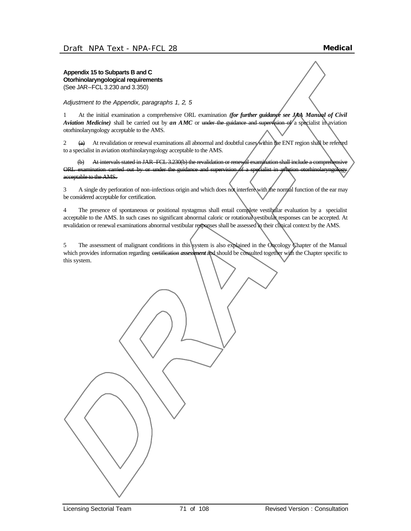## **Appendix 15 to Subparts B and C Otorhinolaryngological requirements** (See JAR–FCL 3.230 and 3.350)

*Adjustment to the Appendix, paragraphs 1, 2, 5*

1 At the initial examination a comprehensive ORL examination *(for further guidance see JAA Manual of Civil Aviation Medicine*) shall be carried out by *an AMC* or under the guidance and supervision of a specialist in aviation otorhinolaryngology acceptable to the AMS.

2 (a) At revalidation or renewal examinations all abnormal and doubtful cases within the ENT region shall be referred to a specialist in aviation otorhinolaryngology acceptable to the AMS.

 $(b)$  At intervals stated in JAR–FCL 3.230(b) the revalidation ORL examination carried out by or under the guidance and supervision of a specialist in a viation otorhinolary acceptable to the AMS.

3 A single dry perforation of non-infectious origin and which does not interfere with the normal function of the ear may be considered acceptable for certification.

4 The presence of spontaneous or positional nystagmus shall entail complete vestibular evaluation by a specialist acceptable to the AMS. In such cases no significant abnormal caloric or rotational vestibular responses can be accepted. At revalidation or renewal examinations abnormal vestibular responses shall be assessed in their clinical context by the AMS.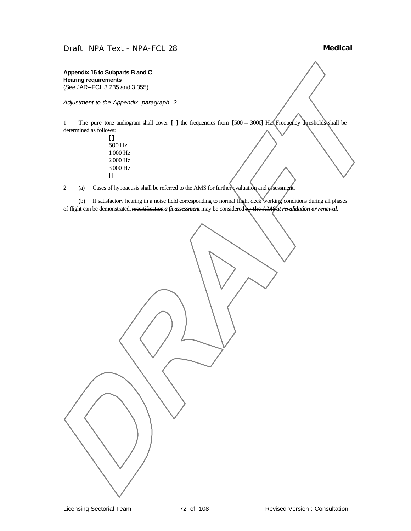**Appendix 16 to Subparts B and C Hearing requirements** (See JAR–FCL 3.235 and 3.355)

*Adjustment to the Appendix, paragraph 2*

1 The pure tone audiogram shall cover **[ ]** the frequencies from **[**500 – 3000**]** Hz. Frequency thresholds shall be determined as follows:

> **[ ]** 500 Hz 1 000 Hz 2 000 Hz 3 000 Hz **[ ]**

2 (a) Cases of hypoacusis shall be referred to the AMS for further evaluation and assessment.

(b) If satisfactory hearing in a noise field corresponding to normal flight deck working conditions during all phases of flight can be demonstrated, recertification *a fit assessment* may be considered by the AMS*at revalidation or renewal*.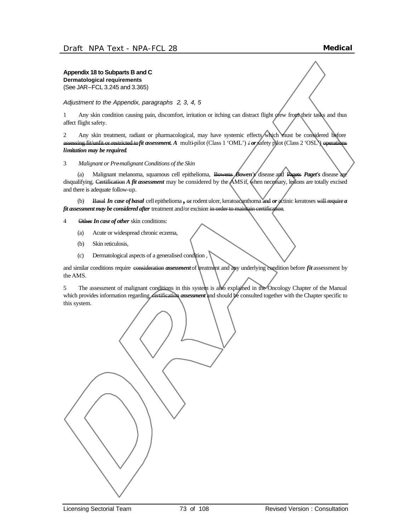## **Appendix 18 to Subparts B and C Dermatological requirements**

(See JAR–FCL 3.245 and 3.365)

## *Adjustment to the Appendix, paragraphs 2, 3, 4, 5*

1 Any skin condition causing pain, discomfort, irritation or itching can distract flight crew from their tasks and thus affect flight safety.

2 Any skin treatment, radiant or pharmacological, may have systemic effects which must be considered before assessing fit/unfit or restricted tofit assessment. A multi-pilot (Class 1 'OML') / or safety pilot (Class 2 'OSL) operati *limitation may be required*.

3 *Malignant or Pre-malignant Conditions of the Skin*

(a) Malignant melanoma, squamous cell epithelioma, Bowens *Bowen's* disease and Pagets *Paget's* disease are disqualifying. Certification *A fit assessment* may be considered by the AMS if, when necessary, lesions are totally excised and there is adequate follow-up.

(b) Basal *In case of basal* cell epithelioma *,* or rodent ulcer, keratoacanthoma and *or* actinic keratoses will require *<sup>a</sup> fit assessment may be considered after treatment and/or excision in order to maintain considered after treatment* 

- 4 Other *In case of other* skin conditions:
	- (a) Acute or widespread chronic eczema,
	- (b) Skin reticulosis,
	- (c) Dermatological aspects of a generalised condition ,

and similar conditions require consideration *assessment* of treatment and any underlying condition before *fit* assessment by the AMS.

5 The assessment of malignant conditions in this system is also explained in the Oncology Chapter of the Manual which provides information regarding certification *assessment* and should be consulted together with the Chapter specific to this system.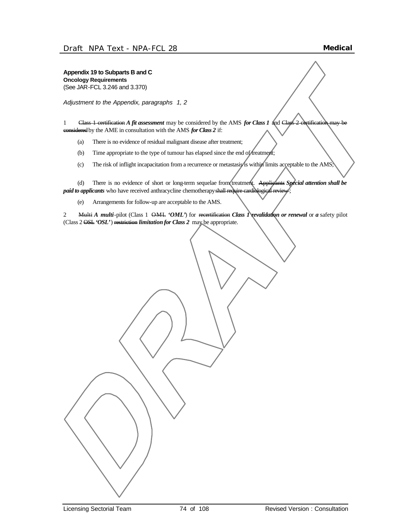## **Appendix 19 to Subparts B and C Oncology Requirements** (See JAR-FCL 3.246 and 3.370)

*Adjustment to the Appendix, paragraphs 1, 2*

1 Class 1 certification *A fit assessment* may be considered by the AMS *for Class 1* and Class 2 certification may be considered by the AME in consultation with the AMS *for Class 2* if:

- (a) There is no evidence of residual malignant disease after treatment;
- (b) Time appropriate to the type of tumour has elapsed since the end of treatment;
- (c) The risk of inflight incapacitation from a recurrence or metastasis is within limits acceptable to the AMS;

(d) There is no evidence of short or long-term sequelae from treatment. Applicants Special attention shall be *paid to applicants* who have received anthracycline chemotherapy shall require cardiological

(e) Arrangements for follow-up are acceptable to the AMS.

2 Multi *A multi*-pilot (Class 1 OML 'OML') for recertification *Class 1* revalidation or renewal or a safety pilot (Class 2 OSL*'OSL'*) restriction *limitation for Class 2* may be appropriate.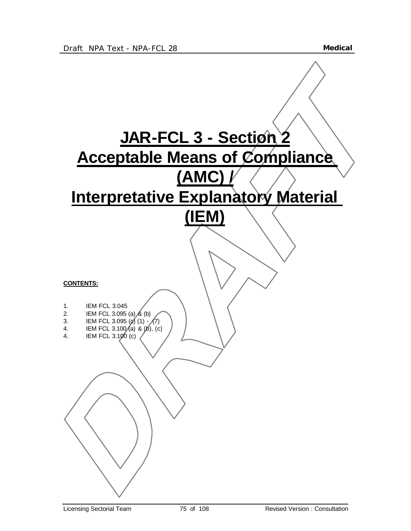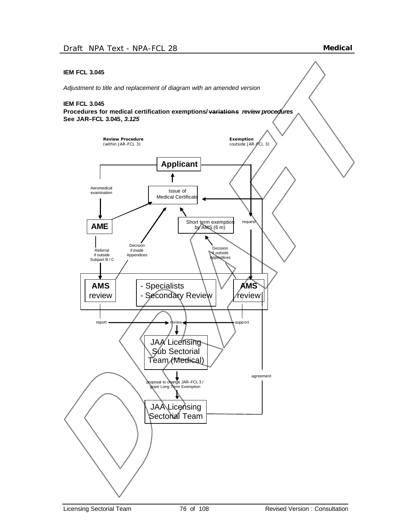#### **IEM FCL 3.045**

*Adjustment to title and replacement of diagram with an amended version*

## **IEM FCL 3.045**

**Procedures for medical certification exemptions/ variations** *review procedures* **See JAR–FCL 3.045,** *3.125*

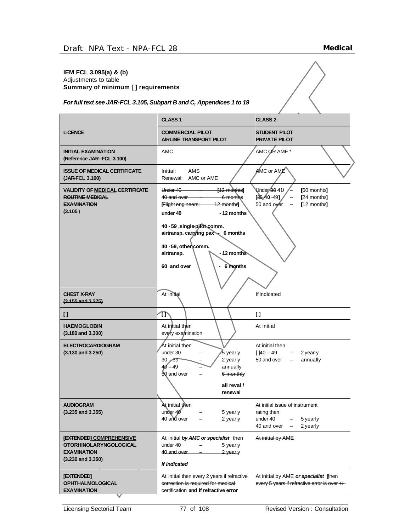## **IEM FCL 3.095(a) & (b)** Adjustments to table **Summary of minimum [ ] requirements**

*For full text see JAR-FCL 3.105, Subpart B and C, Appendices 1 to 19*

|                                                                                                                 | <b>CLASS 1</b>                                                                                                                                | <b>CLASS 2</b>                                                           |                                                                                        |
|-----------------------------------------------------------------------------------------------------------------|-----------------------------------------------------------------------------------------------------------------------------------------------|--------------------------------------------------------------------------|----------------------------------------------------------------------------------------|
| <b>LICENCE</b>                                                                                                  | <b>COMMERCIAL PILOT</b><br><b>AIRLINE TRANSPORT PILOT</b>                                                                                     | <b>STUDENT PILOT</b><br><b>PRIVATE PILOT</b>                             |                                                                                        |
| <b>INITIAL EXAMINATION</b><br>(Reference JAR-FCL 3.100)                                                         | AMC                                                                                                                                           | AMC OR AME *                                                             |                                                                                        |
| <b>ISSUE OF MEDICAL CERTIFICATE</b><br>(JAR-FCL 3.100)                                                          | AMS<br>Initial:<br>Renewal: AMC or AME                                                                                                        | AMC or AME                                                               |                                                                                        |
| <b>VALIDITY OF MEDICAL CERTIFICATE</b><br><b>ROUTINE MEDICAL</b><br><b>EXAMINATION</b><br>(3.105)               | $-H2$ monhts<br>Under 40<br>$-$ 6 months<br>40 and over<br>Flight engineers: 12 months<br>under 40<br>-12 months<br>40-59, single-pilot-comm. | Under $3040$<br>$[30, 40 - 49]$<br>50 and over                           | [60 monhts]<br>[24 months]<br>[12 months]                                              |
|                                                                                                                 | airtransp. carrying pax 6 months<br>40 - 59, other comm.<br>$-12$ months<br>airtransp.<br>- 6 months<br>60 and over                           |                                                                          |                                                                                        |
| <b>CHEST X-RAY</b><br>$(3.155$ and $3.275)$                                                                     | At initial                                                                                                                                    | If indicated                                                             |                                                                                        |
| $\mathbf{I}$                                                                                                    | ${\rm T}\Gamma$                                                                                                                               | $\mathbf{I}$                                                             |                                                                                        |
| <b>HAEMOGLOBIN</b><br>$(3.180$ and $3.300)$                                                                     | At initial then<br>every examination                                                                                                          | At initial                                                               |                                                                                        |
| <b>ELECTROCARDIOGRAM</b><br>$(3.130$ and $3.250)$                                                               | At initial then<br>5 yearly<br>under 30<br>2 yearly<br>$30 - 39$<br>$40 - 49$<br>annually<br>50 and over<br>6 monthly                         | At initial then<br>[ $\mu$ 0 – 49<br>$50$ and over $-$                   | 2 yearly<br>annually                                                                   |
|                                                                                                                 | all reval /<br>renewal                                                                                                                        |                                                                          |                                                                                        |
| <b>AUDIOGRAM</b><br>$(3.235$ and $3.355)$                                                                       | At initial then<br>under 40<br>5 yearly<br>40 and over<br>2 yearly                                                                            | At initial issue of instrument<br>rating then<br>under 40<br>40 and over | 5 yearly<br>2 yearly                                                                   |
| <b>[EXTENDED] COMPREHENSIVE</b><br><b>OTORHINOLARYNGOLOGICAL</b><br><b>EXAMINATION</b><br>$(3.230$ and $3.350)$ | At initial by AMC or specialist then<br>under 40<br>5 yearly<br>40 and over<br>2 yearly<br>if indicated                                       | At initial by AME                                                        |                                                                                        |
| <b>[EXTENDED]</b><br><b>OPHTHALMOLOGICAL</b><br><b>EXAMINATION</b>                                              | At initial then every 2 years if refractive<br>correction is required for medical-<br>certification and if refractive error                   |                                                                          | At initial by AME or specialist then-<br>every 5 years if refractive error is over +/- |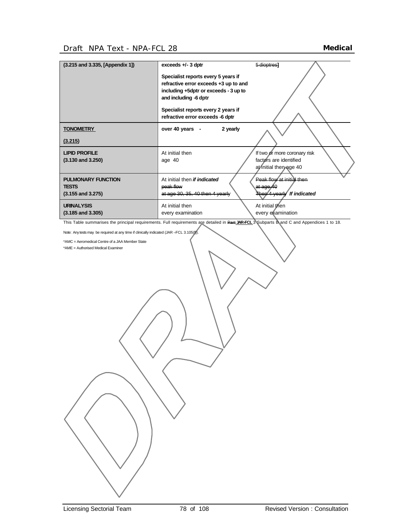| (3.215 and 3.335, [Appendix 1])                                                                                                                                                   | exceeds +/- 3 dptr<br>5-dioptres]                                                                                                                                 |
|-----------------------------------------------------------------------------------------------------------------------------------------------------------------------------------|-------------------------------------------------------------------------------------------------------------------------------------------------------------------|
|                                                                                                                                                                                   | Specialist reports every 5 years if<br>refractive error exceeds +3 up to and<br>including +5dptr or exceeds - 3 up to<br>and including -6 dptr                    |
|                                                                                                                                                                                   | Specialist reports every 2 years if<br>refractive error exceeds -6 dptr                                                                                           |
| <b>TONOMETRY</b>                                                                                                                                                                  | over 40 years -<br>2 yearly                                                                                                                                       |
| (3.215)                                                                                                                                                                           |                                                                                                                                                                   |
| <b>LIPID PROFILE</b><br>$(3.130$ and $3.250)$                                                                                                                                     | At initial then<br>If two or more coronary risk<br>factors are identified<br>age 40<br>at initial then age 40                                                     |
| <b>PULMONARY FUNCTION</b><br><b>TESTS</b><br>$(3.155$ and $3.275)$                                                                                                                | At initial then if indicated<br>Peak flow at initial then<br><del>at age,∕</del> 40<br>peak flow<br>Then 4-yearly If indicated<br>at age 30, 35, 40 then 4 yearly |
| <b>URINALYSIS</b><br>$(3.185$ and $3.305)$                                                                                                                                        | At initial then<br>At initial then<br>every examination<br>every examination                                                                                      |
|                                                                                                                                                                                   | This Table summarises the principal requirements. Full requirements are detailed in Part JAR-FCL3 Subparts B and C and Appendices 1 to 18.                        |
| Note: Any tests may be required at any time if clinically indicated (JAR -FCL 3.105(f)).<br>*AMC = Aeromedical Centre of a JAA Member State<br>*AME = Authorised Medical Examiner |                                                                                                                                                                   |
|                                                                                                                                                                                   |                                                                                                                                                                   |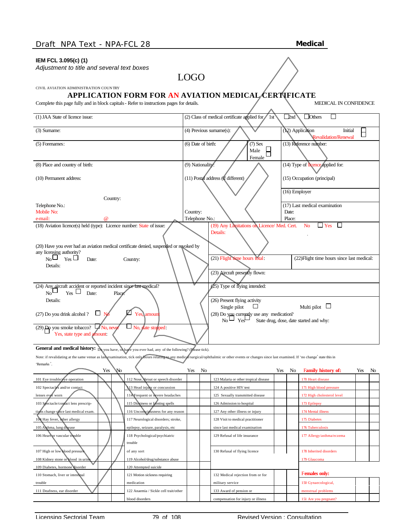| IEM FCL 3.095(c) (1)                                                                                                                                                                                                                                                                                                                                                                                                                                                                                 |                          |                                                                                                                                                                                                                                                                                 |               |                                                                  |     |    |
|------------------------------------------------------------------------------------------------------------------------------------------------------------------------------------------------------------------------------------------------------------------------------------------------------------------------------------------------------------------------------------------------------------------------------------------------------------------------------------------------------|--------------------------|---------------------------------------------------------------------------------------------------------------------------------------------------------------------------------------------------------------------------------------------------------------------------------|---------------|------------------------------------------------------------------|-----|----|
| Adjustment to title and several text boxes                                                                                                                                                                                                                                                                                                                                                                                                                                                           | <b>LOGO</b>              |                                                                                                                                                                                                                                                                                 |               |                                                                  |     |    |
| CIVIL AVIATION ADMINISTRATION COUNTRY<br>APPLICATION FORM FOR AN AVIATION MEDICAL CERTIFICATE                                                                                                                                                                                                                                                                                                                                                                                                        |                          |                                                                                                                                                                                                                                                                                 |               |                                                                  |     |    |
| Complete this page fully and in block capitals - Refer to instructions pages for details.                                                                                                                                                                                                                                                                                                                                                                                                            |                          |                                                                                                                                                                                                                                                                                 |               | MEDICAL IN CONFIDENCE                                            |     |    |
| (1) JAA State of licence issue:                                                                                                                                                                                                                                                                                                                                                                                                                                                                      |                          | (2) Class of medical certificate applied for<br><sup>1</sup> st                                                                                                                                                                                                                 | 2nd           | <b>Others</b><br>$\overline{\phantom{a}}$                        |     |    |
| (3) Surname:                                                                                                                                                                                                                                                                                                                                                                                                                                                                                         | (4) Previous surname(s): |                                                                                                                                                                                                                                                                                 |               | (12) Application<br>Initial<br><b>Revalidation/Renewal</b>       |     |    |
| (5) Forenames:                                                                                                                                                                                                                                                                                                                                                                                                                                                                                       | (6) Date of birth:       | $(7)$ Sex<br>$\overline{\phantom{a}}$<br>Male<br>Female                                                                                                                                                                                                                         |               | (13) Reference number:                                           |     |    |
| (8) Place and country of birth:                                                                                                                                                                                                                                                                                                                                                                                                                                                                      | (9) Nationality:         |                                                                                                                                                                                                                                                                                 |               | (14) Type of heence applied for:                                 |     |    |
| (10) Permanent address:                                                                                                                                                                                                                                                                                                                                                                                                                                                                              |                          | (11) Postal address (f different)                                                                                                                                                                                                                                               |               | (15) Occupation (principal)                                      |     |    |
| Country:                                                                                                                                                                                                                                                                                                                                                                                                                                                                                             |                          |                                                                                                                                                                                                                                                                                 | (16) Employer |                                                                  |     |    |
| Telephone No.:<br>Mobile No:                                                                                                                                                                                                                                                                                                                                                                                                                                                                         | Country:                 |                                                                                                                                                                                                                                                                                 | Date:         | (17) Last medical examination                                    |     |    |
| $\omega$<br>e-mail:<br>(18) Aviation licence(s) held (type): Licence number: State of issue:                                                                                                                                                                                                                                                                                                                                                                                                         | Telephone No.:           | (19) Any Limitations on Licence/ Med. Cert.                                                                                                                                                                                                                                     | Place:        | N <sub>o</sub><br>Yes                                            |     |    |
|                                                                                                                                                                                                                                                                                                                                                                                                                                                                                                      |                          | Details:                                                                                                                                                                                                                                                                        |               |                                                                  |     |    |
| (20) Have you ever had an aviation medical certificate denied, suspended or revoked by<br>any licensing authority?<br>$_{\rm No}\Box$ $_{\rm Yes}\Box$<br>Date:<br>Country:<br>Details:<br>(24) Any aircraft accident or reported incident since last medical?<br>$\sum_{\text{No}}$<br>$_{\text{Yes}}$ $\Box$ Date:<br>Place:<br>Details:<br>И<br>Yes, amount<br>(27) Do you drink alcohol?<br>ப<br>$\Box$ No, date stopped:<br>(29) Po you smoke tobacco? Mo, never<br>Yes, state type and amount: |                          | (21) Flight time hours total:<br>(23) Aircraft presently flown:<br>(25) Type of flying intended:<br>(26) Present flying activity<br>Single pilot<br>ப<br>(28) Do you currently use any medication?<br>$\overline{\text{No}}$ $\Box$ Yes State drug, dose, date started and why: |               | (22) Flight time hours since last medical:<br>Multi pilot $\Box$ |     |    |
| General and medical history: Do you have, on have you ever had, any of the following? (Please tick).                                                                                                                                                                                                                                                                                                                                                                                                 |                          |                                                                                                                                                                                                                                                                                 |               |                                                                  |     |    |
| Note: if revalidating at the same venue as last examination, tick only boxes relating to any medical/surgical/ophthalmic or other events or changes since last examined. If 'no change' state this in                                                                                                                                                                                                                                                                                                |                          |                                                                                                                                                                                                                                                                                 |               |                                                                  |     |    |
| 'Remarks'.<br>Yes                                                                                                                                                                                                                                                                                                                                                                                                                                                                                    |                          |                                                                                                                                                                                                                                                                                 |               |                                                                  |     |    |
| No<br>101 Eye trouble/eye operation<br>112 Nose, throat or speech disorder                                                                                                                                                                                                                                                                                                                                                                                                                           | Yes<br>No                | 123 Malaria or other tropical disease                                                                                                                                                                                                                                           | Yes No        | <b>Family history of:</b><br>170 Heart disease                   | Yes | No |
| 102 Spectacles and/or contact<br>13 Head injury or concussion                                                                                                                                                                                                                                                                                                                                                                                                                                        |                          | 124 A positive HIV test                                                                                                                                                                                                                                                         |               | 171 High blood pressure                                          |     |    |
| 114 Frequent or severe headaches<br>lenses ever worn                                                                                                                                                                                                                                                                                                                                                                                                                                                 |                          | 125 Sexually transmitted disease                                                                                                                                                                                                                                                |               | 172 High cholesterol level                                       |     |    |
| 103 Spectacle/contact lens prescrip-<br>115 Dizziness or fainting spells                                                                                                                                                                                                                                                                                                                                                                                                                             |                          | 126 Admission to hospital                                                                                                                                                                                                                                                       |               | 173 Epilepsy                                                     |     |    |
| 116 Unconsciousness for any reason<br>tions change since last medical exam.                                                                                                                                                                                                                                                                                                                                                                                                                          |                          | 127 Any other illness or injury                                                                                                                                                                                                                                                 |               | 174 Mental illness                                               |     |    |
| 104 Hay fever, other allergy<br>117 Neurological disorders; stroke,                                                                                                                                                                                                                                                                                                                                                                                                                                  |                          | 128 Visit to medical practitioner                                                                                                                                                                                                                                               |               | 175 Diabetes                                                     |     |    |
| 105 Asthma, lung disease<br>epilepsy, seizure, paralysis, etc                                                                                                                                                                                                                                                                                                                                                                                                                                        |                          | since last medical examination                                                                                                                                                                                                                                                  |               | 176 Tuberculosis                                                 |     |    |
| 106 Heart or vascular trouble<br>118 Psychological/psychiatric<br>trouble                                                                                                                                                                                                                                                                                                                                                                                                                            |                          | 129 Refusal of life insurance                                                                                                                                                                                                                                                   |               | 177 Allergy/asthma/eczema                                        |     |    |
| 107 High or low blood pressure<br>of any sort                                                                                                                                                                                                                                                                                                                                                                                                                                                        |                          | 130 Refusal of flying licence                                                                                                                                                                                                                                                   |               | 178 Inherited disorders                                          |     |    |
| 108 Kidney stone or blood in urin<br>119 Alcohol/drug/substance abuse                                                                                                                                                                                                                                                                                                                                                                                                                                |                          |                                                                                                                                                                                                                                                                                 |               | 179 Glaucoma                                                     |     |    |
| 109 Diabetes, hormone disorder<br>120 Attempted suicide                                                                                                                                                                                                                                                                                                                                                                                                                                              |                          |                                                                                                                                                                                                                                                                                 |               |                                                                  |     |    |
| 110 Stomach, liver or intestinal<br>121 Motion sickness requiring<br>trouble<br>medication                                                                                                                                                                                                                                                                                                                                                                                                           |                          | 132 Medical rejection from or for<br>military service                                                                                                                                                                                                                           |               | <b>Females only:</b><br>150 Gynaecological,                      |     |    |
| 111 Deafness, ear disorder<br>122 Anaemia / Sickle cell trait/other                                                                                                                                                                                                                                                                                                                                                                                                                                  |                          | 133 Award of pension or                                                                                                                                                                                                                                                         |               | menstrual problems                                               |     |    |
| blood disorders                                                                                                                                                                                                                                                                                                                                                                                                                                                                                      |                          | compensation for injury or illness                                                                                                                                                                                                                                              |               | 151 Are you pregnant?                                            |     |    |
|                                                                                                                                                                                                                                                                                                                                                                                                                                                                                                      |                          |                                                                                                                                                                                                                                                                                 |               |                                                                  |     |    |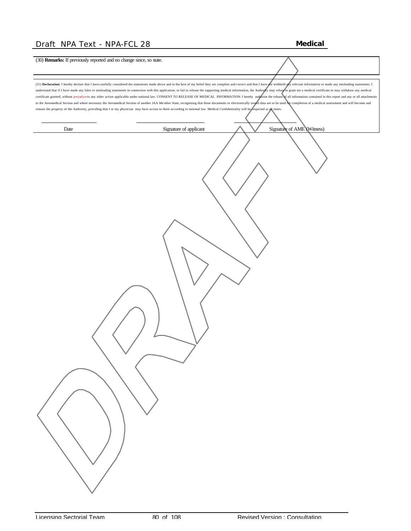# Draft NPA Text - NPA-FCL 28 **Medical**

(30) **Remarks:** If previously reported and no change since, so state.

(31) Declaration: I hereby declare that I have carefully considered the statements made above and to the best of my belief they are complete and correct and that I have of the last of have for withheld of y relevant inform understand that if I have made any false or misleading statements in connection with this application, or fail to release the supporting medical information, the Authorsty may refuse for grant me a medical certificate or m certificate granted, without prejudice to any other action applicable under national law. CONSENT TO RELEASE OF MEDICAL INFORMATION: I hereby auit of release of all information contained in this report and any or all attac to the Aeromedical Section and where necessary the Aeromedical Section of another JAA Member State, recognising that these documents or electronically stored data are to be used the completion of a medical assessment and w remain the property of the Authority, providing that I or my physician may have access to them according to national law. Medical Confidentiality will be respected at all times --------------------------------------- ------------------------------------------------ -------------------------------------------- Date Signature of applicant Signature of AME (Witness)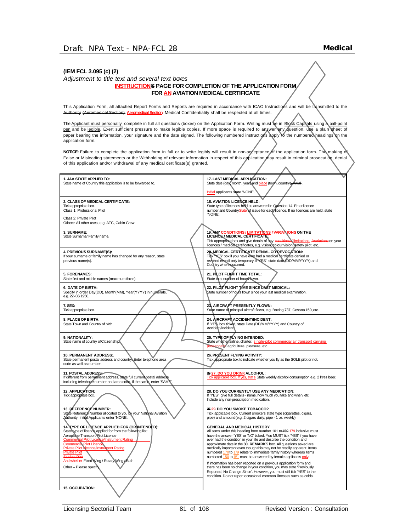#### **(IEM FCL 3.095 (c) (2)** *Adjustment to title text and several text boxes* **INSTRUCTIONS PAGE FOR COMPLETION OF THE APPLICATION FORM FOR AN AVIATION MEDICAL CERTIFICATE**

This Application Form, all attached Report Forms and Reports are required in accordance with ICAO Instructions and will be transmitted to the Authority (Aeromedical Section) **Aeromedical Section**. Medical Confidentiality shall be respected at all times.

The Applicant must personally complete in full all questions (boxes) on the Application Form. Writing must be in Block Capitals using a ball-point pen and be legible. Exert sufficient pressure to make legible copies. If mo pen and be legible. Exert sufficient pressure to make legible copies. If more space is required to answer paper bearing the information, your signature and the date signed. The following numbered instructions apply to the numbered headings on the application form.

NOTICE: Failure to complete the application form in full or to write legibly will result in non-acceptance of the application form. The making of False or Misleading statements or the Withholding of relevant information in respect of this application may result in criminal prosecution, denial of this application and/or withdrawal of any medical certificate(s) granted.

| 1. JAA STATE APPLIED TO:<br>State name of Country this application is to be forwarded to.                                                                                                                                                                                                                                                                                                                            | 17. LAST MEDICAL APPLICATION:<br>State date (day, month, year) and place (town, country), initial                                                                                                                                                                                                                                                                                                                                                                                                                                                                                                                                                                                                                                                                                                                                                    |
|----------------------------------------------------------------------------------------------------------------------------------------------------------------------------------------------------------------------------------------------------------------------------------------------------------------------------------------------------------------------------------------------------------------------|------------------------------------------------------------------------------------------------------------------------------------------------------------------------------------------------------------------------------------------------------------------------------------------------------------------------------------------------------------------------------------------------------------------------------------------------------------------------------------------------------------------------------------------------------------------------------------------------------------------------------------------------------------------------------------------------------------------------------------------------------------------------------------------------------------------------------------------------------|
|                                                                                                                                                                                                                                                                                                                                                                                                                      | Initial applicants state 'NONE'.                                                                                                                                                                                                                                                                                                                                                                                                                                                                                                                                                                                                                                                                                                                                                                                                                     |
| 2. CLASS OF MEDICAL CERTIFICATE:<br>Tick appropriate box.<br>Class 1: Professional Pilot                                                                                                                                                                                                                                                                                                                             | <b>18. AVIATION LICENCE HELD:</b><br>State type of licences held as answered in Question 14. Enterlicence<br>number and Country State of issue for each licence. If no licences are held, state<br>'NONE'.                                                                                                                                                                                                                                                                                                                                                                                                                                                                                                                                                                                                                                           |
| Class 2: Private Pilot<br>Others: All other uses, e.g. ATC, Cabin Crew                                                                                                                                                                                                                                                                                                                                               |                                                                                                                                                                                                                                                                                                                                                                                                                                                                                                                                                                                                                                                                                                                                                                                                                                                      |
| 3. SURNAME:<br>State Surname/ Family name.                                                                                                                                                                                                                                                                                                                                                                           | 19. ANY CONDITIONS/LIMITATIONS/VARIATIONS ON THE<br>LICENCE/ MEDICAL CERTIFICATE:<br>Tick appropriate box and give details of any condition<br>limitations /variations on your<br>licences / medical certificates, e.g. vision, colour vision, safety pilot, etc.                                                                                                                                                                                                                                                                                                                                                                                                                                                                                                                                                                                    |
| 4. PREVIOUS SURNAME(S):<br>If your sumame or family name has changed for any reason, state<br>previous name(s).                                                                                                                                                                                                                                                                                                      | 20. MEDICAL CERTIFICATE DENIAL OR REVOCATION:<br>Tick "YES' box if you have ever had a medical certificate denied or<br>revoked even if only temporary. If YES', state date (DD/MM/YYYY) and<br>Country where occurred.                                                                                                                                                                                                                                                                                                                                                                                                                                                                                                                                                                                                                              |
| 5. FORENAMES:<br>State first and middle names (maximum three).                                                                                                                                                                                                                                                                                                                                                       | 21. PILOT FLIGHT TIME TOTAL:<br>State total number of hours flown.                                                                                                                                                                                                                                                                                                                                                                                                                                                                                                                                                                                                                                                                                                                                                                                   |
| <b>6. DATE OF BIRTH:</b><br>Specify in order Day(DD), Month(MM), Year(YYYY) in numerals,<br>e.g. 22-08-1950.                                                                                                                                                                                                                                                                                                         | 22. PILOT FLIGHT TIME SINCE LAST MEDICAL:<br>State number of hours flown since your last medical examination.                                                                                                                                                                                                                                                                                                                                                                                                                                                                                                                                                                                                                                                                                                                                        |
| 7. SEX:<br>Tick appropriate box.                                                                                                                                                                                                                                                                                                                                                                                     | 23. AIRCRAFT PRESENTLY FLOWN:<br>State name of principal aircraft flown, e.g. Boeing 737, Cessna 150, etc.                                                                                                                                                                                                                                                                                                                                                                                                                                                                                                                                                                                                                                                                                                                                           |
| 8. PLACE OF BIRTH:<br>State Town and Country of birth.                                                                                                                                                                                                                                                                                                                                                               | 24. AIRCRAFT ACCIDENT/INCIDENT:<br>If 'YES' box ticked, state Date (DD/MM/YYYY) and Country of<br>Accident/Incident.                                                                                                                                                                                                                                                                                                                                                                                                                                                                                                                                                                                                                                                                                                                                 |
| 9. NATIONALITY:<br>State name of country of Citizenship                                                                                                                                                                                                                                                                                                                                                              | 25. TYPE OF FLYING INTENDED:<br>State whether airline, charter, single-pilot commercial air transport carrying<br>sengers, agriculture, pleasure, etc.                                                                                                                                                                                                                                                                                                                                                                                                                                                                                                                                                                                                                                                                                               |
| 10. PERMANENT ADDRESS:.<br>State permanent postal address and country. Enter telephone area<br>code as well as number.                                                                                                                                                                                                                                                                                               | 26. PRESENT FLYING ACTIVITY:<br>Tick appropriate box to indicate whether you fly as the SOLE pilot or not.                                                                                                                                                                                                                                                                                                                                                                                                                                                                                                                                                                                                                                                                                                                                           |
| 11. POSTAL ADDRESS<br>If different from permanent address, state full current postal address<br>including telephone number and area code. If the same, enter 'SAME'.                                                                                                                                                                                                                                                 | 29 27. DO YOU DRINK ALCOHOL:<br>Tick applicable box. If yes, state State weekly alcohol consumption e.g. 2 litres beer.                                                                                                                                                                                                                                                                                                                                                                                                                                                                                                                                                                                                                                                                                                                              |
| 12. APPLICATION:<br>Tick appropriate box.                                                                                                                                                                                                                                                                                                                                                                            | 28. DO YOU CURRENTLY USE ANY MEDICATION:<br>If 'YES', give full details - name, how much you take and when, etc.<br>Include any non-prescription medication.                                                                                                                                                                                                                                                                                                                                                                                                                                                                                                                                                                                                                                                                                         |
| 13. RÉFERENCE NUMBER:<br>State Reference Number allocated to you by your National Aviation<br>Authority. Initial Applicants enter 'NONE'.                                                                                                                                                                                                                                                                            | 27 29 DO YOU SMOKE TOBACCO?<br>Tick applicable box. Current smokers state type (cigarettes, cigars,<br>pipe) and amount (e.g. 2 cigars daily; pipe - 1 oz. weekly)                                                                                                                                                                                                                                                                                                                                                                                                                                                                                                                                                                                                                                                                                   |
| 14. TYPE OF LICENCE APPLIED FOR (OR INTENDED):<br>State type of licence applied for from the following list:<br>Aeroplane Transport Pilot Licence<br><b>Commercial Pilot Licence/Instrument Rating</b><br><b>Commercial Pilot Licence</b><br><b>Private Pilot Licence/Instrument Rating</b><br><b>Private Pilot</b><br><b>Student Pilot</b><br>And whether Fixed Wing / Rotary Wing / Both<br>Other - Please specify | <b>GENERAL AND MEDICAL HISTORY</b><br>All items under this heading from number 101 to 159 179 inclusive must<br>have the answer 'YES' or 'NO' ticked. You MUST tick 'YES' if you have<br>ever had the condition in your life and descrbe the condition and<br>approximate date in the 30. REMARKS box. All questions asked are<br>medically important even though this may not be readily apparent. Items<br>numbered 170 to 179 relate to immediate family history whereas items<br>numbered 150 to 151 must be answered by female applicants only.<br>If information has been reported on a previous application form and<br>there has been no change in your condition, you may state 'Previously<br>Reported, No Change Since'. However, you must still tick 'YES' to the<br>condition. Do not report occasional common illnesses such as colds. |
| 15. OCCUPATION:                                                                                                                                                                                                                                                                                                                                                                                                      |                                                                                                                                                                                                                                                                                                                                                                                                                                                                                                                                                                                                                                                                                                                                                                                                                                                      |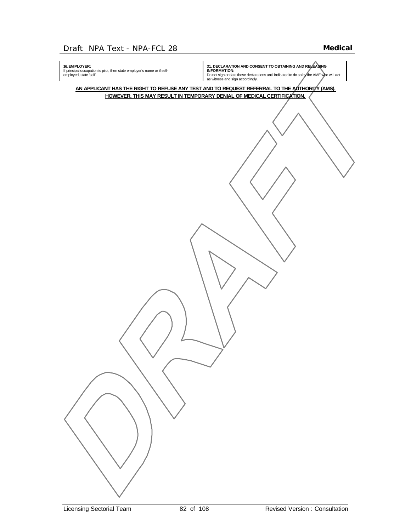| Do not sign or date these declarations until indicated to do so by the AME who will act as witness and sign accordingly.<br>AN APPLICANT HAS THE RIGHT TO REFUSE ANY TEST AND TO REQUEST REFERRAL TO THE AUTHORITY (AMS).<br>HOWEVER, THIS MAY RESULT IN TEMPORARY DENIAL OF MEDICAL CERTIFICATION. |
|-----------------------------------------------------------------------------------------------------------------------------------------------------------------------------------------------------------------------------------------------------------------------------------------------------|
|                                                                                                                                                                                                                                                                                                     |
|                                                                                                                                                                                                                                                                                                     |
|                                                                                                                                                                                                                                                                                                     |
|                                                                                                                                                                                                                                                                                                     |
|                                                                                                                                                                                                                                                                                                     |
|                                                                                                                                                                                                                                                                                                     |
|                                                                                                                                                                                                                                                                                                     |
|                                                                                                                                                                                                                                                                                                     |
|                                                                                                                                                                                                                                                                                                     |
|                                                                                                                                                                                                                                                                                                     |
|                                                                                                                                                                                                                                                                                                     |
|                                                                                                                                                                                                                                                                                                     |
|                                                                                                                                                                                                                                                                                                     |
|                                                                                                                                                                                                                                                                                                     |
|                                                                                                                                                                                                                                                                                                     |
|                                                                                                                                                                                                                                                                                                     |
|                                                                                                                                                                                                                                                                                                     |
|                                                                                                                                                                                                                                                                                                     |
|                                                                                                                                                                                                                                                                                                     |
|                                                                                                                                                                                                                                                                                                     |
|                                                                                                                                                                                                                                                                                                     |
|                                                                                                                                                                                                                                                                                                     |
|                                                                                                                                                                                                                                                                                                     |
|                                                                                                                                                                                                                                                                                                     |
|                                                                                                                                                                                                                                                                                                     |
|                                                                                                                                                                                                                                                                                                     |
|                                                                                                                                                                                                                                                                                                     |
|                                                                                                                                                                                                                                                                                                     |
|                                                                                                                                                                                                                                                                                                     |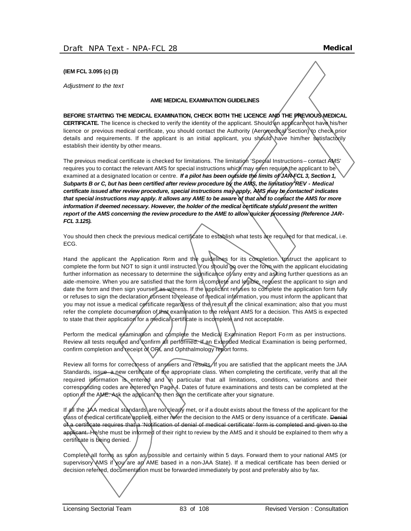#### **(IEM FCL 3.095 (c) (3)**

*Adjustment to the text*

#### **AME MEDICAL EXAMINATION GUIDELINES**

**BEFORE STARTING THE MEDICAL EXAMINATION, CHECK BOTH THE LICENCE AND THE PREVIOUS MEDICAL CERTIFICATE.** The licence is checked to verify the identity of the applicant. Should an applicant not have his/her licence or previous medical certificate, you should contact the Authority (Aeromedical Section) to check prior details and requirements. If the applicant is an initial applicant, you should have him/her satisfactorily establish their identity by other means.

The previous medical certificate is checked for limitations. The limitation 'Special Instructions – contact AMS' requires you to contact the relevant AMS for special instructions which may even require the applicant to be examined at a designated location or centre. *If a pilot has been outside the limits of JAR-FCL 3, Section 1, Subparts B or C, but has been certified after review procedure by the AMS, the limitation 'REV - Medical certificate issued after review procedure, special instructions may apply, AMS may be contacted' indicates that special instructions may apply. It allows any AME to be aware of that and to contact the AMS for more information if deemed necessary. However, the holder of the medical certificate should present the written report of the AMS concerning the review procedure to the AME to allow quicker processing (Reference JAR-FCL 3.125).* 

You should then check the previous medical certificate to establish what tests are required for that medical, i.e. ECG.

Hand the applicant the Application Form and the guidelines for its completion. Instruct the applicant to complete the form but NOT to sign it until instructed. You should go over the form with the applicant elucidating further information as necessary to determine the significance of any entry and asking further questions as an aide-memoire. When you are satisfied that the form is complete and legible, request the applicant to sign and date the form and then sign yourself as witness. If the applicant refuses to complete the application form fully or refuses to sign the declaration consent to release of medical information, you must inform the applicant that you may not issue a medical certificate regardless of the result of the clinical examination; also that you must refer the complete documentation of that examination to the relevant AMS for a decision. This AMS is expected to state that their application for a medical certificate is incomplete and not acceptable.

Perform the medical examination and complete the Medical Examination Report Fo rm as per instructions. Review all tests required and confirm all performed. If an Extended Medical Examination is being performed, confirm completion and receipt of ORL and Ophthalmology report forms.

Review all forms for correctness of answers and results. If you are satisfied that the applicant meets the JAA Standards, issue a new certificate of the appropriate class. When completing the certificate, verify that all the required information is entered and in particular that all limitations, conditions, variations and their corresponding codes are entered on Page 4. Dates of future examinations and tests can be completed at the option of the AME. Ask the applicant to then sign the certificate after your signature.

If all the JAA medical standards are not clearly met, or if a doubt exists about the fitness of the applicant for the class of medical certificate applied, either refer the decision to the AMS or deny issuance of a certificate. Denial certificate requires that a 'Notification of denial of medical certificate' form is completed and given to the applicant. He/she must be informed of their right to review by the AMS and it should be explained to them why a certificate is being denied.

Complete all forms as soon as/possible and certainly within 5 days. Forward them to your national AMS (or supervisory AMS if you are an AME based in a non-JAA State). If a medical certificate has been denied or decision referred, documentation must be forwarded immediately by post and preferably also by fax.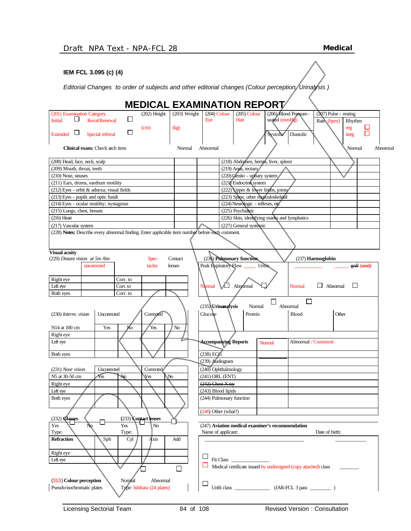| IEM FCL 3.095 (c) (4)                                                                                                                                                |                        |                                                                                                                                                                                                 |
|----------------------------------------------------------------------------------------------------------------------------------------------------------------------|------------------------|-------------------------------------------------------------------------------------------------------------------------------------------------------------------------------------------------|
|                                                                                                                                                                      |                        | Editorial Changes to order of subjects and other editorial changes (Colour perception/Urinalysis)                                                                                               |
|                                                                                                                                                                      |                        | <b>MEDICAL EXAMINATION REPORT</b>                                                                                                                                                               |
| (201) Examination Category<br>$(202)$ Height<br>$\mathsf{I}$<br>ப<br><b>Reval/Renewal</b><br><b>Initial</b><br>(cm)<br>□<br>⊔<br><b>Extended</b><br>Special referral | $(203)$ Weight<br>(kg) | $(204)$ Colour<br>(206) Blood Pressure-<br>$(207)$ Pulse - resting<br>$(205)$ Colour<br>seated (mmHg)<br>Hair<br>Eye<br>Rhythm<br>Rate (bpm)<br>ப<br>reg<br>П<br>Systolle<br>Diastolic<br>irreg |
| Clinical exam: Check each item                                                                                                                                       | Normal                 | Abnormal<br>Abnormal<br>Normal                                                                                                                                                                  |
| (208) Head, face, neck, scalp                                                                                                                                        |                        | (218) Abdomen, hernia, liver, spleen                                                                                                                                                            |
| (209) Mouth, throat, teeth                                                                                                                                           |                        | $(219)$ Anus, rectum                                                                                                                                                                            |
| $(210)$ Nose, sinuses                                                                                                                                                |                        | (220) Genito - urinary system                                                                                                                                                                   |
| (211) Ears, drums, eardrum motility<br>(212) Eyes - orbit & adnexa; visual fields                                                                                    |                        | (221) Endocrine system<br>$(222)$ Upper & lower limbs, joints                                                                                                                                   |
| (213) Eyes - pupils and optic fundi                                                                                                                                  |                        | (223) Spine, other musculoskeletal                                                                                                                                                              |
| (214) Eyes - ocular motility; nystagmus                                                                                                                              |                        | (224) Neurologic - reflexes, etc.                                                                                                                                                               |
| (215) Lungs, chest, breasts                                                                                                                                          |                        | (225) Psychiatric                                                                                                                                                                               |
| $(216)$ Heart                                                                                                                                                        |                        | (226) Skin, identifying marks and lymphatics                                                                                                                                                    |
| (217) Vascular system                                                                                                                                                |                        | (227) General systemic                                                                                                                                                                          |
| (228) Notes: Describe every abnormal finding. Enter applicable item number before each comment.                                                                      |                        |                                                                                                                                                                                                 |
| <b>Visual acuity</b><br>(229) Distant vision at 5m /6m<br>Spec-                                                                                                      | Contact                | (236) Pulmonary function<br>(237) Haemoglobin                                                                                                                                                   |
| uncorrected<br>tacles                                                                                                                                                | lenses                 | Peak Expiratory Flow<br>$1/m$ in<br>$g/dl$ ( <i>unit</i> )                                                                                                                                      |
| Right eye<br>Corr. to                                                                                                                                                |                        |                                                                                                                                                                                                 |
| Left eye<br>Corr. to                                                                                                                                                 |                        | $\Box$<br>V<br>Abnormal<br>Normal<br>Abnormal<br>Normal                                                                                                                                         |
| Both eyes<br>Corr. to<br>Corregted<br>Uncorrected<br>(230) Interm. vision<br>Ńо<br>N14 at 100 cm<br>Yes<br>Yes<br>Right eye                                          | No<br>ı                | $\mathbf{I}$<br>(235) Urinanalysis<br>Normal<br>Abnormal<br>Glucose<br><b>Blood</b><br>Other<br>Protein                                                                                         |
| Left eye                                                                                                                                                             |                        | <b>Accompanying Reports</b><br>Abnormal / Comment<br>Normal                                                                                                                                     |
| Both eyes                                                                                                                                                            |                        | $(238)$ ECG                                                                                                                                                                                     |
|                                                                                                                                                                      |                        | (239) Audiogram                                                                                                                                                                                 |
| Uncorrected<br>Corrected<br>(231) Near vision                                                                                                                        |                        | $(240)$ Ophthalmology                                                                                                                                                                           |
| N5 at 30-50 cm<br>$\sqrt{\alpha}$<br>Yes<br>No                                                                                                                       | No                     | (241) ORL (ENT)                                                                                                                                                                                 |
| Right eye                                                                                                                                                            |                        | (242) Chest X ray                                                                                                                                                                               |
| Left eye                                                                                                                                                             |                        | (243) Blood lipids                                                                                                                                                                              |
| Both eyes                                                                                                                                                            |                        | (244) Pulmonary function                                                                                                                                                                        |
|                                                                                                                                                                      |                        | $(246)$ Other (what?)                                                                                                                                                                           |
| $(232)$ Classes<br>$\frac{(233)}{11}$ Contact lenses<br>Yes<br>Yes<br>Ño<br>N <sub>o</sub>                                                                           |                        | (247) Aviation medical examiner's recommendation                                                                                                                                                |
| Type:<br>Type:<br><b>Refraction</b><br>Sph<br>Cyl<br>Axis                                                                                                            | Add                    | Name of applicant:<br>Date of birth:                                                                                                                                                            |
| Right eye                                                                                                                                                            |                        |                                                                                                                                                                                                 |
| Left eye                                                                                                                                                             | $\Box$                 | Fit Class<br>Medical certificate issued by undersigned (copy attached) class                                                                                                                    |
| (313) Colour perception<br>Abnormal<br>Normal                                                                                                                        |                        |                                                                                                                                                                                                 |
| Pseudo-isochromatic plates<br>Type: Ishihara (24 plates)                                                                                                             |                        | $\Box$                                                                                                                                                                                          |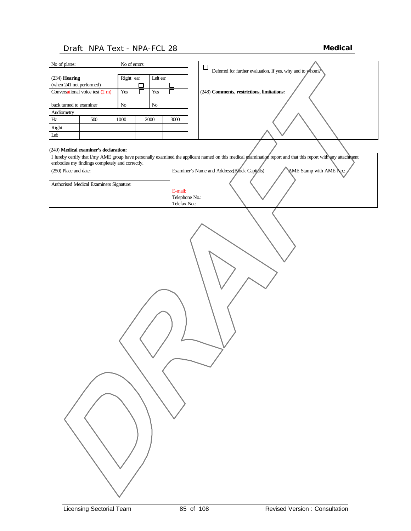# Draft NPA Text - NPA-FCL 28 **Medical**

| No of plates:                             |                                                | No of errors: |                          |                           | $\Box$                                                                                                                                                        |  |
|-------------------------------------------|------------------------------------------------|---------------|--------------------------|---------------------------|---------------------------------------------------------------------------------------------------------------------------------------------------------------|--|
|                                           |                                                |               |                          |                           | Deferred for further evaluation. If yes, why and to whom?                                                                                                     |  |
| (234) Hearing<br>(when 241 not performed) |                                                | Right ear     | Left ear<br>$\Box$       |                           |                                                                                                                                                               |  |
|                                           | Conversational voice test (2 m)                | Yes           | $\overline{\Box}$<br>Yes | $\Box$                    | (248) Comments, restrictions, limitations:                                                                                                                    |  |
| back turned to examiner                   |                                                | ${\rm No}$    | $\rm No$                 |                           |                                                                                                                                                               |  |
| Audiometry                                |                                                |               |                          |                           |                                                                                                                                                               |  |
| $\rm Hz$                                  | $500\,$                                        | $1000\,$      | $2000\,$                 | $3000\,$                  |                                                                                                                                                               |  |
| Right                                     |                                                |               |                          |                           |                                                                                                                                                               |  |
| Left                                      |                                                |               |                          |                           |                                                                                                                                                               |  |
| (249) Medical examiner's declaration:     |                                                |               |                          |                           |                                                                                                                                                               |  |
|                                           |                                                |               |                          |                           | I hereby certify that I/my AME group have personally examined the applicant named on this medical gramination report and that this report with any attachment |  |
| (250) Place and date:                     | embodies my findings completely and correctly. |               |                          |                           | AME Stamp with AME No.:<br>Examiner's Name and Address: (Block Capitals)                                                                                      |  |
|                                           |                                                |               |                          |                           |                                                                                                                                                               |  |
|                                           | Authorised Medical Examiners Signature:        |               |                          |                           |                                                                                                                                                               |  |
|                                           |                                                |               |                          | E-mail:<br>Telephone No.: |                                                                                                                                                               |  |
|                                           |                                                |               |                          | Telefax No.:              |                                                                                                                                                               |  |
|                                           |                                                |               |                          |                           |                                                                                                                                                               |  |
|                                           |                                                |               |                          |                           |                                                                                                                                                               |  |
|                                           |                                                |               |                          |                           |                                                                                                                                                               |  |
|                                           |                                                |               |                          |                           |                                                                                                                                                               |  |
|                                           |                                                |               |                          |                           |                                                                                                                                                               |  |
|                                           |                                                |               |                          |                           |                                                                                                                                                               |  |
|                                           |                                                |               |                          |                           |                                                                                                                                                               |  |
|                                           |                                                |               |                          |                           |                                                                                                                                                               |  |
|                                           |                                                |               |                          |                           |                                                                                                                                                               |  |
|                                           |                                                |               |                          |                           |                                                                                                                                                               |  |
|                                           |                                                |               |                          |                           |                                                                                                                                                               |  |
|                                           |                                                |               |                          |                           |                                                                                                                                                               |  |
|                                           |                                                |               |                          |                           |                                                                                                                                                               |  |
|                                           |                                                |               |                          |                           |                                                                                                                                                               |  |
|                                           |                                                |               |                          |                           |                                                                                                                                                               |  |
|                                           |                                                |               |                          |                           |                                                                                                                                                               |  |
|                                           |                                                |               |                          |                           |                                                                                                                                                               |  |
|                                           |                                                |               |                          |                           |                                                                                                                                                               |  |
|                                           |                                                |               |                          |                           |                                                                                                                                                               |  |
|                                           |                                                |               |                          |                           |                                                                                                                                                               |  |
|                                           |                                                |               |                          |                           |                                                                                                                                                               |  |
|                                           |                                                |               |                          |                           |                                                                                                                                                               |  |
|                                           |                                                |               |                          |                           |                                                                                                                                                               |  |
|                                           |                                                |               |                          |                           |                                                                                                                                                               |  |
|                                           |                                                |               |                          |                           |                                                                                                                                                               |  |
|                                           |                                                |               |                          |                           |                                                                                                                                                               |  |
|                                           |                                                |               |                          |                           |                                                                                                                                                               |  |
|                                           |                                                |               |                          |                           |                                                                                                                                                               |  |
|                                           |                                                |               |                          |                           |                                                                                                                                                               |  |
|                                           |                                                |               |                          |                           |                                                                                                                                                               |  |
|                                           |                                                |               |                          |                           |                                                                                                                                                               |  |
|                                           |                                                |               |                          |                           |                                                                                                                                                               |  |
|                                           |                                                |               |                          |                           |                                                                                                                                                               |  |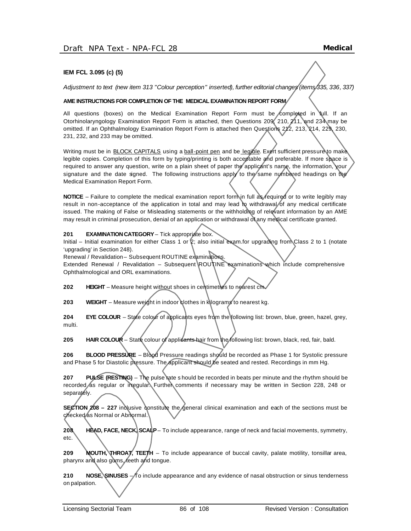## **IEM FCL 3.095 (c) (5)**

*Adjustment to text (new item 313 "Colour perception" inserted), further editorial changes (items 335, 336, 337)*

## **AME INSTRUCTIONS FOR COMPLETION OF THE MEDICAL EXAMINATION REPORT FORM**

All questions (boxes) on the Medical Examination Report Form must be  $\ell$ completed in full. If an Otorhinolaryngology Examination Report Form is attached, then Questions 209, 210, 211, and 234 may be omitted. If an Ophthalmology Examination Report Form is attached then Questions 212, 213, 214, 229, 230, 231, 232, and 233 may be omitted.

Writing must be in **BLOCK CAPITALS** using a ball-point pen and be legible. Exert sufficient pressure to make legible copies. Completion of this form by typing/printing is both acceptable and preferable. If more space is required to answer any question, write on a plain sheet of paper the applicant's name, the information, your signature and the date signed. The following instructions apply to the same numbered headings on the Medical Examination Report Form.

**NOTICE** – Failure to complete the medical examination report form in full as required or to write legibly may result in non-acceptance of the application in total and may lead to withdrawal/of any medical certificate issued. The making of False or Misleading statements or the withholding of relevant information by an AME may result in criminal prosecution, denial of an application or withdrawal of any medical certificate granted.

## **201 EXAMINATION CATEGORY**– Tick appropriate box.

Initial – Initial examination for either Class 1 or 2; also initial exam.for upgrading from Class 2 to 1 (notate 'upgrading' in Section 248).

Renewal / Revalidation - Subsequent ROUTINE examinations. Extended Renewal / Revalidation – Subsequent ROUTINE examinations which include comprehensive Ophthalmological and ORL examinations.

**202 • HEIGHT** – Measure height without shoes in centimetres to nearest cm.

**203 WEIGHT** – Measure weight in indoor clothes in kilograms to nearest kg.

**204 <b>EYE COLOUR** – State colour of applicants eyes from the following list: brown, blue, green, hazel, grey, multi.

**205 HAIR COLOUR** – State colour of applicants hair from the following list: brown, black, red, fair, bald.

**206 BLOOD PRESSURE** – Blood Pressure readings should be recorded as Phase 1 for Systolic pressure and Phase 5 for Diastolic pressure. The applicant should be seated and rested. Recordings in mm Hg.

**207 PULSE (RESTING)** – The pulse rate s hould be recorded in beats per minute and the rhythm should be recorded as regular or inegular. Further comments if necessary may be written in Section 228, 248 or separately.

**SECTION 208 - 227** inclusive constitute the general clinical examination and each of the sections must be checked as Normal or Abnormal.

**208 HEAD, FACE, NECK, SCALP**– To include appearance, range of neck and facial movements, symmetry, etc.

**209 MOUTH, THROAT, TEETH** – To include appearance of buccal cavity, palate motility, tonsillar area, pharynx and also gums, feeth and tongue.

**210 NOSE, SINUSES** – To include appearance and any evidence of nasal obstruction or sinus tenderness on palpation.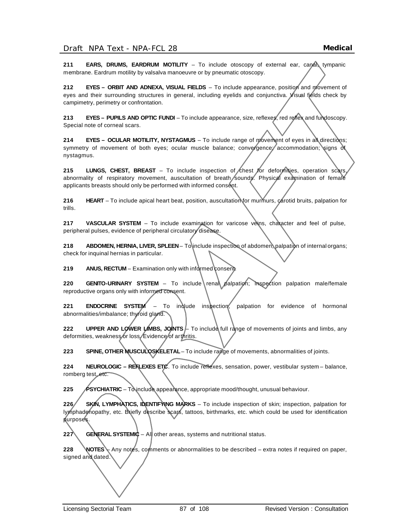**211 EARS, DRUMS, EARDRUM MOTILITY** – To include otoscopy of external ear, canal, tympanic membrane. Eardrum motility by valsalva manoeuvre or by pneumatic otoscopy.

212 **EYES – ORBIT AND ADNEXA, VISUAL FIELDS** – To include appearance, position and movement of eyes and their surrounding structures in general, including eyelids and conjunctiva. Visual fields check by campimetry, perimetry or confrontation.

**213 EYES – PUPILS AND OPTIC FUNDI** – To include appearance, size, reflexes, red reflex and fundoscopy. Special note of corneal scars.

**214 EYES – OCULAR MOTILITY, NYSTAGMUS** – To include range of movement of eyes in all directions; symmetry of movement of both eyes; ocular muscle balance; convergence; accommodation; signs of nystagmus.

**215 LUNGS, CHEST, BREAST** – To include inspection of chest for deformities, operation scars abnormality of respiratory movement, auscultation of breath sounds. Physical examination of female applicants breasts should only be performed with informed consent.

216 **HEART** – To include apical heart beat, position, auscultation for murmurs, carotid bruits, palpation for trills.

**217 VASCULAR SYSTEM** – To include examination for varicose veins, character and feel of pulse, peripheral pulses, evidence of peripheral circulatory disease.

**218 <b>ABDOMEN, HERNIA, LIVER, SPLEEN** – To include inspection of abdomen, palpation of internal organs; check for inquinal hernias in particular.

**219 •• ANUS, RECTUM** – Examination only with informed consent.

220 **GENITO-URINARY SYSTEM** – To include renal palpation; inspection palpation male/female reproductive organs only with informed consent.

**221 ENDOCRINE SYSTEM** – To include inspection, palpation for evidence of hormonal abnormalities/imbalance; thyroid gland.

**222 UPPER AND LOWER LIMBS, JOINTS** Fo include full range of movements of joints and limbs, any deformities, weakness or loss. Evidence of arthritis.

**223 SPINE, OTHER MUSCULOSKELETAL**– To include range of movements, abnormalities of joints.

**224 NEUROLOGIC – REFLEXES ETC**. To include reflexes, sensation, power, vestibular system – balance, romberg test, etc.

**225 PSYCHIATRIC** – To include appearance, appropriate mood/thought, unusual behaviour.

**226 SKIN, LYMPHATICS, IDENTIFYING MARKS** – To include inspection of skin; inspection, palpation for lymphadenopathy, etc. Briefly describe scars, tattoos, birthmarks, etc. which could be used for identification **purposes** 

**227 GENERAL SYSTEMIC** – All other areas, systems and nutritional status.

**228 NOTES** – Any notes, comments or abnormalities to be described – extra notes if required on paper, signed and dated.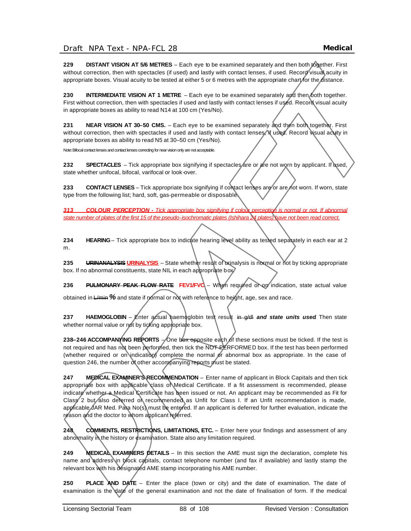**229 DISTANT VISION AT 5/6 METRES** – Each eye to be examined separately and then both together. First without correction, then with spectacles (if used) and lastly with contact lenses, if used. Record visual acuity in appropriate boxes. Visual acuity to be tested at either 5 or 6 metres with the appropriate chart for the distance.

230 **INTERMEDIATE VISION AT 1 METRE** – Each eye to be examined separately and then both together. First without correction, then with spectacles if used and lastly with contact lenses if used. Record visual acuity in appropriate boxes as ability to read N14 at 100 cm (Yes/No).

**231 NEAR VISION AT 30–50 CMS.** – Each eye to be examined separately and then both together. First without correction, then with spectacles if used and lastly with contact lenses, it used. Record visual acuity in appropriate boxes as ability to read N5 at 30–50 cm (Yes/No).

Note:Bifocal contact lenses and contact lenses correcting for near vision only are not acceptable.

**232 SPECTACLES** – Tick appropriate box signifying if spectacles are or are not worn by applicant. If used, state whether unifocal, bifocal, varifocal or look-over.

**233 CONTACT LENSES** – Tick appropriate box signifying if contact lenses are or are not worn. If worn, state type from the following list; hard, soft, gas-permeable or disposable.

*313 COLOUR PERCEPTION - Tick appropriate box signifying if colour perception is normal or not. If abnormal state number of plates of the first 15 of the pseudo-isochromatic plates (Ishihara 24 plates) have not been read correct.*

**234 <b>HEARING** – Tick appropriate box to indicate hearing level ability as tested separately in each ear at 2 m.

**235 URINANALYSIS URINALYSIS** – State whether result of urinalysis is normal or not by ticking appropriate box. If no abnormal constituents, state NIL in each appropriate box.

**236 PULMONARY PEAK FLOW RATE FEV1/FVC** – When required or on indication, state actual value

obtained in L/min % and state if normal or not with reference to height, age, sex and race.

**237 HAEMOGLOBIN** – Enter actual haemoglobin test result in g/dl *and state units used*. Then state whether normal value or not by ticking appropriate box.

238-246 ACCOMPANYING REPORTS  $\rightarrow$ One box opposite each of these sections must be ticked. If the test is not required and has not been performed, then tick the NOT PERFORMED box. If the test has been performed (whether required or on indication) complete the normal or abnormal box as appropriate. In the case of question 246, the number of other accompanying reports must be stated.

247 **MEDICAL EXAMINER'S RECOMMENDATION** – Enter name of applicant in Block Capitals and then tick appropriate box with applicable class of Medical Certificate. If a fit assessment is recommended, please indicate whether a Medical Certificate has been issued or not. An applicant may be recommended as Fit for Class 2 but also deferred on recommended as Unfit for Class I. If an Unfit recommendation is made, applicable JAR Med. Para No(s) must be entered. If an applicant is deferred for further evaluation, indicate the reason and the doctor to whom applicant referred.

**248 COMMENTS, RESTRICTIONS, LIMITATIONS, ETC.** – Enter here your findings and assessment of any abnormality in the history or examination. State also any limitation required.

**249 MEDICAL EXAMINERS DETAILS** – In this section the AME must sign the declaration, complete his name and address in block capitals, contact telephone number (and fax if available) and lastly stamp the relevant box with his designated AME stamp incorporating his AME number.

**250 PLACE AND DATE** – Enter the place (town or city) and the date of examination. The date of examination is the date of the general examination and not the date of finalisation of form. If the medical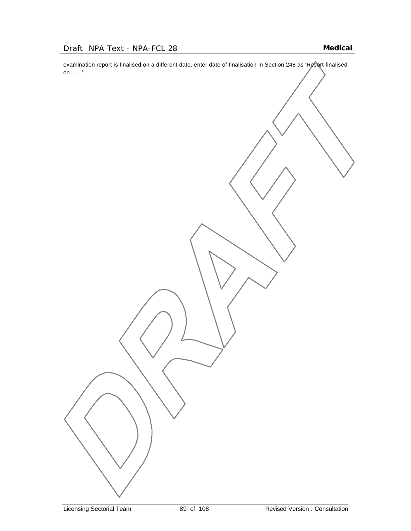examination report is finalised on a different date, enter date of finalisation in Section 248 as 'Report finalised on .......'.

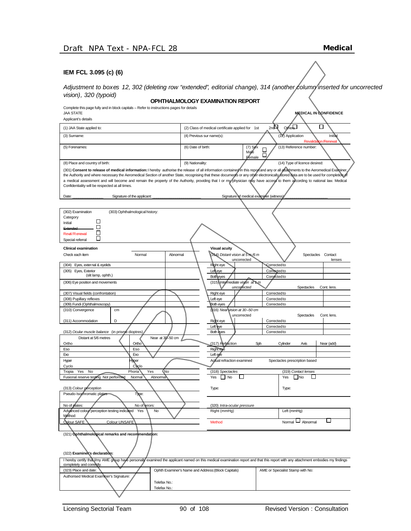# **IEM FCL 3.095 (c) (6)**

Adjustment to boxes 12, 302 (deleting row "extended", editorial change), 314 (another column inserted for uncorrected *vision), 320 (typoid)*

| Complete this page fully and in block capitals – Refer to instructions pages for details<br>JAA STATE                                                                                                                                                                                                                                                               |                                                     | <b>MEDICAL IN GONFIDENCE</b>                    |
|---------------------------------------------------------------------------------------------------------------------------------------------------------------------------------------------------------------------------------------------------------------------------------------------------------------------------------------------------------------------|-----------------------------------------------------|-------------------------------------------------|
| Applicant's details                                                                                                                                                                                                                                                                                                                                                 |                                                     |                                                 |
| (1) JAA State applied to:                                                                                                                                                                                                                                                                                                                                           | (2) Class of medical certificate applied for 1st    | 2nd<br>Others.<br>$\overline{\phantom{a}}$      |
| (3) Surname:                                                                                                                                                                                                                                                                                                                                                        | (4) Previous sur name(s):                           | (12) Application<br>Initial                     |
| (5) Forenames:                                                                                                                                                                                                                                                                                                                                                      | (6) Date of birth:<br>$(7)$ Sex                     | Revalida<br>n/Renewal<br>(13) Reference number: |
|                                                                                                                                                                                                                                                                                                                                                                     | Male                                                | ப<br>□                                          |
| (8) Place and country of birth:                                                                                                                                                                                                                                                                                                                                     | Female<br>(9) Nationality:                          | (14) Type of licence desired:                   |
| (301) Consent to release of medical information: I hereby authorise the release of all information contained in this reportand any or all attachments to the Aeromedical Examiner,                                                                                                                                                                                  |                                                     |                                                 |
| the Authority and where necessary the Aeromedical Section of another State, recognising that these documents or any other electronically stored data are to be used for completion of<br>a medical assessment and will become and remain the property of the Authority, providing that I or my/physician may have access to them according to national law. Medical |                                                     |                                                 |
| Confidentiality will be respected at all times.                                                                                                                                                                                                                                                                                                                     |                                                     |                                                 |
| Date:<br>Signature of the applicant:                                                                                                                                                                                                                                                                                                                                | Signature of medical examiner (witness)             |                                                 |
|                                                                                                                                                                                                                                                                                                                                                                     |                                                     |                                                 |
| (302) Examination<br>(303) Ophthalmological history:                                                                                                                                                                                                                                                                                                                |                                                     |                                                 |
| Category                                                                                                                                                                                                                                                                                                                                                            |                                                     |                                                 |
| □<br>Initial                                                                                                                                                                                                                                                                                                                                                        |                                                     |                                                 |
| П<br><b>Extended</b><br>$\Box$<br>Reval/Renewal                                                                                                                                                                                                                                                                                                                     |                                                     |                                                 |
| $\mathsf{I}$<br>Special referral                                                                                                                                                                                                                                                                                                                                    |                                                     |                                                 |
| <b>Clinical examination</b>                                                                                                                                                                                                                                                                                                                                         | <b>Visual acuity</b>                                |                                                 |
| Check each item<br>Normal<br>Abnormal                                                                                                                                                                                                                                                                                                                               | (314) Distant vision at 5 m/6 m                     | Spectacles Contact                              |
|                                                                                                                                                                                                                                                                                                                                                                     | uncorrected                                         | lenses                                          |
| Eyes, external & eyelids<br>(304)<br>(305) Eyes, Exterior                                                                                                                                                                                                                                                                                                           | Right eye<br>Lefteve                                | Corrected to<br>Corrected to                    |
| (slit lamp, ophth.)                                                                                                                                                                                                                                                                                                                                                 | <b>Both eyes</b>                                    | Corrected to                                    |
| (306) Eye position and movements                                                                                                                                                                                                                                                                                                                                    | (315) Intermediate vision at 1 m<br>uncorrected     |                                                 |
| (307) Visual fields (confrontation)                                                                                                                                                                                                                                                                                                                                 | Right eye                                           | Spedacles<br>Cont. lens.<br>Corrected to        |
| (308) Pupillary reflexes                                                                                                                                                                                                                                                                                                                                            | Left eye                                            | Corrected to                                    |
| (309) Fundi (Ophthalmoscopy)                                                                                                                                                                                                                                                                                                                                        | Both eyes                                           | Corrected to                                    |
| (310) Convergence<br>cm                                                                                                                                                                                                                                                                                                                                             | (316) Nearlyision at 30-50 cm<br>uncorrected        | Spectacles<br>Cont. lens.                       |
| (311) Accommodation<br>D                                                                                                                                                                                                                                                                                                                                            | Right eye                                           | Corrected to                                    |
| (312) Ocular muscle balance (in prisme dioptres)                                                                                                                                                                                                                                                                                                                    | Left eye<br>Both eyes                               | Corrected to<br><b>Corrected to</b>             |
| Near at 30-50 cm<br>Distant at 5/6 metres                                                                                                                                                                                                                                                                                                                           |                                                     |                                                 |
| Ortho<br>Ortho                                                                                                                                                                                                                                                                                                                                                      | (317) Refraction<br>Sph                             | Near (add)<br>Cylinder<br>Axis                  |
| Eso<br>Eso<br>Exo<br>Exo                                                                                                                                                                                                                                                                                                                                            | Right eye<br>Left eye                               |                                                 |
| <b>fyper</b><br><b>Hyper</b>                                                                                                                                                                                                                                                                                                                                        | Actual refraction examined                          | Spectacles prescription based                   |
| Cyclo<br>Cyclo                                                                                                                                                                                                                                                                                                                                                      |                                                     |                                                 |
| Phoria<br>(No<br>Tropia<br>Yes<br>No<br>Yes<br>Fusional reserve testing Not performed<br>Normal<br>Abnormal                                                                                                                                                                                                                                                         | (318) Spectacles<br>Yes<br><b>No</b>                | (319) Contact lenses<br>Yes<br>No               |
|                                                                                                                                                                                                                                                                                                                                                                     |                                                     |                                                 |
| (313) Colour perception                                                                                                                                                                                                                                                                                                                                             | Type:                                               | Type:                                           |
| Type:<br>Pseudo-Isochromatic plates                                                                                                                                                                                                                                                                                                                                 |                                                     |                                                 |
| No of plates:<br>No of errors:                                                                                                                                                                                                                                                                                                                                      | (320) Intra-ocular pressure                         |                                                 |
| Advanced colour perception testing indicated Yes<br>No<br>Method:                                                                                                                                                                                                                                                                                                   | Right (mmHg)                                        | Left (mmHg)                                     |
| <b>Colour SAFE</b><br>Colour UNSAFE                                                                                                                                                                                                                                                                                                                                 | Method                                              | $\mathcal{L}^{\mathcal{L}}$<br>Normal Abnormal  |
|                                                                                                                                                                                                                                                                                                                                                                     |                                                     |                                                 |
| (321) Ophthalmological remarks and recommendation:                                                                                                                                                                                                                                                                                                                  |                                                     |                                                 |
|                                                                                                                                                                                                                                                                                                                                                                     |                                                     |                                                 |
| (322) Examiner's declaration:                                                                                                                                                                                                                                                                                                                                       |                                                     |                                                 |
| I hereby certify that I/my AME group have personally examined the applicant named on this medical examination report and that this report with any attachment embodies my findings                                                                                                                                                                                  |                                                     |                                                 |
| completely and correctly.<br>(323) Place and date:                                                                                                                                                                                                                                                                                                                  | Ophth Examiner's Name and Address: (Block Capitals) | AME or Specialist Stamp with No:                |
| Authorised Medical Examiner's Signature:                                                                                                                                                                                                                                                                                                                            |                                                     |                                                 |

Telefax No.: Telefax No.: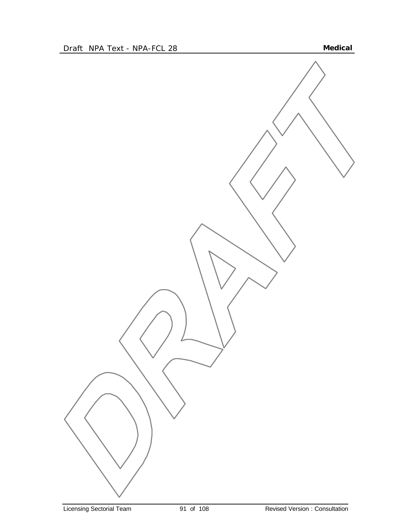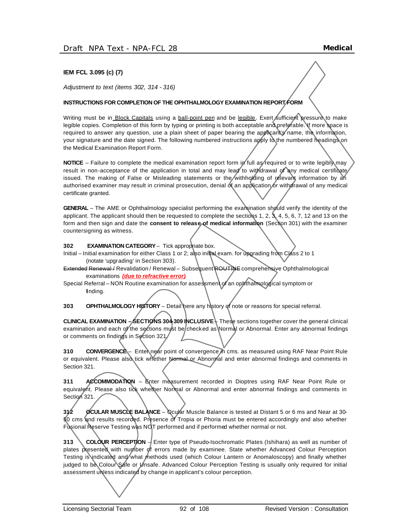## **IEM FCL 3.095 (c) (7)**

*Adjustment to text (items 302, 314 - 316)*

#### INSTRUCTIONS FOR COMPLETION OF THE OPHTHALMOLOGY EXAMINATION REPORTAORM

Writing must be in Block Capitals using a ball-point pen and be legible. Exert sufficient pressure to make legible copies. Completion of this form by typing or printing is both acceptable and preferable. If more space is required to answer any question, use a plain sheet of paper bearing the applicant's name, the information, your signature and the date signed. The following numbered instructions apply to the numbered headings on the Medical Examination Report Form.

**NOTICE** – Failure to complete the medical examination report form in full as required or to write legibly may result in non-acceptance of the application in total and may lead to withdrawal of any medical certificate issued. The making of False or Misleading statements or the withholding of relevant information by an authorised examiner may result in criminal prosecution, denial of an application or withdrawal of any medical certificate granted.

**GENERAL** – The AME or Ophthalmology specialist performing the examination should verify the identity of the applicant. The applicant should then be requested to complete the sections 1, 2, 3, 4, 5, 6, 7, 12 and 13 on the form and then sign and date the **consent to release of medical information** (Section 301) with the examiner countersigning as witness.

**302 EXAMINATION CATEGORY** – Tick appropriate box.

Initial – Initial examination for either Class 1 or 2; also initial exam. for upgrading from Class 2 to 1 (notate 'upgrading' in Section 303).

Extended Renewal / Revalidation / Renewal – Subsequent ROUTINE comprehensive Ophthalmological examinations *(due to refractive error)*.

Special Referral – NON Routine examination for assessment of an ophthalmological symptom or finding.

**303 OPHTHALMOLOGY HISTORY** – Detail here any history of note or reasons for special referral.

**CLINICAL EXAMINATION – SECTIONS 304-309 INCLUSIVE** – These sections together cover the general clinical examination and each of the sections must be checked as Normal or Abnormal. Enter any abnormal findings or comments on findings in Section 321.

**310 CONVERGENCE** – Enter near point of convergence in cms. as measured using RAF Near Point Rule or equivalent. Please also tick whether Normal or Abnormal and enter abnormal findings and comments in Section 321.

**311 ACCOMMODATION** – Enter measurement recorded in Dioptres using RAF Near Point Rule or equivalent. Please also tick whether Normal or Abnormal and enter abnormal findings and comments in Section 321.

**312 OCULAR MUSCLE BALANCE** – Ocular Muscle Balance is tested at Distant 5 or 6 ms and Near at 30- 50 cms and results recorded. Presence of Tropia or Phoria must be entered accordingly and also whether Fusional Reserve Testing was NOT performed and if performed whether normal or not.

**313** COLOUR PERCEPTION – Enter type of Pseudo-Isochromatic Plates (Ishihara) as well as number of plates presented with number of errors made by examinee. State whether Advanced Colour Perception Testing is indicated and what methods used (which Colour Lantern or Anomaloscopy) and finally whether judged to be Colour Safe or Unsafe. Advanced Colour Perception Testing is usually only required for initial assessment unless indicated by change in applicant's colour perception.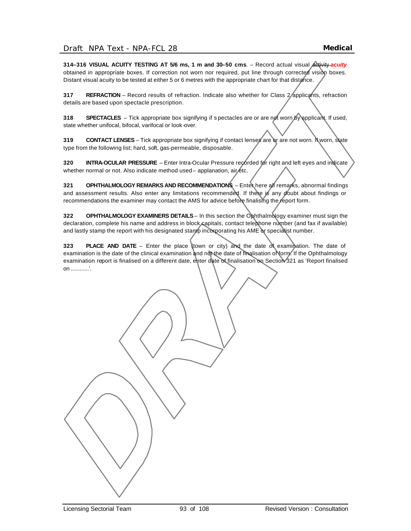**314–316 VISUAL ACUITY TESTING AT 5/6 ms, 1 m and 30–50 cms**. – Record actual visual activity *acuity* obtained in appropriate boxes. If correction not worn nor required, put line through corrected vision boxes. Distant visual acuity to be tested at either 5 or 6 metres with the appropriate chart for that distance.

**317 REFRACTION** – Record results of refraction. Indicate also whether for Class 2/applicants, refraction details are based upon spectacle prescription.

**318 SPECTACLES** – Tick appropriate box signifying if s pectacles are or are not worn by applicant. If used, state whether unifocal, bifocal, varifocal or look-over.

**319 CONTACT LENSES** – Tick appropriate box signifying if contact lenses are or are not worn. If worn, state type from the following list; hard, soft, gas-permeable, disposable.

**320 INTRA-OCULAR PRESSURE** – Enter Intra-Ocular Pressure recorded for right and left eyes and indicate whether normal or not. Also indicate method used – applanation, air  $\epsilon$ tc.

**321 OPHTHALMOLOGY REMARKS AND RECOMMENDATIONS** – Enter here all remarks, abnormal findings and assessment results. Also enter any limitations recommended. If there is any doubt about findings or recommendations the examiner may contact the AMS for advice before finalising the report form.

**322 OPHTHALMOLOGY EXAMINERS DETAILS**– In this section the Ophthalmology examiner must sign the declaration, complete his name and address in block capitals, contact telephone number (and fax if available) and lastly stamp the report with his designated stamp incorporating his AME or specialist number.

**323 PLACE AND DATE** – Enter the place (town or city) and the date of examination. The date of examination is the date of the clinical examination and not the date of finalisation of form. If the Ophthalmology examination report is finalised on a different date, enter date of finalisation on Section 321 as 'Report finalised on ............'.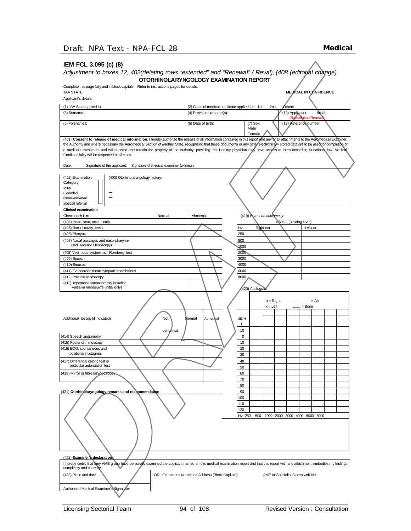|                                                                                                                                                                                       |                                                   | OTORHINOLARYNGOLOGY EXAMINATION REPORT           |                                  |                                      |
|---------------------------------------------------------------------------------------------------------------------------------------------------------------------------------------|---------------------------------------------------|--------------------------------------------------|----------------------------------|--------------------------------------|
| Complete this page fully and in block capitals - Refer to instructions pages for details.<br><b>JAA STATE</b>                                                                         |                                                   |                                                  |                                  | <b>MEDICAL IN CONFIDENCE</b>         |
| Applicant's details                                                                                                                                                                   |                                                   |                                                  |                                  |                                      |
| (1) JAA State applied to:                                                                                                                                                             |                                                   | (2) Class of medical certificate applied for 1st | Øthers<br>2 <sub>nd</sub>        |                                      |
| (3) Surname:                                                                                                                                                                          | (4) Previous surname(s):                          |                                                  | (12) Application                 | Initial<br><b>Revalidation/Renew</b> |
| (5) Forenames:                                                                                                                                                                        | (6) Date of birth:                                | $(7)$ Sex<br>Male                                |                                  | (13) Reference number:               |
| (401) Consent to release of medical information: I hereby authorise the release of all information contained in this report and any or all attachments to the Aeromedical Examiner,   |                                                   | Female                                           |                                  |                                      |
| the Authority and where necessary the Aeromedical Section of another State, recognising that these documents or any other electronically stored data are to be used for completion of |                                                   |                                                  |                                  |                                      |
| a medical assessment and will become and remain the property of the Authority, providing that I or my physician may have access to them according to national law. Medical            |                                                   |                                                  |                                  |                                      |
| Confiidentiality will be respected at all times.                                                                                                                                      |                                                   |                                                  |                                  |                                      |
| Signature of the applicant:<br>Signature of medical examiner (witness)<br>Date:                                                                                                       |                                                   |                                                  |                                  |                                      |
|                                                                                                                                                                                       |                                                   |                                                  |                                  |                                      |
| (402) Examination<br>(403) Otorhinolaryngology history:                                                                                                                               |                                                   |                                                  |                                  |                                      |
| Category                                                                                                                                                                              |                                                   |                                                  |                                  |                                      |
| Initial<br>Extended                                                                                                                                                                   |                                                   |                                                  |                                  |                                      |
| Renewal/Reval                                                                                                                                                                         |                                                   |                                                  |                                  |                                      |
| Special referral                                                                                                                                                                      |                                                   |                                                  |                                  |                                      |
| <b>Clinical examination</b>                                                                                                                                                           |                                                   |                                                  |                                  |                                      |
| Check each item<br>Normal                                                                                                                                                             | Abnormal                                          | (419) Pure tone audiometry                       |                                  |                                      |
| (404) Head, face, neck, scalp                                                                                                                                                         |                                                   |                                                  | dB HL (hearing level)            |                                      |
| (405) Buccal cavity, teeth<br>(406) Pharynx                                                                                                                                           |                                                   | Right ear<br>Hz<br>250                           |                                  | Left ear                             |
| (407) Nasal passages and naso-pharynnx                                                                                                                                                |                                                   | 500                                              |                                  |                                      |
| (incl. anterior r hinoscopy)                                                                                                                                                          |                                                   | 1000                                             |                                  |                                      |
| (408) Vestibular system incl. Romberg test                                                                                                                                            |                                                   | 2000                                             |                                  |                                      |
| (409) Speech                                                                                                                                                                          |                                                   | 3000                                             |                                  |                                      |
| (410) Sinuses                                                                                                                                                                         |                                                   | 4000                                             |                                  |                                      |
| (411) Ext acoustic meati, tympanic membranes                                                                                                                                          |                                                   | 6000                                             |                                  |                                      |
| (412) Pneumatic otoscopy                                                                                                                                                              |                                                   | 8000                                             |                                  |                                      |
| (413) Impedance tympanometry including<br>Valsalva menoeuvre (initial only)                                                                                                           |                                                   |                                                  |                                  |                                      |
|                                                                                                                                                                                       |                                                   | (420) Audiogram                                  |                                  |                                      |
|                                                                                                                                                                                       |                                                   |                                                  | $o = Right$                      | $= Air$                              |
|                                                                                                                                                                                       |                                                   |                                                  | $x = \text{Left}$                | = Bone                               |
|                                                                                                                                                                                       |                                                   |                                                  |                                  |                                      |
| Additional testing (if indicated)<br>Not                                                                                                                                              | Normal<br>Abnormal                                | dB/H                                             |                                  |                                      |
|                                                                                                                                                                                       |                                                   | L                                                |                                  |                                      |
| performed                                                                                                                                                                             |                                                   | $-10$                                            |                                  |                                      |
| (414) Speech audiometry                                                                                                                                                               |                                                   | 0                                                |                                  |                                      |
| (415) Posterior rhinoscopy                                                                                                                                                            |                                                   | 10                                               |                                  |                                      |
| (416) EOG; spontaneous and<br>positional nystagnus                                                                                                                                    |                                                   | 20<br>30                                         |                                  |                                      |
| (417) Differential caloric test or                                                                                                                                                    |                                                   | 40                                               |                                  |                                      |
| vestibular autorotation test                                                                                                                                                          |                                                   | 50                                               |                                  |                                      |
| (418) Mirror or fibre laryngoscopy                                                                                                                                                    |                                                   | 60                                               |                                  |                                      |
|                                                                                                                                                                                       |                                                   | 70                                               |                                  |                                      |
|                                                                                                                                                                                       |                                                   | 80                                               |                                  |                                      |
| (421) Otorhinolaryngology remarks and recommendation:                                                                                                                                 |                                                   | 90                                               |                                  |                                      |
|                                                                                                                                                                                       |                                                   | 100                                              |                                  |                                      |
|                                                                                                                                                                                       |                                                   | 110                                              |                                  |                                      |
|                                                                                                                                                                                       |                                                   | 120                                              |                                  |                                      |
|                                                                                                                                                                                       |                                                   | Hz 250<br>500                                    | 1000 2000 3000 4000 6000 8000    |                                      |
|                                                                                                                                                                                       |                                                   |                                                  |                                  |                                      |
|                                                                                                                                                                                       |                                                   |                                                  |                                  |                                      |
|                                                                                                                                                                                       |                                                   |                                                  |                                  |                                      |
|                                                                                                                                                                                       |                                                   |                                                  |                                  |                                      |
|                                                                                                                                                                                       |                                                   |                                                  |                                  |                                      |
| (422) Examiner's declaration                                                                                                                                                          |                                                   |                                                  |                                  |                                      |
|                                                                                                                                                                                       |                                                   |                                                  |                                  |                                      |
| I hereby certify that thmy AME group have personally examined the applicant named on this medical examination report and that this report with any attachment embodies my findings    |                                                   |                                                  |                                  |                                      |
| completely and correctly<br>(423) Place and date:                                                                                                                                     | ORL Examiner's Name and Address: (Block Capitals) |                                                  | AME or Specialist Stamp with No: |                                      |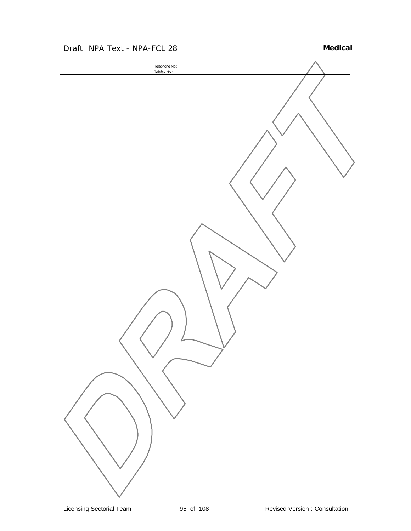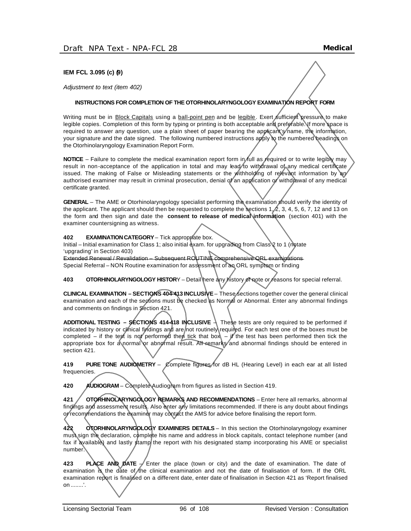## **IEM FCL 3.095 (c) (9)**

*Adjustment to text (item 402)*

#### **INSTRUCTIONS FOR COMPLETION OF THE OTORHINOLARYNGOLOGY EXAMINATION REPORT FORM**

Writing must be in Block Capitals using a ball-point pen and be legible. Exert sufficient pressure to make legible copies. Completion of this form by typing or printing is both acceptable and preferable. If more space is required to answer any question, use a plain sheet of paper bearing the applicant's name, the information, your signature and the date signed. The following numbered instructions apply to the numbered headings on the Otorhinolaryngology Examination Report Form.

**NOTICE** – Failure to complete the medical examination report form in full as required or to write legibly may result in non-acceptance of the application in total and may lead to withdrawal of any medical certificate issued. The making of False or Misleading statements or the withholding of relevant information by ap authorised examiner may result in criminal prosecution, denial of an application or withdrawal of any medical certificate granted.

**GENERAL** – The AME or Otorhinolaryngology specialist performing the examination should verify the identity of the applicant. The applicant should then be requested to complete the sections  $1, 2, 3, 4, 5, 6, 7, 12$  and 13 on the form and then sign and date the **consent to release of medical information** (section 401) with the examiner countersigning as witness.

## **402 EXAMINATION CATEGORY**– Tick appropriate box.

Initial – Initial examination for Class 1; also initial exam. for upgrading from Class 2 to 1 (notate 'upgrading' in Section 403)

Extended Renewal / Revalidation – Subsequent ROUTINE comprehensive Special Referral – NON Routine examination for assessment of an ORL symptom or finding

**403 OTORHINOLARYNGOLOGY HISTOR**Y – Detail here any history of note or reasons for special referral.

**CLINICAL EXAMINATION – SECTIONS 404-413 INCLUSIVE**– These sections together cover the general clinical examination and each of the sections must be checked as Normal or Abnormal. Enter any abnormal findings and comments on findings in Section 421.

**ADDITIONAL TESTING – SECTIONS 414-418 INCLUSIVE**  $\frac{1}{4}$  These tests are only required to be performed if indicated by history or clinical findings and are not routinely required. For each test one of the boxes must be completed – if the test is not performed then tick that box – if the test has been performed then tick the appropriate box for a normal or abnormal result. All remarks and abnormal findings should be entered in section 421.

**419 PURE TONE AUDIOMETRY** – Complete figures for dB HL (Hearing Level) in each ear at all listed frequencies.

**420 AUDIOGRAM** – Complete Audiogram from figures as listed in Section 419.

**421 OTORHINOLARYNGOLOGY REMARKS AND RECOMMENDATIONS** – Enter here all remarks, abnormal findings and assessment results. Also enter any limitations recommended. If there is any doubt about findings or recommendations the examiner may contact the AMS for advice before finalising the report form.

**422 OTORHINOLARYNGOLOGY EXAMINERS DETAILS** – In this section the Otorhinolaryngology examiner must sign the declaration, complete his name and address in block capitals, contact telephone number (and fax if available) and lastly stamp the report with his designated stamp incorporating his AME or specialist number.

**423 PLACE AND DATE**  $\neq$  Enter the place (town or city) and the date of examination. The date of examination is the date of the clinical examination and not the date of finalisation of form. If the ORL examination report is finalised on a different date, enter date of finalisation in Section 421 as 'Report finalised on ........'.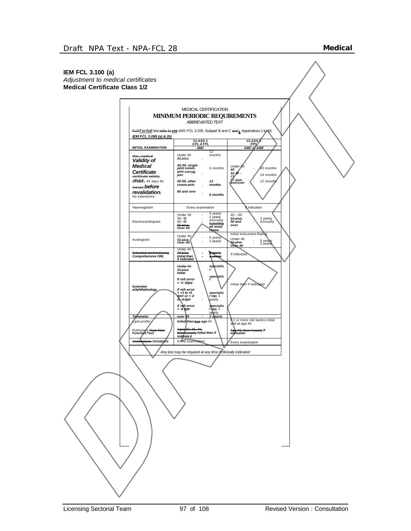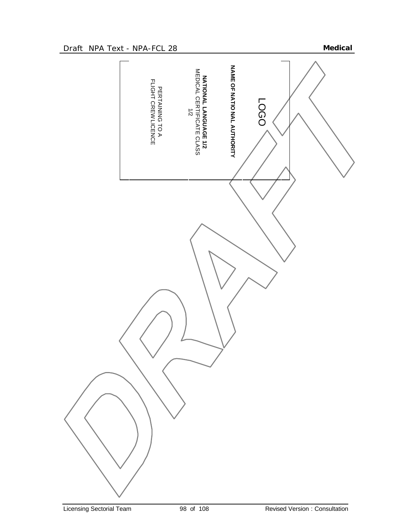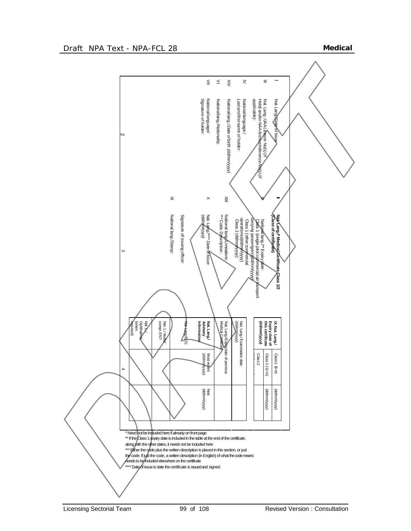

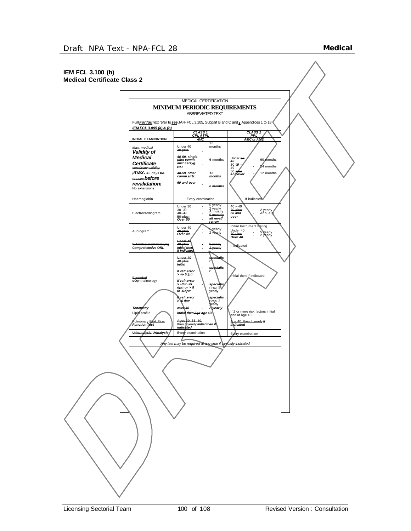#### **IEM FCL 3.100 (b) Medical Certificate Class 2**

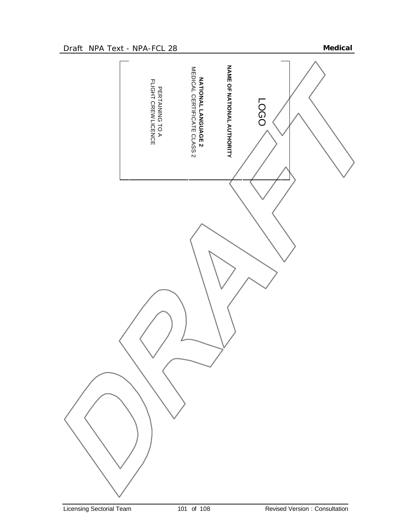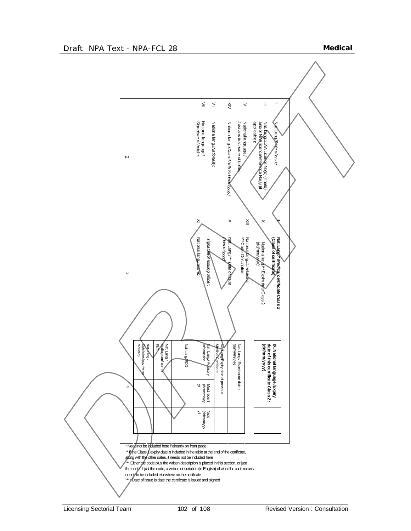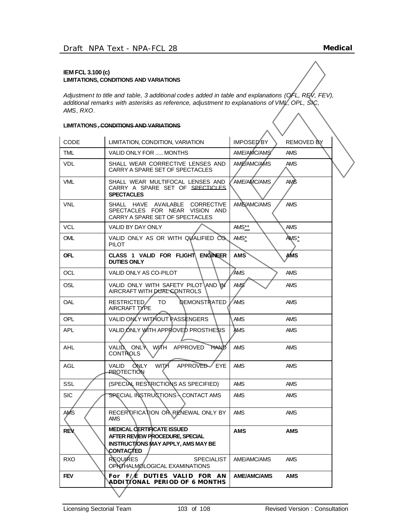## **IEM FCL 3.100 (c) LIMITATIONS, CONDITIONS AND VARIATIONS**

*Adjustment to title and table, 3 additional codes added in table and explanations (OFL, REV, FEV), additional remarks with asterisks as reference, adjustment to explanations of VML, OPL, SIC, AMS, RXO.*

## **LIMITATIONS, CONDITIONS AND VARIATIONS**

| <b>CODE</b> | LIMITATION, CONDITION, VARIATION                                                                                        | IMPOSED <sup>®</sup> BY<br>REMOVED BY |
|-------------|-------------------------------------------------------------------------------------------------------------------------|---------------------------------------|
| <b>TML</b>  | VALID ONLY FOR  MONTHS                                                                                                  | AME/AMC/AMS<br><b>AMS</b>             |
| <b>VDL</b>  | SHALL WEAR CORRECTIVE LENSES AND<br>CARRY A SPARE SET OF SPECTACLES                                                     | AME/AMC/AMS<br><b>AMS</b>             |
| <b>VML</b>  | SHALL WEAR MULTIFOCAL LENSES AND<br>CARRY A SPARE SET OF SPECTICLES<br><b>SPECTACLES</b>                                | <b>AMS</b><br>AME/AMC/AMS             |
| <b>VNL</b>  | SHALL HAVE AVAILABLE CORRECTIVE<br>SPECTACLES FOR NEAR VISION AND<br>CARRY A SPARE SET OF SPECTACLES                    | <b>AMS</b><br>AME/AMC/AMS             |
| <b>VCL</b>  | VALID BY DAY ONLY                                                                                                       | AMS**<br><b>AMS</b>                   |
| <b>OML</b>  | VALID ONLY AS OR WITH QUALIFIED CO<br><b>PILOT</b>                                                                      | AMS*<br>AMS*                          |
| <b>OFL</b>  | CLASS 1 VALID FOR FLIGHT ENGINEER<br><b>DUTIES ONLY</b>                                                                 | AMS<br><b>AMS</b>                     |
| <b>OCL</b>  | VALID ONLY AS CO-PILOT                                                                                                  | <b>AMS</b><br><b>AMS</b>              |
| OSL         | VALID ONLY WITH SAFETY PILOT\AND \M<br>AIRCRAFT WITH DUAL CONTROLS                                                      | AMS<br><b>AMS</b>                     |
| OAL         | <b>TO</b><br><b>DEMONSTRATED</b><br><b>RESTRICTED</b><br>AIRCRAFT TYPE                                                  | AMS <sup>'</sup><br><b>AMS</b>        |
| <b>OPL</b>  | VALID ONLY WITHOUT PASSENGERS                                                                                           | AMS<br><b>AMS</b>                     |
| <b>APL</b>  | VALID ONLY WITH APPROVED PROSTHESIS                                                                                     | <b>AMS</b><br><b>AMS</b>              |
| AHL         | VALID ONLY WITH APPROVED<br><b>THAND</b><br><b>CONTROLS</b>                                                             | <b>AMS</b><br><b>AMS</b>              |
| AGL         | APPROVED EYE<br><b>ONLY</b><br><b>WITH</b><br><b>VALID</b><br><b>PROTECTION</b>                                         | <b>AMS</b><br><b>AMS</b>              |
| <b>SSL</b>  | (SPECIAL RESTRICTIONS AS SPECIFIED)                                                                                     | <b>AMS</b><br><b>AMS</b>              |
| <b>SIC</b>  | SPECIAL INSTRUCTIONS CONTACT AMS                                                                                        | <b>AMS</b><br><b>AMS</b>              |
| <b>AMS</b>  | RECERTIFICATION OR RENEWAL ONLY BY<br><b>AMS</b>                                                                        | <b>AMS</b><br><b>AMS</b>              |
| <b>REV</b>  | <b>MEDICAL CERTIFICATE ISSUED</b><br>AFTER REVIEW PROCEDURE, SPECIAL<br>INSTRUCTIONS MAY APPLY, AMS MAY BE<br>CONTACTED | <b>AMS</b><br><b>AMS</b>              |
| <b>RXO</b>  | <b>REQUIRES</b><br><b>SPECIALIST</b><br>OPNTHALMOLOGICAL EXAMINATIONS                                                   | <b>AMS</b><br>AME/AMC/AMS             |
| <b>FEV</b>  | For F/E DUTIES VALID FOR AN<br>ADDITIONAL PERIOD OF 6 MONTHS                                                            | AME/AMC/AMS<br>AMS                    |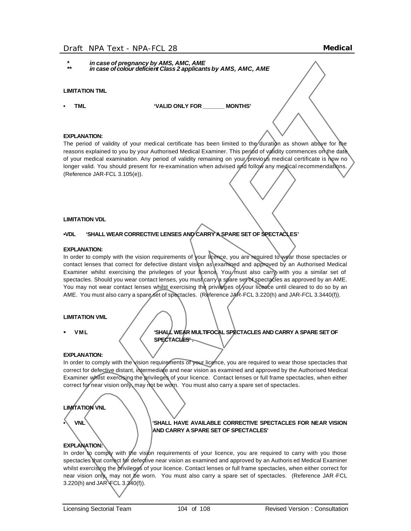## *\* in case of pregnancy by AMS, AMC, AME*

*\*\* in case of colour deficient Class 2 applicants by AMS, AMC, AME*

#### **LIMITATION TML**

**• TML 'VALID ONLY FOR \_\_\_\_\_\_\_ MONTHS'**

#### **EXPLANATION:**

The period of validity of your medical certificate has been limited to the duration as shown above for the reasons explained to you by your Authorised Medical Examiner. This period of validity commences on the date of your medical examination. Any period of validity remaining on your previous medical certificate is now no longer valid. You should present for re-examination when advised and follow any medical recommendations. (Reference JAR-FCL 3.105(e)).

## **LIMITATION VDL**

## **•VDL 'SHALL WEAR CORRECTIVE LENSES AND CARRY A SPARE SET OF SPECTACLES'**

#### **EXPLANATION:**

In order to comply with the vision requirements of your licence, you are required to wear those spectacles or contact lenses that correct for defective distant vision as examined and approved by an Authorised Medical Examiner whilst exercising the privileges of your licence. You must also carry with you a similar set of spectacles. Should you wear contact lenses, you must carry a spare set of spectacles as approved by an AME. You may not wear contact lenses whilst exercising the privileges of your licence until cleared to do so by an AME. You must also carry a spare set of spectacles. (Reference JAR-FCL 3.220(h) and JAR-FCL 3.3440(f)).

## **LIMITATION VML**

ß **VML 'SHALL WEAR MULTIFOCAL SPECTACLES AND CARRY A SPARE SET OF**  SPECTACLES<sup>\*</sup>

#### **EXPLANATION:**

In order to comply with the vision requirements of your licence, you are required to wear those spectacles that correct for defective distant, intermediate and near vision as examined and approved by the Authorised Medical Examiner whilst exercising the privileges of your licence. Contact lenses or full frame spectacles, when either correct for near vision only, may not be worn. You must also carry a spare set of spectacles.

LIMITATION VNL

#### **• VNL 'SHALL HAVE AVAILABLE CORRECTIVE SPECTACLES FOR NEAR VISION AND CARRY A SPARE SET OF SPECTACLES'**

## **EXPLANATION:**

In order to comply with the vision requirements of your licence, you are required to carry with you those spectacles that correct for defective near vision as examined and approved by an Authoris ed Medical Examiner whilst exercising the privileges of your licence. Contact lenses or full frame spectacles, when either correct for near vision only, may not be worn. You must also carry a spare set of spectacles. (Reference JAR-FCL  $3.220(h)$  and JAR FCL  $3.340(f)$ ).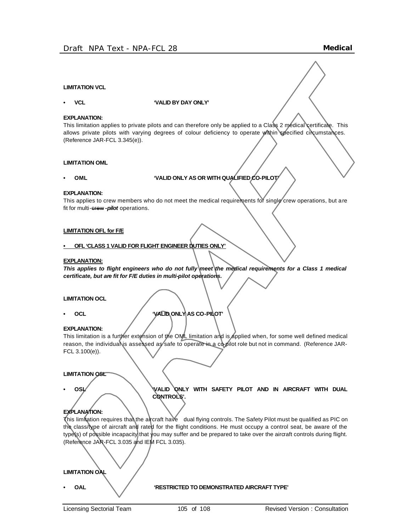#### **LIMITATION VCL**

**• VCL 'VALID BY DAY ONLY'**

#### **EXPLANATION:**

This limitation applies to private pilots and can therefore only be applied to a Class 2 medical certificate. This allows private pilots with varying degrees of colour deficiency to operate within specified circumstances. (Reference JAR-FCL 3.345(e)).

#### **LIMITATION OML**

**• OML 'VALID ONLY AS OR WITH QUALIFIED CO-PILOT'**

## **EXPLANATION:**

This applies to crew members who do not meet the medical requirements for single crew operations, but are fit for multi-crew -pilot operations.

#### **LIMITATION OFL for F/E**

## **• OFL 'CLASS 1 VALID FOR FLIGHT ENGINEER DUTIES ONLY'**

### **EXPLANATION:**

This applies to flight engineers who do not fully meet the medical requirements for a Class 1 medical *certificate, but are fit for F/E duties in multi-pilot operations.*

## **LIMITATION OCL**

**• OCL 'VALID ONLY AS CO-PILOT'**

## **EXPLANATION:**

This limitation is a further extension of the OML limitation and is applied when, for some well defined medical reason, the individual is assessed as safe to operate in a co-pilot role but not in command. (Reference JAR-FCL 3.100(e)).

## **LIMITATION OSL**

**•• OSL WALID ONLY WITH SAFETY PILOT AND IN AIRCRAFT WITH DUAL CONTROLS'.**

## **EXPLANATION:**

This limitation requires that the aircraft have dual flying controls. The Safety Pilot must be qualified as PIC on the class/type of aircraft and rated for the flight conditions. He must occupy a control seat, be aware of the type(s) of possible incapacity that you may suffer and be prepared to take over the aircraft controls during flight. (Reference JAR-FCL 3.035 and IEM FCL 3.035).

## **LIMITATION OAL**

#### **• OAL 'RESTRICTED TO DEMONSTRATED AIRCRAFT TYPE'**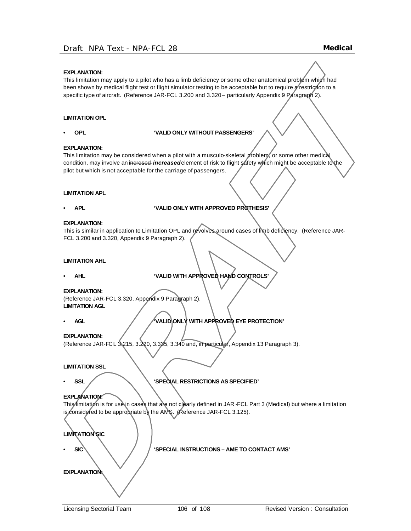#### **EXPLANATION:**

This limitation may apply to a pilot who has a limb deficiency or some other anatomical problem which had been shown by medical flight test or flight simulator testing to be acceptable but to require a restriction to a specific type of aircraft. (Reference JAR-FCL 3.200 and 3.320 – particularly Appendix 9 Paragraph 2).

## **LIMITATION OPL**

#### **• OPL 'VALID ONLY WITHOUT PASSENGERS'**

# **EXPLANATION:**

This limitation may be considered when a pilot with a musculo-skeletal problem, or some other medical condition, may involve an incresed *increased* element of risk to flight safety which might be acceptable to the pilot but which is not acceptable for the carriage of passengers.

#### **LIMITATION APL**

**• APL 'VALID ONLY WITH APPROVED PROTHESIS'**

#### **EXPLANATION:**

This is similar in application to Limitation OPL and revolves around cases of limb deficiency. (Reference JAR-FCL 3.200 and 3.320, Appendix 9 Paragraph 2).

#### **LIMITATION AHL**

**• AHL 'VALID WITH APPROVED HAND CONTROLS'**

## **EXPLANATION:**

(Reference JAR-FCL 3.320, Appendix 9 Paragraph 2). **LIMITATION AGL**

**AGL AGL AGL AGL** *M* **VALID ONLY WITH APPROVED** EYE PROTECTION'

## **EXPLANATION:**

(Reference JAR-FCL 3.215, 3.220, 3.335, 3.340 and, in particular, Appendix 13 Paragraph 3).

**LIMITATION SSL**

# **• SSL 'SPECIAL RESTRICTIONS AS SPECIFIED'**

# **EXPLANATION:**

This limitation is for use in cases that are not clearly defined in JAR -FCL Part 3 (Medical) but where a limitation is considered to be appropriate by the AMS. (Reference JAR-FCL 3.125).

**LIMITATION SIC**

**SIC\\Quad \Quad \Quad \Quad \Quad \Quad \Quad \Quad \Quad \Quad \Quad \Quad \Quad \Quad \Quad \Quad \Quad \Quad \Quad \Quad \Quad \Quad \Quad \Quad \Quad \Quad \Quad \Quad \Quad \Quad \Quad \Quad \Quad \Quad \Quad \Quad \** 

```
EXPLANATION:
```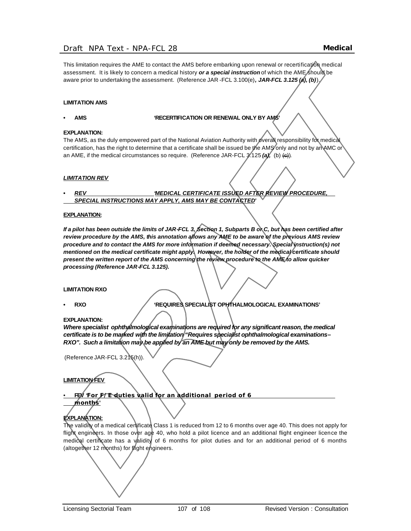This limitation requires the AME to contact the AMS before embarking upon renewal or recertification medical assessment. It is likely to concern a medical history *or a special instruction* of which the AME should be aware prior to undertaking the assessment. (Reference JAR -FCL 3.100(e)*, JAR-FCL 3.125 (a), (b)*).

## **LIMITATION AMS**

#### **• AMS 'RECERTIFICATION OR RENEWAL ONLY BY AMS'**

#### **EXPLANATION:**

The AMS, as the duly empowered part of the National Aviation Authority with overall responsibility for medical certification, has the right to determine that a certificate shall be issued be the AMS only and not by an AMC or an AME, if the medical circumstances so require. (Reference JAR-FCL 3.125 (a), (b) (c)).

#### *LIMITATION REV*

**•** *REV 'MEDICAL CERTIFICATE ISSUED AFTER REVIEW PROCEDURE, SPECIAL INSTRUCTIONS MAY APPLY, AMS MAY BE CONTACTED'*

#### **EXPLANATION:**

*If a pilot has been outside the limits of JAR-FCL 3, Section 1, Subparts B or C, but has been certified after review procedure by the AMS, this annotation allows any AME to be aware of the previous AMS review procedure and to contact the AMS for more information if deemed necessary. Special instruction(s) not mentioned on the medical certificate might apply. However, the holder of the medical certificate should present the written report of the AMS concerning the review procedure to the AME to allow quicker processing (Reference JAR-FCL 3.125).* 

#### **LIMITATION RXO**

**• RXO 'REQUIRES SPECIALIST OPHTHALMOLOGICAL EXAMINATIONS'**

#### **EXPLANATION:**

*Where specialist ophthalmological examinations are required for any significant reason, the medical certificate is to be marked with the limitation "Requires specialist ophthalmological examinations – RXO". Such a limitation may be applied by an AME but may only be removed by the AMS.* 

(Reference JAR-FCL 3.215(h)).

# **LIMITATION FEV**

• **FEV 'For F/E duties valid for an additional period of 6 months'**

# **EXPLANATION:**

The validity of a medical certificate Class 1 is reduced from 12 to 6 months over age 40. This does not apply for flight engineers. In those over age 40, who hold a pilot licence and an additional flight engineer licence the medical certificate has a validity of 6 months for pilot duties and for an additional period of 6 months (altogether 12 months) for flight engineers.